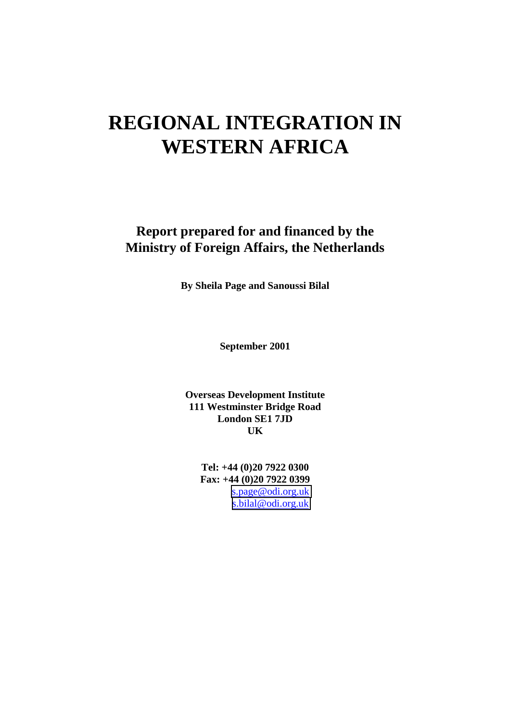# **REGIONAL INTEGRATION IN WESTERN AFRICA**

**Report prepared for and financed by the Ministry of Foreign Affairs, the Netherlands**

**By Sheila Page and Sanoussi Bilal**

**September 2001**

**Overseas Development Institute 111 Westminster Bridge Road London SE1 7JD UK**

**Tel: +44 (0)20 7922 0300 Fax: +44 (0)20 7922 0399** [s.page@odi.org.uk](mailto:spage@odi.org.uk) [s.bilal@odi.org.uk](mailto:s.bilal@odi.org.uk)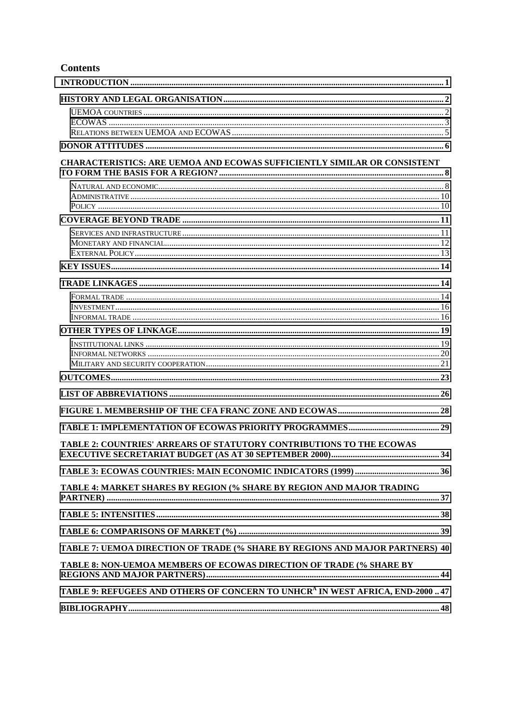#### **Contents**

| <b>CHARACTERISTICS: ARE UEMOA AND ECOWAS SUFFICIENTLY SIMILAR OR CONSISTENT</b>            |  |
|--------------------------------------------------------------------------------------------|--|
|                                                                                            |  |
|                                                                                            |  |
|                                                                                            |  |
|                                                                                            |  |
|                                                                                            |  |
|                                                                                            |  |
|                                                                                            |  |
|                                                                                            |  |
|                                                                                            |  |
|                                                                                            |  |
|                                                                                            |  |
|                                                                                            |  |
|                                                                                            |  |
|                                                                                            |  |
|                                                                                            |  |
|                                                                                            |  |
|                                                                                            |  |
|                                                                                            |  |
| TABLE 2: COUNTRIES' ARREARS OF STATUTORY CONTRIBUTIONS TO THE ECOWAS                       |  |
|                                                                                            |  |
| TABLE 4: MARKET SHARES BY REGION (% SHARE BY REGION AND MAJOR TRADING                      |  |
|                                                                                            |  |
|                                                                                            |  |
| TABLE 7: UEMOA DIRECTION OF TRADE (% SHARE BY REGIONS AND MAJOR PARTNERS) 40               |  |
| TABLE 8: NON-UEMOA MEMBERS OF ECOWAS DIRECTION OF TRADE (% SHARE BY                        |  |
| TABLE 9: REFUGEES AND OTHERS OF CONCERN TO UNHCR <sup>A</sup> IN WEST AFRICA, END-2000  47 |  |
|                                                                                            |  |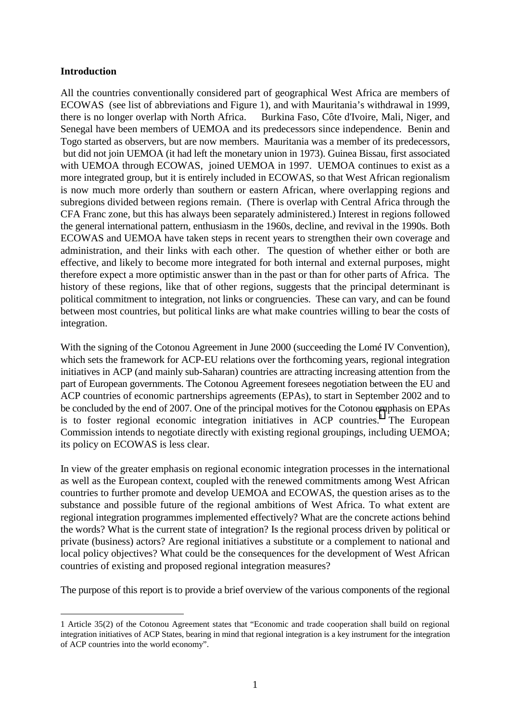#### <span id="page-2-0"></span>**Introduction**

All the countries conventionally considered part of geographical West Africa are members of ECOWAS (see list of abbreviations and Figure 1), and with Mauritania's withdrawal in 1999, there is no longer overlap with North Africa. Burkina Faso, Côte d'Ivoire, Mali, Niger, and Senegal have been members of UEMOA and its predecessors since independence. Benin and Togo started as observers, but are now members. Mauritania was a member of its predecessors, but did not join UEMOA (it had left the monetary union in 1973). Guinea Bissau, first associated with UEMOA through ECOWAS, joined UEMOA in 1997. UEMOA continues to exist as a more integrated group, but it is entirely included in ECOWAS, so that West African regionalism is now much more orderly than southern or eastern African, where overlapping regions and subregions divided between regions remain. (There is overlap with Central Africa through the CFA Franc zone, but this has always been separately administered.) Interest in regions followed the general international pattern, enthusiasm in the 1960s, decline, and revival in the 1990s. Both ECOWAS and UEMOA have taken steps in recent years to strengthen their own coverage and administration, and their links with each other. The question of whether either or both are effective, and likely to become more integrated for both internal and external purposes, might therefore expect a more optimistic answer than in the past or than for other parts of Africa. The history of these regions, like that of other regions, suggests that the principal determinant is political commitment to integration, not links or congruencies. These can vary, and can be found between most countries, but political links are what make countries willing to bear the costs of integration.

With the signing of the Cotonou Agreement in June 2000 (succeeding the Lomé IV Convention), which sets the framework for ACP-EU relations over the forthcoming years, regional integration initiatives in ACP (and mainly sub-Saharan) countries are attracting increasing attention from the part of European governments. The Cotonou Agreement foresees negotiation between the EU and ACP countries of economic partnerships agreements (EPAs), to start in September 2002 and to be concluded by the end of 2007. One of the principal motives for the Cotonou emphasis on EPAs is to foster regional economic integration initiatives in ACP countries.<sup>1</sup> The European Commission intends to negotiate directly with existing regional groupings, including UEMOA; its policy on ECOWAS is less clear.

In view of the greater emphasis on regional economic integration processes in the international as well as the European context, coupled with the renewed commitments among West African countries to further promote and develop UEMOA and ECOWAS, the question arises as to the substance and possible future of the regional ambitions of West Africa. To what extent are regional integration programmes implemented effectively? What are the concrete actions behind the words? What is the current state of integration? Is the regional process driven by political or private (business) actors? Are regional initiatives a substitute or a complement to national and local policy objectives? What could be the consequences for the development of West African countries of existing and proposed regional integration measures?

The purpose of this report is to provide a brief overview of the various components of the regional

 $\overline{a}$ 1 Article 35(2) of the Cotonou Agreement states that "Economic and trade cooperation shall build on regional integration initiatives of ACP States, bearing in mind that regional integration is a key instrument for the integration of ACP countries into the world economy".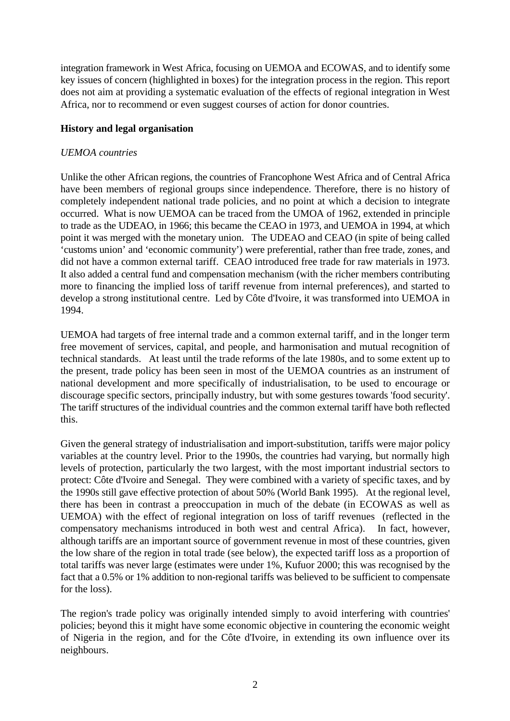<span id="page-3-0"></span>integration framework in West Africa, focusing on UEMOA and ECOWAS, and to identify some key issues of concern (highlighted in boxes) for the integration process in the region. This report does not aim at providing a systematic evaluation of the effects of regional integration in West Africa, nor to recommend or even suggest courses of action for donor countries.

#### **History and legal organisation**

#### *UEMOA countries*

Unlike the other African regions, the countries of Francophone West Africa and of Central Africa have been members of regional groups since independence. Therefore, there is no history of completely independent national trade policies, and no point at which a decision to integrate occurred. What is now UEMOA can be traced from the UMOA of 1962, extended in principle to trade as the UDEAO, in 1966; this became the CEAO in 1973, and UEMOA in 1994, at which point it was merged with the monetary union. The UDEAO and CEAO (in spite of being called 'customs union' and 'economic community') were preferential, rather than free trade, zones, and did not have a common external tariff. CEAO introduced free trade for raw materials in 1973. It also added a central fund and compensation mechanism (with the richer members contributing more to financing the implied loss of tariff revenue from internal preferences), and started to develop a strong institutional centre. Led by Côte d'Ivoire, it was transformed into UEMOA in 1994.

UEMOA had targets of free internal trade and a common external tariff, and in the longer term free movement of services, capital, and people, and harmonisation and mutual recognition of technical standards. At least until the trade reforms of the late 1980s, and to some extent up to the present, trade policy has been seen in most of the UEMOA countries as an instrument of national development and more specifically of industrialisation, to be used to encourage or discourage specific sectors, principally industry, but with some gestures towards 'food security'. The tariff structures of the individual countries and the common external tariff have both reflected this.

Given the general strategy of industrialisation and import-substitution, tariffs were major policy variables at the country level. Prior to the 1990s, the countries had varying, but normally high levels of protection, particularly the two largest, with the most important industrial sectors to protect: Côte d'Ivoire and Senegal. They were combined with a variety of specific taxes, and by the 1990s still gave effective protection of about 50% (World Bank 1995). At the regional level, there has been in contrast a preoccupation in much of the debate (in ECOWAS as well as UEMOA) with the effect of regional integration on loss of tariff revenues (reflected in the compensatory mechanisms introduced in both west and central Africa). In fact, however, although tariffs are an important source of government revenue in most of these countries, given the low share of the region in total trade (see below), the expected tariff loss as a proportion of total tariffs was never large (estimates were under 1%, Kufuor 2000; this was recognised by the fact that a 0.5% or 1% addition to non-regional tariffs was believed to be sufficient to compensate for the loss).

The region's trade policy was originally intended simply to avoid interfering with countries' policies; beyond this it might have some economic objective in countering the economic weight of Nigeria in the region, and for the Côte d'Ivoire, in extending its own influence over its neighbours.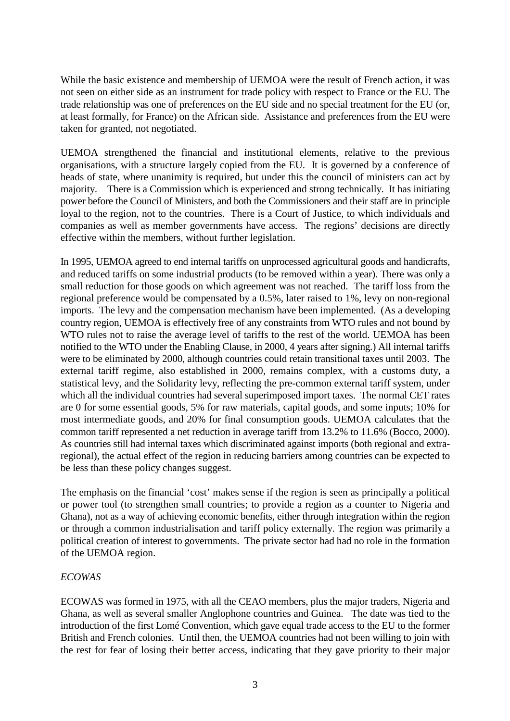<span id="page-4-0"></span>While the basic existence and membership of UEMOA were the result of French action, it was not seen on either side as an instrument for trade policy with respect to France or the EU. The trade relationship was one of preferences on the EU side and no special treatment for the EU (or, at least formally, for France) on the African side. Assistance and preferences from the EU were taken for granted, not negotiated.

UEMOA strengthened the financial and institutional elements, relative to the previous organisations, with a structure largely copied from the EU. It is governed by a conference of heads of state, where unanimity is required, but under this the council of ministers can act by majority. There is a Commission which is experienced and strong technically. It has initiating power before the Council of Ministers, and both the Commissioners and their staff are in principle loyal to the region, not to the countries. There is a Court of Justice, to which individuals and companies as well as member governments have access. The regions' decisions are directly effective within the members, without further legislation.

In 1995, UEMOA agreed to end internal tariffs on unprocessed agricultural goods and handicrafts, and reduced tariffs on some industrial products (to be removed within a year). There was only a small reduction for those goods on which agreement was not reached. The tariff loss from the regional preference would be compensated by a 0.5%, later raised to 1%, levy on non-regional imports. The levy and the compensation mechanism have been implemented. (As a developing country region, UEMOA is effectively free of any constraints from WTO rules and not bound by WTO rules not to raise the average level of tariffs to the rest of the world. UEMOA has been notified to the WTO under the Enabling Clause, in 2000, 4 years after signing.) All internal tariffs were to be eliminated by 2000, although countries could retain transitional taxes until 2003. The external tariff regime, also established in 2000, remains complex, with a customs duty, a statistical levy, and the Solidarity levy, reflecting the pre-common external tariff system, under which all the individual countries had several superimposed import taxes. The normal CET rates are 0 for some essential goods, 5% for raw materials, capital goods, and some inputs; 10% for most intermediate goods, and 20% for final consumption goods. UEMOA calculates that the common tariff represented a net reduction in average tariff from 13.2% to 11.6% (Bocco, 2000). As countries still had internal taxes which discriminated against imports (both regional and extraregional), the actual effect of the region in reducing barriers among countries can be expected to be less than these policy changes suggest.

The emphasis on the financial 'cost' makes sense if the region is seen as principally a political or power tool (to strengthen small countries; to provide a region as a counter to Nigeria and Ghana), not as a way of achieving economic benefits, either through integration within the region or through a common industrialisation and tariff policy externally. The region was primarily a political creation of interest to governments. The private sector had had no role in the formation of the UEMOA region.

#### *ECOWAS*

ECOWAS was formed in 1975, with all the CEAO members, plus the major traders, Nigeria and Ghana, as well as several smaller Anglophone countries and Guinea. The date was tied to the introduction of the first Lomé Convention, which gave equal trade access to the EU to the former British and French colonies. Until then, the UEMOA countries had not been willing to join with the rest for fear of losing their better access, indicating that they gave priority to their major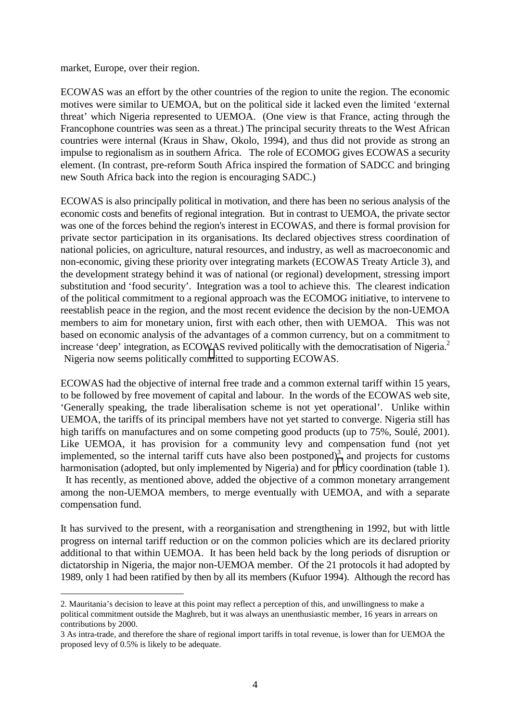market, Europe, over their region.

 $\overline{a}$ 

ECOWAS was an effort by the other countries of the region to unite the region. The economic motives were similar to UEMOA, but on the political side it lacked even the limited 'external threat' which Nigeria represented to UEMOA. (One view is that France, acting through the Francophone countries was seen as a threat.) The principal security threats to the West African countries were internal (Kraus in Shaw, Okolo, 1994), and thus did not provide as strong an impulse to regionalism as in southern Africa. The role of ECOMOG gives ECOWAS a security element. (In contrast, pre-reform South Africa inspired the formation of SADCC and bringing new South Africa back into the region is encouraging SADC.)

ECOWAS is also principally political in motivation, and there has been no serious analysis of the economic costs and benefits of regional integration. But in contrast to UEMOA, the private sector was one of the forces behind the region's interest in ECOWAS, and there is formal provision for private sector participation in its organisations. Its declared objectives stress coordination of national policies, on agriculture, natural resources, and industry, as well as macroeconomic and non-economic, giving these priority over integrating markets (ECOWAS Treaty Article 3), and the development strategy behind it was of national (or regional) development, stressing import substitution and 'food security'. Integration was a tool to achieve this. The clearest indication of the political commitment to a regional approach was the ECOMOG initiative, to intervene to reestablish peace in the region, and the most recent evidence the decision by the non-UEMOA members to aim for monetary union, first with each other, then with UEMOA. This was not based on economic analysis of the advantages of a common currency, but on a commitment to increase 'deep' integration, as ECOWAS revived politically with the democratisation of Nigeria.<sup>2</sup> Nigeria now seems politically committed to supporting ECOWAS.

ECOWAS had the objective of internal free trade and a common external tariff within 15 years, to be followed by free movement of capital and labour. In the words of the ECOWAS web site, 'Generally speaking, the trade liberalisation scheme is not yet operational'. Unlike within UEMOA, the tariffs of its principal members have not yet started to converge. Nigeria still has high tariffs on manufactures and on some competing good products (up to 75%, Soulé, 2001). Like UEMOA, it has provision for a community levy and compensation fund (not yet implemented, so the internal tariff cuts have also been postponed)<sup>3</sup>, and projects for customs harmonisation (adopted, but only implemented by Nigeria) and for policy coordination (table 1). It has recently, as mentioned above, added the objective of a common monetary arrangement among the non-UEMOA members, to merge eventually with UEMOA, and with a separate compensation fund.

It has survived to the present, with a reorganisation and strengthening in 1992, but with little progress on internal tariff reduction or on the common policies which are its declared priority additional to that within UEMOA. It has been held back by the long periods of disruption or dictatorship in Nigeria, the major non-UEMOA member. Of the 21 protocols it had adopted by 1989, only 1 had been ratified by then by all its members (Kufuor 1994). Although the record has

<sup>2.</sup> Mauritania's decision to leave at this point may reflect a perception of this, and unwillingness to make a political commitment outside the Maghreb, but it was always an unenthusiastic member, 16 years in arrears on contributions by 2000.

<sup>3</sup> As intra-trade, and therefore the share of regional import tariffs in total revenue, is lower than for UEMOA the proposed levy of 0.5% is likely to be adequate.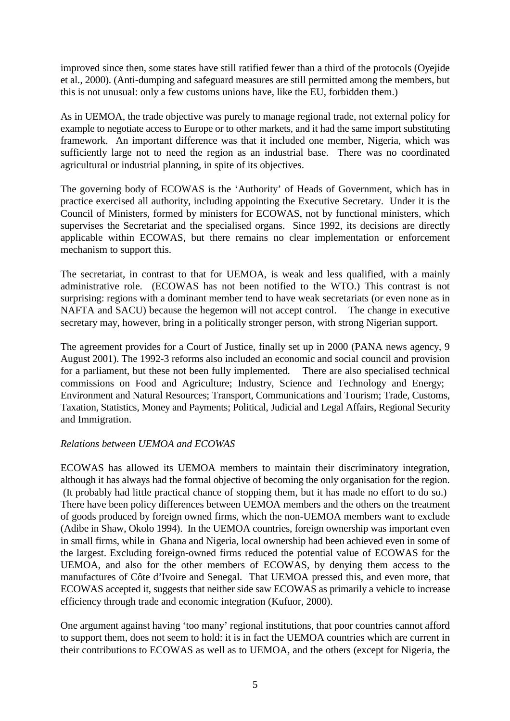<span id="page-6-0"></span>improved since then, some states have still ratified fewer than a third of the protocols (Oyejide et al., 2000). (Anti-dumping and safeguard measures are still permitted among the members, but this is not unusual: only a few customs unions have, like the EU, forbidden them.)

As in UEMOA, the trade objective was purely to manage regional trade, not external policy for example to negotiate access to Europe or to other markets, and it had the same import substituting framework. An important difference was that it included one member, Nigeria, which was sufficiently large not to need the region as an industrial base. There was no coordinated agricultural or industrial planning, in spite of its objectives.

The governing body of ECOWAS is the 'Authority' of Heads of Government, which has in practice exercised all authority, including appointing the Executive Secretary. Under it is the Council of Ministers, formed by ministers for ECOWAS, not by functional ministers, which supervises the Secretariat and the specialised organs. Since 1992, its decisions are directly applicable within ECOWAS, but there remains no clear implementation or enforcement mechanism to support this.

The secretariat, in contrast to that for UEMOA, is weak and less qualified, with a mainly administrative role. (ECOWAS has not been notified to the WTO.) This contrast is not surprising: regions with a dominant member tend to have weak secretariats (or even none as in NAFTA and SACU) because the hegemon will not accept control. The change in executive secretary may, however, bring in a politically stronger person, with strong Nigerian support.

The agreement provides for a Court of Justice, finally set up in 2000 (PANA news agency, 9 August 2001). The 1992-3 reforms also included an economic and social council and provision for a parliament, but these not been fully implemented. There are also specialised technical commissions on Food and Agriculture; Industry, Science and Technology and Energy; Environment and Natural Resources; Transport, Communications and Tourism; Trade, Customs, Taxation, Statistics, Money and Payments; Political, Judicial and Legal Affairs, Regional Security and Immigration.

#### *Relations between UEMOA and ECOWAS*

ECOWAS has allowed its UEMOA members to maintain their discriminatory integration, although it has always had the formal objective of becoming the only organisation for the region. (It probably had little practical chance of stopping them, but it has made no effort to do so.) There have been policy differences between UEMOA members and the others on the treatment of goods produced by foreign owned firms, which the non-UEMOA members want to exclude (Adibe in Shaw, Okolo 1994). In the UEMOA countries, foreign ownership was important even in small firms, while in Ghana and Nigeria, local ownership had been achieved even in some of the largest. Excluding foreign-owned firms reduced the potential value of ECOWAS for the UEMOA, and also for the other members of ECOWAS, by denying them access to the manufactures of Côte d'Ivoire and Senegal. That UEMOA pressed this, and even more, that ECOWAS accepted it, suggests that neither side saw ECOWAS as primarily a vehicle to increase efficiency through trade and economic integration (Kufuor, 2000).

One argument against having 'too many' regional institutions, that poor countries cannot afford to support them, does not seem to hold: it is in fact the UEMOA countries which are current in their contributions to ECOWAS as well as to UEMOA, and the others (except for Nigeria, the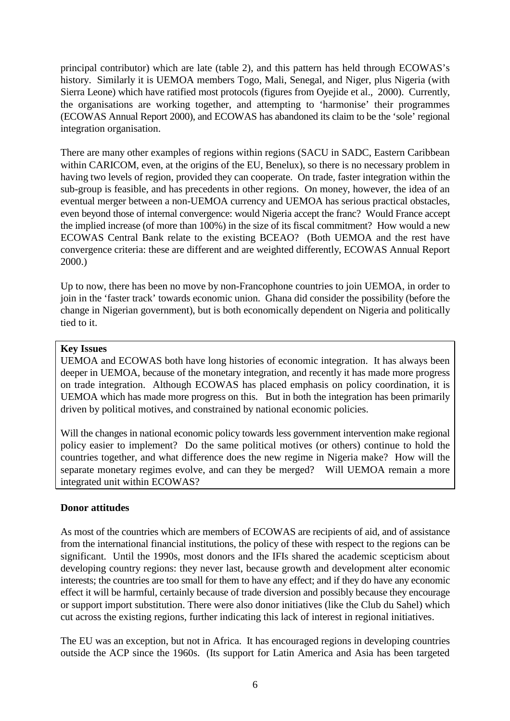<span id="page-7-0"></span>principal contributor) which are late (table 2), and this pattern has held through ECOWAS's history. Similarly it is UEMOA members Togo, Mali, Senegal, and Niger, plus Nigeria (with Sierra Leone) which have ratified most protocols (figures from Oyejide et al., 2000). Currently, the organisations are working together, and attempting to 'harmonise' their programmes (ECOWAS Annual Report 2000), and ECOWAS has abandoned its claim to be the 'sole' regional integration organisation.

There are many other examples of regions within regions (SACU in SADC, Eastern Caribbean within CARICOM, even, at the origins of the EU, Benelux), so there is no necessary problem in having two levels of region, provided they can cooperate. On trade, faster integration within the sub-group is feasible, and has precedents in other regions. On money, however, the idea of an eventual merger between a non-UEMOA currency and UEMOA has serious practical obstacles, even beyond those of internal convergence: would Nigeria accept the franc? Would France accept the implied increase (of more than 100%) in the size of its fiscal commitment? How would a new ECOWAS Central Bank relate to the existing BCEAO? (Both UEMOA and the rest have convergence criteria: these are different and are weighted differently, ECOWAS Annual Report 2000.)

Up to now, there has been no move by non-Francophone countries to join UEMOA, in order to join in the 'faster track' towards economic union. Ghana did consider the possibility (before the change in Nigerian government), but is both economically dependent on Nigeria and politically tied to it.

#### **Key Issues**

UEMOA and ECOWAS both have long histories of economic integration. It has always been deeper in UEMOA, because of the monetary integration, and recently it has made more progress on trade integration. Although ECOWAS has placed emphasis on policy coordination, it is UEMOA which has made more progress on this. But in both the integration has been primarily driven by political motives, and constrained by national economic policies.

Will the changes in national economic policy towards less government intervention make regional policy easier to implement? Do the same political motives (or others) continue to hold the countries together, and what difference does the new regime in Nigeria make? How will the separate monetary regimes evolve, and can they be merged? Will UEMOA remain a more integrated unit within ECOWAS?

#### **Donor attitudes**

As most of the countries which are members of ECOWAS are recipients of aid, and of assistance from the international financial institutions, the policy of these with respect to the regions can be significant. Until the 1990s, most donors and the IFIs shared the academic scepticism about developing country regions: they never last, because growth and development alter economic interests; the countries are too small for them to have any effect; and if they do have any economic effect it will be harmful, certainly because of trade diversion and possibly because they encourage or support import substitution. There were also donor initiatives (like the Club du Sahel) which cut across the existing regions, further indicating this lack of interest in regional initiatives.

The EU was an exception, but not in Africa. It has encouraged regions in developing countries outside the ACP since the 1960s. (Its support for Latin America and Asia has been targeted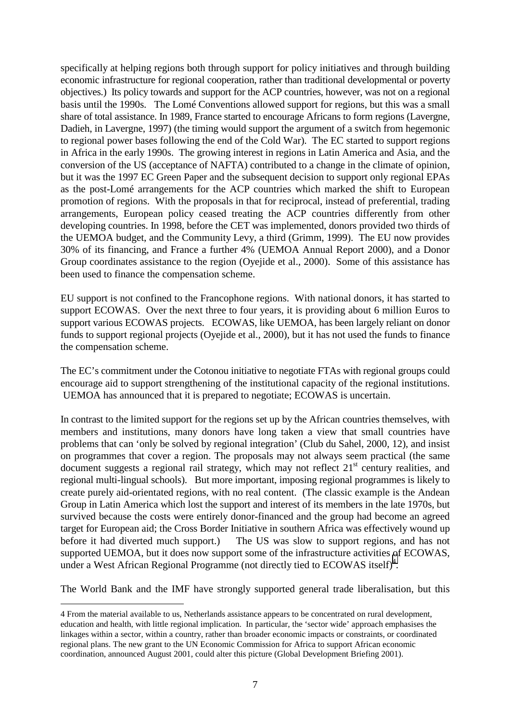specifically at helping regions both through support for policy initiatives and through building economic infrastructure for regional cooperation, rather than traditional developmental or poverty objectives.) Its policy towards and support for the ACP countries, however, was not on a regional basis until the 1990s. The Lomé Conventions allowed support for regions, but this was a small share of total assistance. In 1989, France started to encourage Africans to form regions (Lavergne, Dadieh, in Lavergne, 1997) (the timing would support the argument of a switch from hegemonic to regional power bases following the end of the Cold War). The EC started to support regions in Africa in the early 1990s. The growing interest in regions in Latin America and Asia, and the conversion of the US (acceptance of NAFTA) contributed to a change in the climate of opinion, but it was the 1997 EC Green Paper and the subsequent decision to support only regional EPAs as the post-Lomé arrangements for the ACP countries which marked the shift to European promotion of regions. With the proposals in that for reciprocal, instead of preferential, trading arrangements, European policy ceased treating the ACP countries differently from other developing countries. In 1998, before the CET was implemented, donors provided two thirds of the UEMOA budget, and the Community Levy, a third (Grimm, 1999). The EU now provides 30% of its financing, and France a further 4% (UEMOA Annual Report 2000), and a Donor Group coordinates assistance to the region (Oyejide et al., 2000). Some of this assistance has been used to finance the compensation scheme.

EU support is not confined to the Francophone regions. With national donors, it has started to support ECOWAS. Over the next three to four years, it is providing about 6 million Euros to support various ECOWAS projects. ECOWAS, like UEMOA, has been largely reliant on donor funds to support regional projects (Oyejide et al., 2000), but it has not used the funds to finance the compensation scheme.

The EC's commitment under the Cotonou initiative to negotiate FTAs with regional groups could encourage aid to support strengthening of the institutional capacity of the regional institutions. UEMOA has announced that it is prepared to negotiate; ECOWAS is uncertain.

In contrast to the limited support for the regions set up by the African countries themselves, with members and institutions, many donors have long taken a view that small countries have problems that can 'only be solved by regional integration' (Club du Sahel, 2000, 12), and insist on programmes that cover a region. The proposals may not always seem practical (the same document suggests a regional rail strategy, which may not reflect  $21<sup>st</sup>$  century realities, and regional multi-lingual schools). But more important, imposing regional programmes is likely to create purely aid-orientated regions, with no real content. (The classic example is the Andean Group in Latin America which lost the support and interest of its members in the late 1970s, but survived because the costs were entirely donor-financed and the group had become an agreed target for European aid; the Cross Border Initiative in southern Africa was effectively wound up before it had diverted much support.) The US was slow to support regions, and has not supported UEMOA, but it does now support some of the infrastructure activities of ECOWAS, under a West African Regional Programme (not directly tied to  $ECOWAS$  itself)<sup>4</sup>.

The World Bank and the IMF have strongly supported general trade liberalisation, but this

 $\overline{a}$ 

<sup>4</sup> From the material available to us, Netherlands assistance appears to be concentrated on rural development, education and health, with little regional implication. In particular, the 'sector wide' approach emphasises the linkages within a sector, within a country, rather than broader economic impacts or constraints, or coordinated regional plans. The new grant to the UN Economic Commission for Africa to support African economic coordination, announced August 2001, could alter this picture (Global Development Briefing 2001).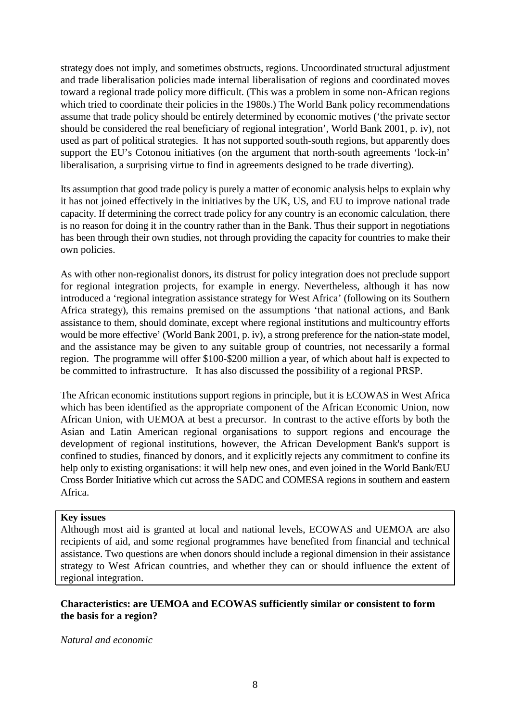<span id="page-9-0"></span>strategy does not imply, and sometimes obstructs, regions. Uncoordinated structural adjustment and trade liberalisation policies made internal liberalisation of regions and coordinated moves toward a regional trade policy more difficult. (This was a problem in some non-African regions which tried to coordinate their policies in the 1980s.) The World Bank policy recommendations assume that trade policy should be entirely determined by economic motives ('the private sector should be considered the real beneficiary of regional integration', World Bank 2001, p. iv), not used as part of political strategies. It has not supported south-south regions, but apparently does support the EU's Cotonou initiatives (on the argument that north-south agreements 'lock-in' liberalisation, a surprising virtue to find in agreements designed to be trade diverting).

Its assumption that good trade policy is purely a matter of economic analysis helps to explain why it has not joined effectively in the initiatives by the UK, US, and EU to improve national trade capacity. If determining the correct trade policy for any country is an economic calculation, there is no reason for doing it in the country rather than in the Bank. Thus their support in negotiations has been through their own studies, not through providing the capacity for countries to make their own policies.

As with other non-regionalist donors, its distrust for policy integration does not preclude support for regional integration projects, for example in energy. Nevertheless, although it has now introduced a 'regional integration assistance strategy for West Africa' (following on its Southern Africa strategy), this remains premised on the assumptions 'that national actions, and Bank assistance to them, should dominate, except where regional institutions and multicountry efforts would be more effective' (World Bank 2001, p. iv), a strong preference for the nation-state model, and the assistance may be given to any suitable group of countries, not necessarily a formal region. The programme will offer \$100-\$200 million a year, of which about half is expected to be committed to infrastructure. It has also discussed the possibility of a regional PRSP.

The African economic institutions support regions in principle, but it is ECOWAS in West Africa which has been identified as the appropriate component of the African Economic Union, now African Union, with UEMOA at best a precursor. In contrast to the active efforts by both the Asian and Latin American regional organisations to support regions and encourage the development of regional institutions, however, the African Development Bank's support is confined to studies, financed by donors, and it explicitly rejects any commitment to confine its help only to existing organisations: it will help new ones, and even joined in the World Bank/EU Cross Border Initiative which cut across the SADC and COMESA regions in southern and eastern Africa.

#### **Key issues**

Although most aid is granted at local and national levels, ECOWAS and UEMOA are also recipients of aid, and some regional programmes have benefited from financial and technical assistance. Two questions are when donors should include a regional dimension in their assistance strategy to West African countries, and whether they can or should influence the extent of regional integration.

#### **Characteristics: are UEMOA and ECOWAS sufficiently similar or consistent to form the basis for a region?**

#### *Natural and economic*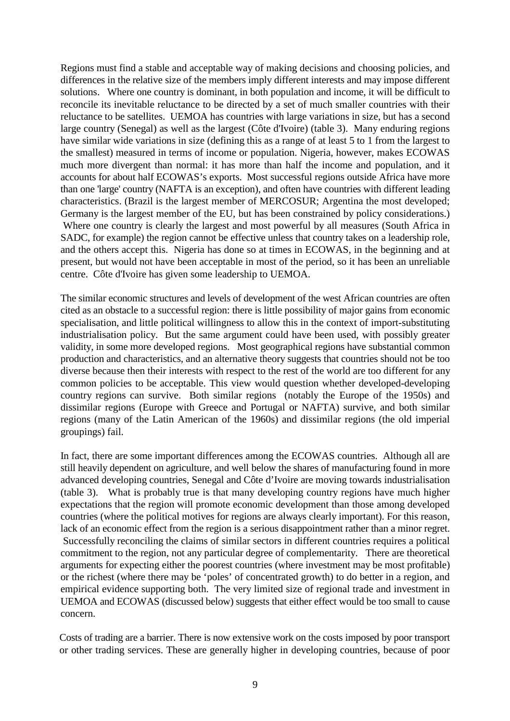Regions must find a stable and acceptable way of making decisions and choosing policies, and differences in the relative size of the members imply different interests and may impose different solutions. Where one country is dominant, in both population and income, it will be difficult to reconcile its inevitable reluctance to be directed by a set of much smaller countries with their reluctance to be satellites. UEMOA has countries with large variations in size, but has a second large country (Senegal) as well as the largest (Côte d'Ivoire) (table 3). Many enduring regions have similar wide variations in size (defining this as a range of at least 5 to 1 from the largest to the smallest) measured in terms of income or population. Nigeria, however, makes ECOWAS much more divergent than normal: it has more than half the income and population, and it accounts for about half ECOWAS's exports. Most successful regions outside Africa have more than one 'large' country (NAFTA is an exception), and often have countries with different leading characteristics. (Brazil is the largest member of MERCOSUR; Argentina the most developed; Germany is the largest member of the EU, but has been constrained by policy considerations.) Where one country is clearly the largest and most powerful by all measures (South Africa in SADC, for example) the region cannot be effective unless that country takes on a leadership role, and the others accept this. Nigeria has done so at times in ECOWAS, in the beginning and at present, but would not have been acceptable in most of the period, so it has been an unreliable centre. Côte d'Ivoire has given some leadership to UEMOA.

The similar economic structures and levels of development of the west African countries are often cited as an obstacle to a successful region: there is little possibility of major gains from economic specialisation, and little political willingness to allow this in the context of import-substituting industrialisation policy. But the same argument could have been used, with possibly greater validity, in some more developed regions. Most geographical regions have substantial common production and characteristics, and an alternative theory suggests that countries should not be too diverse because then their interests with respect to the rest of the world are too different for any common policies to be acceptable. This view would question whether developed-developing country regions can survive. Both similar regions (notably the Europe of the 1950s) and dissimilar regions (Europe with Greece and Portugal or NAFTA) survive, and both similar regions (many of the Latin American of the 1960s) and dissimilar regions (the old imperial groupings) fail.

In fact, there are some important differences among the ECOWAS countries. Although all are still heavily dependent on agriculture, and well below the shares of manufacturing found in more advanced developing countries, Senegal and Côte d'Ivoire are moving towards industrialisation (table 3). What is probably true is that many developing country regions have much higher expectations that the region will promote economic development than those among developed countries (where the political motives for regions are always clearly important). For this reason, lack of an economic effect from the region is a serious disappointment rather than a minor regret. Successfully reconciling the claims of similar sectors in different countries requires a political commitment to the region, not any particular degree of complementarity. There are theoretical arguments for expecting either the poorest countries (where investment may be most profitable) or the richest (where there may be 'poles' of concentrated growth) to do better in a region, and empirical evidence supporting both. The very limited size of regional trade and investment in UEMOA and ECOWAS (discussed below) suggests that either effect would be too small to cause concern.

Costs of trading are a barrier. There is now extensive work on the costs imposed by poor transport or other trading services. These are generally higher in developing countries, because of poor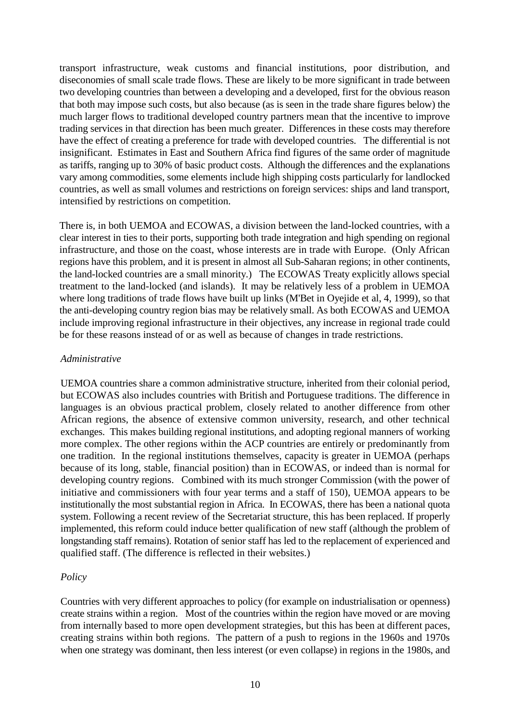<span id="page-11-0"></span>transport infrastructure, weak customs and financial institutions, poor distribution, and diseconomies of small scale trade flows. These are likely to be more significant in trade between two developing countries than between a developing and a developed, first for the obvious reason that both may impose such costs, but also because (as is seen in the trade share figures below) the much larger flows to traditional developed country partners mean that the incentive to improve trading services in that direction has been much greater. Differences in these costs may therefore have the effect of creating a preference for trade with developed countries. The differential is not insignificant. Estimates in East and Southern Africa find figures of the same order of magnitude as tariffs, ranging up to 30% of basic product costs. Although the differences and the explanations vary among commodities, some elements include high shipping costs particularly for landlocked countries, as well as small volumes and restrictions on foreign services: ships and land transport, intensified by restrictions on competition.

There is, in both UEMOA and ECOWAS, a division between the land-locked countries, with a clear interest in ties to their ports, supporting both trade integration and high spending on regional infrastructure, and those on the coast, whose interests are in trade with Europe. (Only African regions have this problem, and it is present in almost all Sub-Saharan regions; in other continents, the land-locked countries are a small minority.) The ECOWAS Treaty explicitly allows special treatment to the land-locked (and islands). It may be relatively less of a problem in UEMOA where long traditions of trade flows have built up links (M'Bet in Oyejide et al, 4, 1999), so that the anti-developing country region bias may be relatively small. As both ECOWAS and UEMOA include improving regional infrastructure in their objectives, any increase in regional trade could be for these reasons instead of or as well as because of changes in trade restrictions.

#### *Administrative*

UEMOA countries share a common administrative structure, inherited from their colonial period, but ECOWAS also includes countries with British and Portuguese traditions. The difference in languages is an obvious practical problem, closely related to another difference from other African regions, the absence of extensive common university, research, and other technical exchanges. This makes building regional institutions, and adopting regional manners of working more complex. The other regions within the ACP countries are entirely or predominantly from one tradition. In the regional institutions themselves, capacity is greater in UEMOA (perhaps because of its long, stable, financial position) than in ECOWAS, or indeed than is normal for developing country regions. Combined with its much stronger Commission (with the power of initiative and commissioners with four year terms and a staff of 150), UEMOA appears to be institutionally the most substantial region in Africa. In ECOWAS, there has been a national quota system. Following a recent review of the Secretariat structure, this has been replaced. If properly implemented, this reform could induce better qualification of new staff (although the problem of longstanding staff remains). Rotation of senior staff has led to the replacement of experienced and qualified staff. (The difference is reflected in their websites.)

#### *Policy*

Countries with very different approaches to policy (for example on industrialisation or openness) create strains within a region. Most of the countries within the region have moved or are moving from internally based to more open development strategies, but this has been at different paces, creating strains within both regions. The pattern of a push to regions in the 1960s and 1970s when one strategy was dominant, then less interest (or even collapse) in regions in the 1980s, and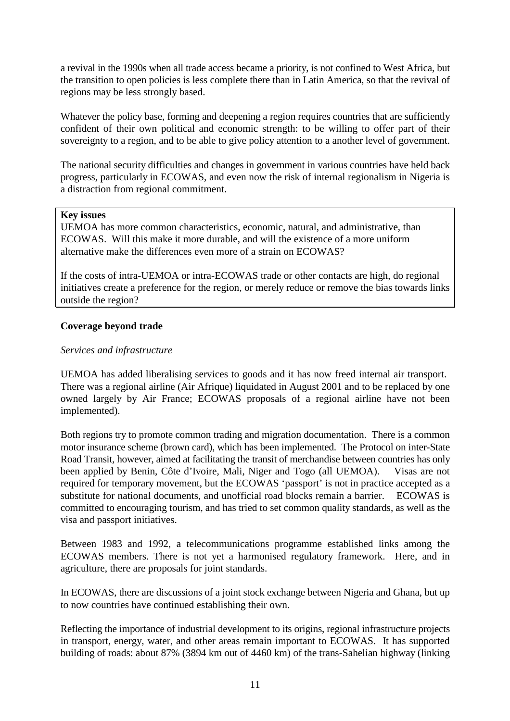<span id="page-12-0"></span>a revival in the 1990s when all trade access became a priority, is not confined to West Africa, but the transition to open policies is less complete there than in Latin America, so that the revival of regions may be less strongly based.

Whatever the policy base, forming and deepening a region requires countries that are sufficiently confident of their own political and economic strength: to be willing to offer part of their sovereignty to a region, and to be able to give policy attention to a another level of government.

The national security difficulties and changes in government in various countries have held back progress, particularly in ECOWAS, and even now the risk of internal regionalism in Nigeria is a distraction from regional commitment.

#### **Key issues**

UEMOA has more common characteristics, economic, natural, and administrative, than ECOWAS. Will this make it more durable, and will the existence of a more uniform alternative make the differences even more of a strain on ECOWAS?

If the costs of intra-UEMOA or intra-ECOWAS trade or other contacts are high, do regional initiatives create a preference for the region, or merely reduce or remove the bias towards links outside the region?

#### **Coverage beyond trade**

#### *Services and infrastructure*

UEMOA has added liberalising services to goods and it has now freed internal air transport. There was a regional airline (Air Afrique) liquidated in August 2001 and to be replaced by one owned largely by Air France; ECOWAS proposals of a regional airline have not been implemented).

Both regions try to promote common trading and migration documentation. There is a common motor insurance scheme (brown card), which has been implemented. The Protocol on inter-State Road Transit, however, aimed at facilitating the transit of merchandise between countries has only been applied by Benin, Côte d'Ivoire, Mali, Niger and Togo (all UEMOA). Visas are not required for temporary movement, but the ECOWAS 'passport' is not in practice accepted as a substitute for national documents, and unofficial road blocks remain a barrier. ECOWAS is committed to encouraging tourism, and has tried to set common quality standards, as well as the visa and passport initiatives.

Between 1983 and 1992, a telecommunications programme established links among the ECOWAS members. There is not yet a harmonised regulatory framework. Here, and in agriculture, there are proposals for joint standards.

In ECOWAS, there are discussions of a joint stock exchange between Nigeria and Ghana, but up to now countries have continued establishing their own.

Reflecting the importance of industrial development to its origins, regional infrastructure projects in transport, energy, water, and other areas remain important to ECOWAS. It has supported building of roads: about 87% (3894 km out of 4460 km) of the trans-Sahelian highway (linking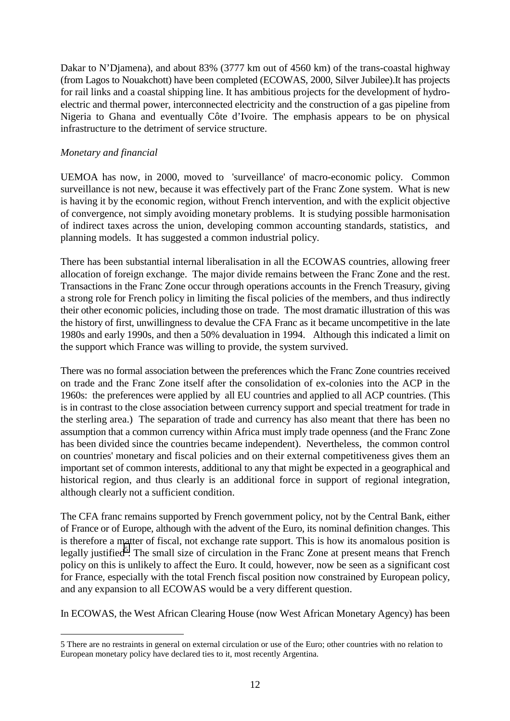<span id="page-13-0"></span>Dakar to N'Djamena), and about 83% (3777 km out of 4560 km) of the trans-coastal highway (from Lagos to Nouakchott) have been completed (ECOWAS, 2000, Silver Jubilee).It has projects for rail links and a coastal shipping line. It has ambitious projects for the development of hydroelectric and thermal power, interconnected electricity and the construction of a gas pipeline from Nigeria to Ghana and eventually Côte d'Ivoire. The emphasis appears to be on physical infrastructure to the detriment of service structure.

#### *Monetary and financial*

 $\overline{a}$ 

UEMOA has now, in 2000, moved to 'surveillance' of macro-economic policy. Common surveillance is not new, because it was effectively part of the Franc Zone system. What is new is having it by the economic region, without French intervention, and with the explicit objective of convergence, not simply avoiding monetary problems. It is studying possible harmonisation of indirect taxes across the union, developing common accounting standards, statistics, and planning models. It has suggested a common industrial policy.

There has been substantial internal liberalisation in all the ECOWAS countries, allowing freer allocation of foreign exchange. The major divide remains between the Franc Zone and the rest. Transactions in the Franc Zone occur through operations accounts in the French Treasury, giving a strong role for French policy in limiting the fiscal policies of the members, and thus indirectly their other economic policies, including those on trade. The most dramatic illustration of this was the history of first, unwillingness to devalue the CFA Franc as it became uncompetitive in the late 1980s and early 1990s, and then a 50% devaluation in 1994. Although this indicated a limit on the support which France was willing to provide, the system survived.

There was no formal association between the preferences which the Franc Zone countries received on trade and the Franc Zone itself after the consolidation of ex-colonies into the ACP in the 1960s: the preferences were applied by all EU countries and applied to all ACP countries. (This is in contrast to the close association between currency support and special treatment for trade in the sterling area.) The separation of trade and currency has also meant that there has been no assumption that a common currency within Africa must imply trade openness (and the Franc Zone has been divided since the countries became independent). Nevertheless, the common control on countries' monetary and fiscal policies and on their external competitiveness gives them an important set of common interests, additional to any that might be expected in a geographical and historical region, and thus clearly is an additional force in support of regional integration, although clearly not a sufficient condition.

The CFA franc remains supported by French government policy, not by the Central Bank, either of France or of Europe, although with the advent of the Euro, its nominal definition changes. This is therefore a matter of fiscal, not exchange rate support. This is how its anomalous position is legally justified<sup>5</sup>. The small size of circulation in the Franc Zone at present means that French policy on this is unlikely to affect the Euro. It could, however, now be seen as a significant cost for France, especially with the total French fiscal position now constrained by European policy, and any expansion to all ECOWAS would be a very different question.

In ECOWAS, the West African Clearing House (now West African Monetary Agency) has been

<sup>5</sup> There are no restraints in general on external circulation or use of the Euro; other countries with no relation to European monetary policy have declared ties to it, most recently Argentina.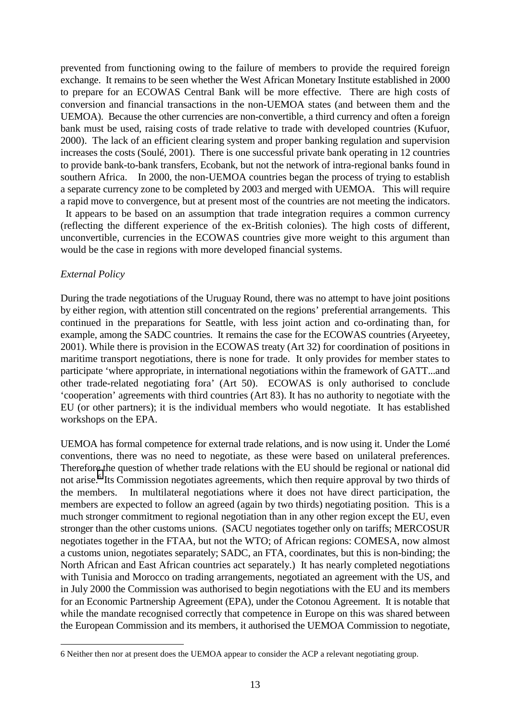<span id="page-14-0"></span>prevented from functioning owing to the failure of members to provide the required foreign exchange. It remains to be seen whether the West African Monetary Institute established in 2000 to prepare for an ECOWAS Central Bank will be more effective. There are high costs of conversion and financial transactions in the non-UEMOA states (and between them and the UEMOA). Because the other currencies are non-convertible, a third currency and often a foreign bank must be used, raising costs of trade relative to trade with developed countries (Kufuor, 2000). The lack of an efficient clearing system and proper banking regulation and supervision increases the costs (Soulé, 2001). There is one successful private bank operating in 12 countries to provide bank-to-bank transfers, Ecobank, but not the network of intra-regional banks found in southern Africa. In 2000, the non-UEMOA countries began the process of trying to establish a separate currency zone to be completed by 2003 and merged with UEMOA. This will require a rapid move to convergence, but at present most of the countries are not meeting the indicators.

 It appears to be based on an assumption that trade integration requires a common currency (reflecting the different experience of the ex-British colonies). The high costs of different, unconvertible, currencies in the ECOWAS countries give more weight to this argument than would be the case in regions with more developed financial systems.

#### *External Policy*

 $\overline{a}$ 

During the trade negotiations of the Uruguay Round, there was no attempt to have joint positions by either region, with attention still concentrated on the regions' preferential arrangements. This continued in the preparations for Seattle, with less joint action and co-ordinating than, for example, among the SADC countries. It remains the case for the ECOWAS countries (Aryeetey, 2001). While there is provision in the ECOWAS treaty (Art 32) for coordination of positions in maritime transport negotiations, there is none for trade. It only provides for member states to participate 'where appropriate, in international negotiations within the framework of GATT...and other trade-related negotiating fora' (Art 50). ECOWAS is only authorised to conclude 'cooperation' agreements with third countries (Art 83). It has no authority to negotiate with the EU (or other partners); it is the individual members who would negotiate. It has established workshops on the EPA.

UEMOA has formal competence for external trade relations, and is now using it. Under the Lomé conventions, there was no need to negotiate, as these were based on unilateral preferences. Therefore the question of whether trade relations with the EU should be regional or national did not arise.<sup>6</sup> Its Commission negotiates agreements, which then require approval by two thirds of the members. In multilateral negotiations where it does not have direct participation, the members are expected to follow an agreed (again by two thirds) negotiating position. This is a much stronger commitment to regional negotiation than in any other region except the EU, even stronger than the other customs unions. (SACU negotiates together only on tariffs; MERCOSUR negotiates together in the FTAA, but not the WTO; of African regions: COMESA, now almost a customs union, negotiates separately; SADC, an FTA, coordinates, but this is non-binding; the North African and East African countries act separately.) It has nearly completed negotiations with Tunisia and Morocco on trading arrangements, negotiated an agreement with the US, and in July 2000 the Commission was authorised to begin negotiations with the EU and its members for an Economic Partnership Agreement (EPA), under the Cotonou Agreement. It is notable that while the mandate recognised correctly that competence in Europe on this was shared between the European Commission and its members, it authorised the UEMOA Commission to negotiate,

<sup>6</sup> Neither then nor at present does the UEMOA appear to consider the ACP a relevant negotiating group.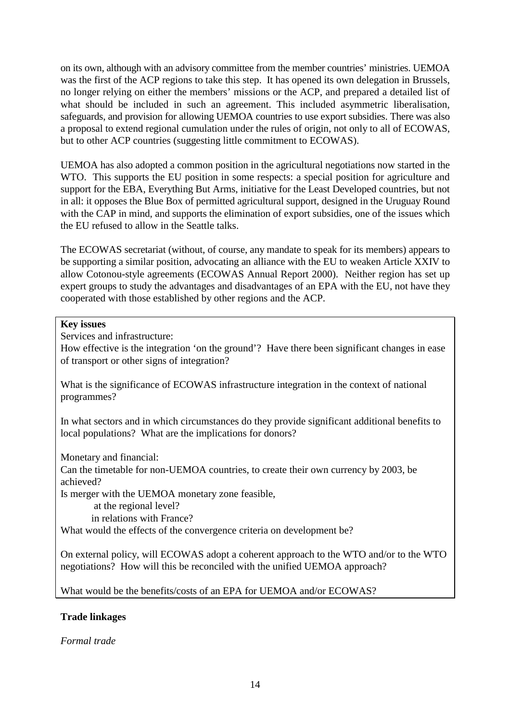<span id="page-15-0"></span>on its own, although with an advisory committee from the member countries' ministries. UEMOA was the first of the ACP regions to take this step. It has opened its own delegation in Brussels, no longer relying on either the members' missions or the ACP, and prepared a detailed list of what should be included in such an agreement. This included asymmetric liberalisation, safeguards, and provision for allowing UEMOA countries to use export subsidies. There was also a proposal to extend regional cumulation under the rules of origin, not only to all of ECOWAS, but to other ACP countries (suggesting little commitment to ECOWAS).

UEMOA has also adopted a common position in the agricultural negotiations now started in the WTO. This supports the EU position in some respects: a special position for agriculture and support for the EBA, Everything But Arms, initiative for the Least Developed countries, but not in all: it opposes the Blue Box of permitted agricultural support, designed in the Uruguay Round with the CAP in mind, and supports the elimination of export subsidies, one of the issues which the EU refused to allow in the Seattle talks.

The ECOWAS secretariat (without, of course, any mandate to speak for its members) appears to be supporting a similar position, advocating an alliance with the EU to weaken Article XXIV to allow Cotonou-style agreements (ECOWAS Annual Report 2000). Neither region has set up expert groups to study the advantages and disadvantages of an EPA with the EU, not have they cooperated with those established by other regions and the ACP.

#### **Key issues**

Services and infrastructure:

How effective is the integration 'on the ground'? Have there been significant changes in ease of transport or other signs of integration?

What is the significance of ECOWAS infrastructure integration in the context of national programmes?

In what sectors and in which circumstances do they provide significant additional benefits to local populations? What are the implications for donors?

Monetary and financial:

Can the timetable for non-UEMOA countries, to create their own currency by 2003, be achieved?

Is merger with the UEMOA monetary zone feasible,

at the regional level?

in relations with France?

What would the effects of the convergence criteria on development be?

On external policy, will ECOWAS adopt a coherent approach to the WTO and/or to the WTO negotiations? How will this be reconciled with the unified UEMOA approach?

What would be the benefits/costs of an EPA for UEMOA and/or ECOWAS?

#### **Trade linkages**

*Formal trade*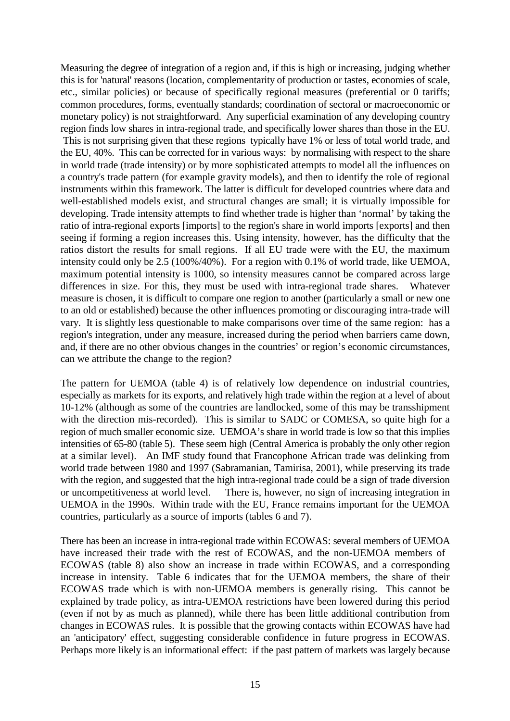Measuring the degree of integration of a region and, if this is high or increasing, judging whether this is for 'natural' reasons (location, complementarity of production or tastes, economies of scale, etc., similar policies) or because of specifically regional measures (preferential or 0 tariffs; common procedures, forms, eventually standards; coordination of sectoral or macroeconomic or monetary policy) is not straightforward. Any superficial examination of any developing country region finds low shares in intra-regional trade, and specifically lower shares than those in the EU. This is not surprising given that these regions typically have 1% or less of total world trade, and the EU, 40%. This can be corrected for in various ways: by normalising with respect to the share in world trade (trade intensity) or by more sophisticated attempts to model all the influences on a country's trade pattern (for example gravity models), and then to identify the role of regional instruments within this framework. The latter is difficult for developed countries where data and well-established models exist, and structural changes are small; it is virtually impossible for developing. Trade intensity attempts to find whether trade is higher than 'normal' by taking the ratio of intra-regional exports [imports] to the region's share in world imports [exports] and then seeing if forming a region increases this. Using intensity, however, has the difficulty that the ratios distort the results for small regions. If all EU trade were with the EU, the maximum intensity could only be 2.5 (100%/40%). For a region with 0.1% of world trade, like UEMOA, maximum potential intensity is 1000, so intensity measures cannot be compared across large differences in size. For this, they must be used with intra-regional trade shares. Whatever measure is chosen, it is difficult to compare one region to another (particularly a small or new one to an old or established) because the other influences promoting or discouraging intra-trade will vary. It is slightly less questionable to make comparisons over time of the same region: has a region's integration, under any measure, increased during the period when barriers came down, and, if there are no other obvious changes in the countries' or region's economic circumstances, can we attribute the change to the region?

The pattern for UEMOA (table 4) is of relatively low dependence on industrial countries, especially as markets for its exports, and relatively high trade within the region at a level of about 10-12% (although as some of the countries are landlocked, some of this may be transshipment with the direction mis-recorded). This is similar to SADC or COMESA, so quite high for a region of much smaller economic size. UEMOA's share in world trade is low so that this implies intensities of 65-80 (table 5). These seem high (Central America is probably the only other region at a similar level). An IMF study found that Francophone African trade was delinking from world trade between 1980 and 1997 (Sabramanian, Tamirisa, 2001), while preserving its trade with the region, and suggested that the high intra-regional trade could be a sign of trade diversion or uncompetitiveness at world level. There is, however, no sign of increasing integration in UEMOA in the 1990s. Within trade with the EU, France remains important for the UEMOA countries, particularly as a source of imports (tables 6 and 7).

There has been an increase in intra-regional trade within ECOWAS: several members of UEMOA have increased their trade with the rest of ECOWAS, and the non-UEMOA members of ECOWAS (table 8) also show an increase in trade within ECOWAS, and a corresponding increase in intensity. Table 6 indicates that for the UEMOA members, the share of their ECOWAS trade which is with non-UEMOA members is generally rising. This cannot be explained by trade policy, as intra-UEMOA restrictions have been lowered during this period (even if not by as much as planned), while there has been little additional contribution from changes in ECOWAS rules. It is possible that the growing contacts within ECOWAS have had an 'anticipatory' effect, suggesting considerable confidence in future progress in ECOWAS. Perhaps more likely is an informational effect: if the past pattern of markets was largely because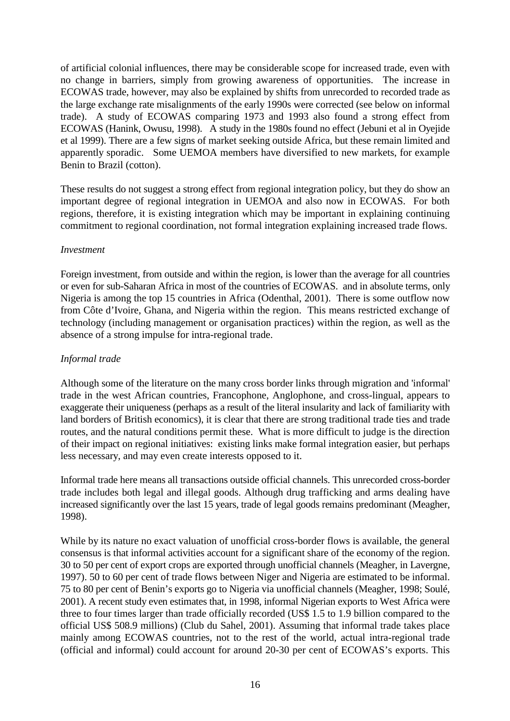<span id="page-17-0"></span>of artificial colonial influences, there may be considerable scope for increased trade, even with no change in barriers, simply from growing awareness of opportunities. The increase in ECOWAS trade, however, may also be explained by shifts from unrecorded to recorded trade as the large exchange rate misalignments of the early 1990s were corrected (see below on informal trade). A study of ECOWAS comparing 1973 and 1993 also found a strong effect from ECOWAS (Hanink, Owusu, 1998). A study in the 1980s found no effect (Jebuni et al in Oyejide et al 1999). There are a few signs of market seeking outside Africa, but these remain limited and apparently sporadic. Some UEMOA members have diversified to new markets, for example Benin to Brazil (cotton).

These results do not suggest a strong effect from regional integration policy, but they do show an important degree of regional integration in UEMOA and also now in ECOWAS. For both regions, therefore, it is existing integration which may be important in explaining continuing commitment to regional coordination, not formal integration explaining increased trade flows.

#### *Investment*

Foreign investment, from outside and within the region, is lower than the average for all countries or even for sub-Saharan Africa in most of the countries of ECOWAS. and in absolute terms, only Nigeria is among the top 15 countries in Africa (Odenthal, 2001). There is some outflow now from Côte d'Ivoire, Ghana, and Nigeria within the region. This means restricted exchange of technology (including management or organisation practices) within the region, as well as the absence of a strong impulse for intra-regional trade.

#### *Informal trade*

Although some of the literature on the many cross border links through migration and 'informal' trade in the west African countries, Francophone, Anglophone, and cross-lingual, appears to exaggerate their uniqueness (perhaps as a result of the literal insularity and lack of familiarity with land borders of British economics), it is clear that there are strong traditional trade ties and trade routes, and the natural conditions permit these. What is more difficult to judge is the direction of their impact on regional initiatives: existing links make formal integration easier, but perhaps less necessary, and may even create interests opposed to it.

Informal trade here means all transactions outside official channels. This unrecorded cross-border trade includes both legal and illegal goods. Although drug trafficking and arms dealing have increased significantly over the last 15 years, trade of legal goods remains predominant (Meagher, 1998).

While by its nature no exact valuation of unofficial cross-border flows is available, the general consensus is that informal activities account for a significant share of the economy of the region. 30 to 50 per cent of export crops are exported through unofficial channels (Meagher, in Lavergne, 1997). 50 to 60 per cent of trade flows between Niger and Nigeria are estimated to be informal. 75 to 80 per cent of Benin's exports go to Nigeria via unofficial channels (Meagher, 1998; Soulé, 2001). A recent study even estimates that, in 1998, informal Nigerian exports to West Africa were three to four times larger than trade officially recorded (US\$ 1.5 to 1.9 billion compared to the official US\$ 508.9 millions) (Club du Sahel, 2001). Assuming that informal trade takes place mainly among ECOWAS countries, not to the rest of the world, actual intra-regional trade (official and informal) could account for around 20-30 per cent of ECOWAS's exports. This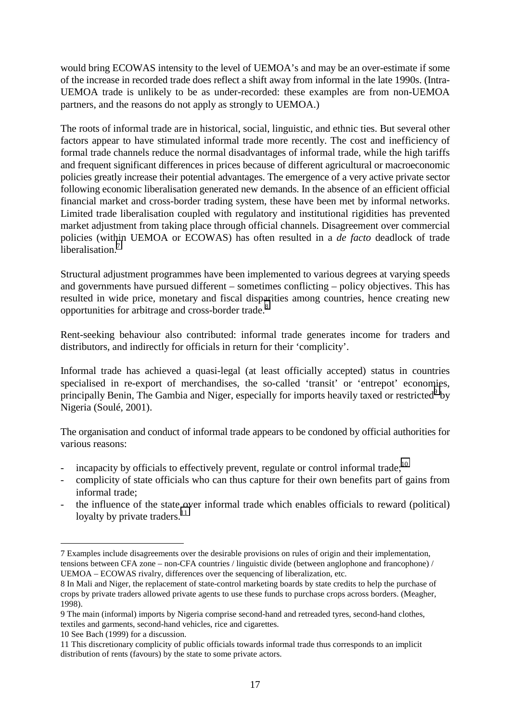would bring ECOWAS intensity to the level of UEMOA's and may be an over-estimate if some of the increase in recorded trade does reflect a shift away from informal in the late 1990s. (Intra-UEMOA trade is unlikely to be as under-recorded: these examples are from non-UEMOA partners, and the reasons do not apply as strongly to UEMOA.)

The roots of informal trade are in historical, social, linguistic, and ethnic ties. But several other factors appear to have stimulated informal trade more recently. The cost and inefficiency of formal trade channels reduce the normal disadvantages of informal trade, while the high tariffs and frequent significant differences in prices because of different agricultural or macroeconomic policies greatly increase their potential advantages. The emergence of a very active private sector following economic liberalisation generated new demands. In the absence of an efficient official financial market and cross-border trading system, these have been met by informal networks. Limited trade liberalisation coupled with regulatory and institutional rigidities has prevented market adjustment from taking place through official channels. Disagreement over commercial policies (within UEMOA or ECOWAS) has often resulted in a *de facto* deadlock of trade liberalisation<sup>7</sup>

Structural adjustment programmes have been implemented to various degrees at varying speeds and governments have pursued different – sometimes conflicting – policy objectives. This has resulted in wide price, monetary and fiscal disparities among countries, hence creating new opportunities for arbitrage and cross-border trade.<sup>8</sup>

Rent-seeking behaviour also contributed: informal trade generates income for traders and distributors, and indirectly for officials in return for their 'complicity'.

Informal trade has achieved a quasi-legal (at least officially accepted) status in countries specialised in re-export of merchandises, the so-called 'transit' or 'entrepot' economies, principally Benin, The Gambia and Niger, especially for imports heavily taxed or restricted<sup>9</sup> by Nigeria (Soulé, 2001).

The organisation and conduct of informal trade appears to be condoned by official authorities for various reasons:

- incapacity by officials to effectively prevent, regulate or control informal trade; $^{10}$
- complicity of state officials who can thus capture for their own benefits part of gains from informal trade;
- the influence of the state over informal trade which enables officials to reward (political) loyalty by private traders. $^{11}$

 $\overline{a}$ 

<sup>7</sup> Examples include disagreements over the desirable provisions on rules of origin and their implementation, tensions between CFA zone – non-CFA countries / linguistic divide (between anglophone and francophone) / UEMOA – ECOWAS rivalry, differences over the sequencing of liberalization, etc.

<sup>8</sup> In Mali and Niger, the replacement of state-control marketing boards by state credits to help the purchase of crops by private traders allowed private agents to use these funds to purchase crops across borders. (Meagher, 1998).

<sup>9</sup> The main (informal) imports by Nigeria comprise second-hand and retreaded tyres, second-hand clothes, textiles and garments, second-hand vehicles, rice and cigarettes.

<sup>10</sup> See Bach (1999) for a discussion.

<sup>11</sup> This discretionary complicity of public officials towards informal trade thus corresponds to an implicit distribution of rents (favours) by the state to some private actors.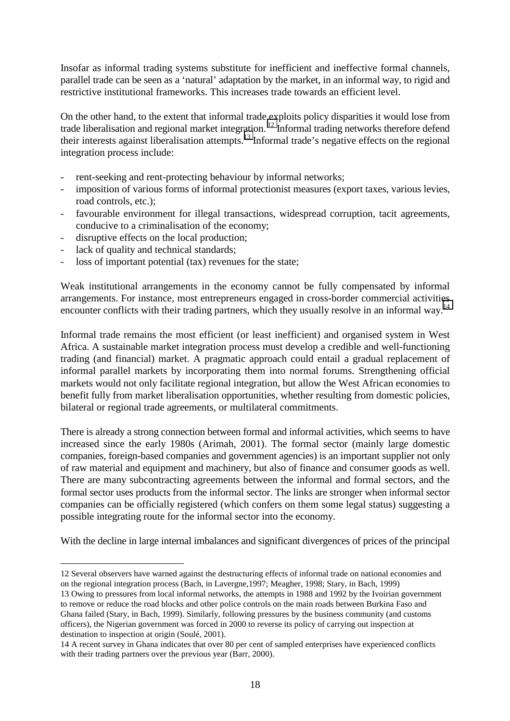Insofar as informal trading systems substitute for inefficient and ineffective formal channels, parallel trade can be seen as a 'natural' adaptation by the market, in an informal way, to rigid and restrictive institutional frameworks. This increases trade towards an efficient level.

On the other hand, to the extent that informal trade exploits policy disparities it would lose from trade liberalisation and regional market integration. 12 Informal trading networks therefore defend their interests against liberalisation attempts.<sup>13</sup> Informal trade's negative effects on the regional integration process include:

- rent-seeking and rent-protecting behaviour by informal networks;
- imposition of various forms of informal protectionist measures (export taxes, various levies, road controls, etc.);
- favourable environment for illegal transactions, widespread corruption, tacit agreements, conducive to a criminalisation of the economy;
- disruptive effects on the local production;
- lack of quality and technical standards;

 $\overline{a}$ 

- loss of important potential (tax) revenues for the state;

Weak institutional arrangements in the economy cannot be fully compensated by informal arrangements. For instance, most entrepreneurs engaged in cross-border commercial activities encounter conflicts with their trading partners, which they usually resolve in an informal way.<sup>14</sup>

Informal trade remains the most efficient (or least inefficient) and organised system in West Africa. A sustainable market integration process must develop a credible and well-functioning trading (and financial) market. A pragmatic approach could entail a gradual replacement of informal parallel markets by incorporating them into normal forums. Strengthening official markets would not only facilitate regional integration, but allow the West African economies to benefit fully from market liberalisation opportunities, whether resulting from domestic policies, bilateral or regional trade agreements, or multilateral commitments.

There is already a strong connection between formal and informal activities, which seems to have increased since the early 1980s (Arimah, 2001). The formal sector (mainly large domestic companies, foreign-based companies and government agencies) is an important supplier not only of raw material and equipment and machinery, but also of finance and consumer goods as well. There are many subcontracting agreements between the informal and formal sectors, and the formal sector uses products from the informal sector. The links are stronger when informal sector companies can be officially registered (which confers on them some legal status) suggesting a possible integrating route for the informal sector into the economy.

With the decline in large internal imbalances and significant divergences of prices of the principal

<sup>12</sup> Several observers have warned against the destructuring effects of informal trade on national economies and on the regional integration process (Bach, in Lavergne,1997; Meagher, 1998; Stary, in Bach, 1999)

<sup>13</sup> Owing to pressures from local informal networks, the attempts in 1988 and 1992 by the Ivoirian government to remove or reduce the road blocks and other police controls on the main roads between Burkina Faso and Ghana failed (Stary, in Bach, 1999). Similarly, following pressures by the business community (and customs officers), the Nigerian government was forced in 2000 to reverse its policy of carrying out inspection at destination to inspection at origin (Soulé, 2001).

<sup>14</sup> A recent survey in Ghana indicates that over 80 per cent of sampled enterprises have experienced conflicts with their trading partners over the previous year (Barr, 2000).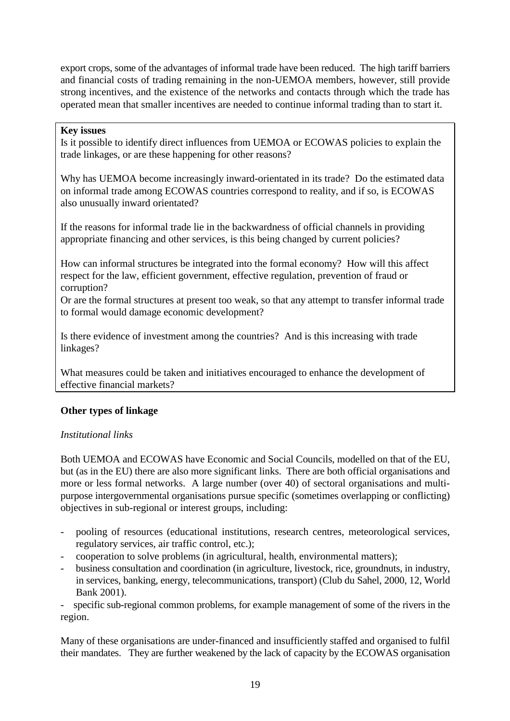<span id="page-20-0"></span>export crops, some of the advantages of informal trade have been reduced. The high tariff barriers and financial costs of trading remaining in the non-UEMOA members, however, still provide strong incentives, and the existence of the networks and contacts through which the trade has operated mean that smaller incentives are needed to continue informal trading than to start it.

#### **Key issues**

Is it possible to identify direct influences from UEMOA or ECOWAS policies to explain the trade linkages, or are these happening for other reasons?

Why has UEMOA become increasingly inward-orientated in its trade? Do the estimated data on informal trade among ECOWAS countries correspond to reality, and if so, is ECOWAS also unusually inward orientated?

If the reasons for informal trade lie in the backwardness of official channels in providing appropriate financing and other services, is this being changed by current policies?

How can informal structures be integrated into the formal economy? How will this affect respect for the law, efficient government, effective regulation, prevention of fraud or corruption?

Or are the formal structures at present too weak, so that any attempt to transfer informal trade to formal would damage economic development?

Is there evidence of investment among the countries? And is this increasing with trade linkages?

What measures could be taken and initiatives encouraged to enhance the development of effective financial markets?

#### **Other types of linkage**

#### *Institutional links*

Both UEMOA and ECOWAS have Economic and Social Councils, modelled on that of the EU, but (as in the EU) there are also more significant links. There are both official organisations and more or less formal networks. A large number (over 40) of sectoral organisations and multipurpose intergovernmental organisations pursue specific (sometimes overlapping or conflicting) objectives in sub-regional or interest groups, including:

- pooling of resources (educational institutions, research centres, meteorological services, regulatory services, air traffic control, etc.);
- cooperation to solve problems (in agricultural, health, environmental matters);
- business consultation and coordination (in agriculture, livestock, rice, groundnuts, in industry, in services, banking, energy, telecommunications, transport) (Club du Sahel, 2000, 12, World Bank 2001).

specific sub-regional common problems, for example management of some of the rivers in the region.

Many of these organisations are under-financed and insufficiently staffed and organised to fulfil their mandates. They are further weakened by the lack of capacity by the ECOWAS organisation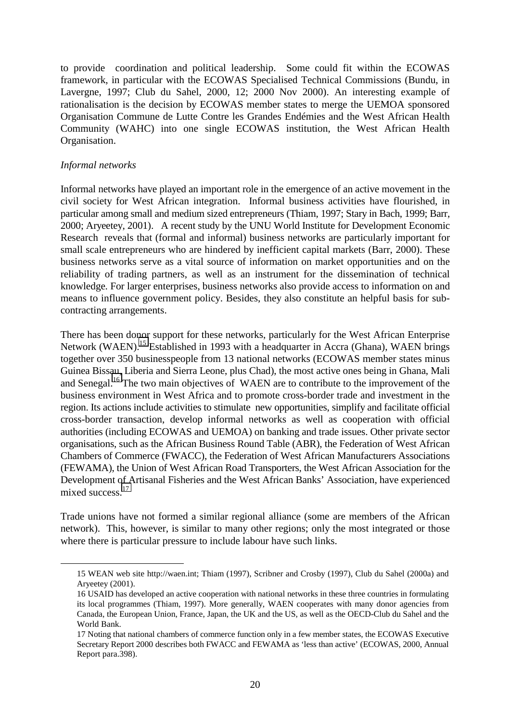<span id="page-21-0"></span>to provide coordination and political leadership. Some could fit within the ECOWAS framework, in particular with the ECOWAS Specialised Technical Commissions (Bundu, in Lavergne, 1997; Club du Sahel, 2000, 12; 2000 Nov 2000). An interesting example of rationalisation is the decision by ECOWAS member states to merge the UEMOA sponsored Organisation Commune de Lutte Contre les Grandes Endémies and the West African Health Community (WAHC) into one single ECOWAS institution, the West African Health Organisation.

#### *Informal networks*

 $\overline{a}$ 

Informal networks have played an important role in the emergence of an active movement in the civil society for West African integration. Informal business activities have flourished, in particular among small and medium sized entrepreneurs (Thiam, 1997; Stary in Bach, 1999; Barr, 2000; Aryeetey, 2001). A recent study by the UNU World Institute for Development Economic Research reveals that (formal and informal) business networks are particularly important for small scale entrepreneurs who are hindered by inefficient capital markets (Barr, 2000). These business networks serve as a vital source of information on market opportunities and on the reliability of trading partners, as well as an instrument for the dissemination of technical knowledge. For larger enterprises, business networks also provide access to information on and means to influence government policy. Besides, they also constitute an helpful basis for subcontracting arrangements.

There has been donor support for these networks, particularly for the West African Enterprise Network (WAEN).<sup>15</sup> Established in 1993 with a headquarter in Accra (Ghana), WAEN brings together over 350 businesspeople from 13 national networks (ECOWAS member states minus Guinea Bissau, Liberia and Sierra Leone, plus Chad), the most active ones being in Ghana, Mali and Senegal.<sup>16</sup> The two main objectives of WAEN are to contribute to the improvement of the business environment in West Africa and to promote cross-border trade and investment in the region. Its actions include activities to stimulate new opportunities, simplify and facilitate official cross-border transaction, develop informal networks as well as cooperation with official authorities (including ECOWAS and UEMOA) on banking and trade issues. Other private sector organisations, such as the African Business Round Table (ABR), the Federation of West African Chambers of Commerce (FWACC), the Federation of West African Manufacturers Associations (FEWAMA), the Union of West African Road Transporters, the West African Association for the Development of Artisanal Fisheries and the West African Banks' Association, have experienced mixed success.<sup>17</sup>

Trade unions have not formed a similar regional alliance (some are members of the African network). This, however, is similar to many other regions; only the most integrated or those where there is particular pressure to include labour have such links.

<sup>15</sup> WEAN web site http://waen.int; Thiam (1997), Scribner and Crosby (1997), Club du Sahel (2000a) and Aryeetey (2001).

<sup>16</sup> USAID has developed an active cooperation with national networks in these three countries in formulating its local programmes (Thiam, 1997). More generally, WAEN cooperates with many donor agencies from Canada, the European Union, France, Japan, the UK and the US, as well as the OECD-Club du Sahel and the World Bank.

<sup>17</sup> Noting that national chambers of commerce function only in a few member states, the ECOWAS Executive Secretary Report 2000 describes both FWACC and FEWAMA as 'less than active' (ECOWAS, 2000, Annual Report para.398).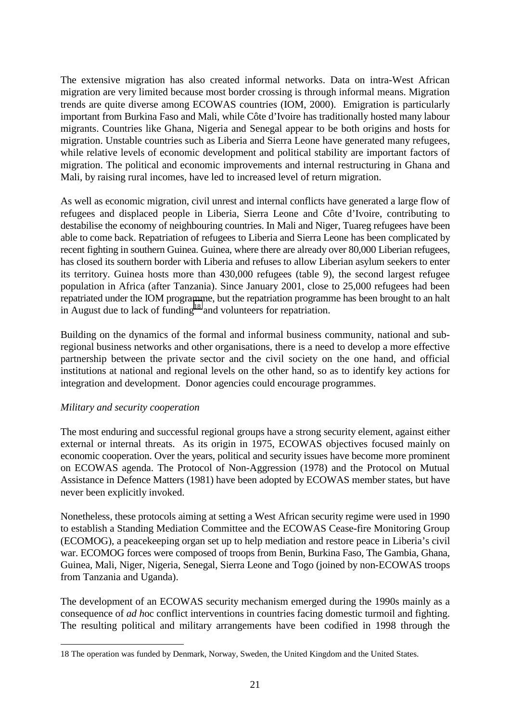<span id="page-22-0"></span>The extensive migration has also created informal networks. Data on intra-West African migration are very limited because most border crossing is through informal means. Migration trends are quite diverse among ECOWAS countries (IOM, 2000). Emigration is particularly important from Burkina Faso and Mali, while Côte d'Ivoire has traditionally hosted many labour migrants. Countries like Ghana, Nigeria and Senegal appear to be both origins and hosts for migration. Unstable countries such as Liberia and Sierra Leone have generated many refugees, while relative levels of economic development and political stability are important factors of migration. The political and economic improvements and internal restructuring in Ghana and Mali, by raising rural incomes, have led to increased level of return migration.

As well as economic migration, civil unrest and internal conflicts have generated a large flow of refugees and displaced people in Liberia, Sierra Leone and Côte d'Ivoire, contributing to destabilise the economy of neighbouring countries. In Mali and Niger, Tuareg refugees have been able to come back. Repatriation of refugees to Liberia and Sierra Leone has been complicated by recent fighting in southern Guinea. Guinea, where there are already over 80,000 Liberian refugees, has closed its southern border with Liberia and refuses to allow Liberian asylum seekers to enter its territory. Guinea hosts more than 430,000 refugees (table 9), the second largest refugee population in Africa (after Tanzania). Since January 2001, close to 25,000 refugees had been repatriated under the IOM programme, but the repatriation programme has been brought to an halt in August due to lack of funding<sup>18</sup> and volunteers for repatriation.

Building on the dynamics of the formal and informal business community, national and subregional business networks and other organisations, there is a need to develop a more effective partnership between the private sector and the civil society on the one hand, and official institutions at national and regional levels on the other hand, so as to identify key actions for integration and development. Donor agencies could encourage programmes.

#### *Military and security cooperation*

 $\overline{a}$ 

The most enduring and successful regional groups have a strong security element, against either external or internal threats. As its origin in 1975, ECOWAS objectives focused mainly on economic cooperation. Over the years, political and security issues have become more prominent on ECOWAS agenda. The Protocol of Non-Aggression (1978) and the Protocol on Mutual Assistance in Defence Matters (1981) have been adopted by ECOWAS member states, but have never been explicitly invoked.

Nonetheless, these protocols aiming at setting a West African security regime were used in 1990 to establish a Standing Mediation Committee and the ECOWAS Cease-fire Monitoring Group (ECOMOG), a peacekeeping organ set up to help mediation and restore peace in Liberia's civil war. ECOMOG forces were composed of troops from Benin, Burkina Faso, The Gambia, Ghana, Guinea, Mali, Niger, Nigeria, Senegal, Sierra Leone and Togo (joined by non-ECOWAS troops from Tanzania and Uganda).

The development of an ECOWAS security mechanism emerged during the 1990s mainly as a consequence of *ad h*oc conflict interventions in countries facing domestic turmoil and fighting. The resulting political and military arrangements have been codified in 1998 through the

<sup>18</sup> The operation was funded by Denmark, Norway, Sweden, the United Kingdom and the United States.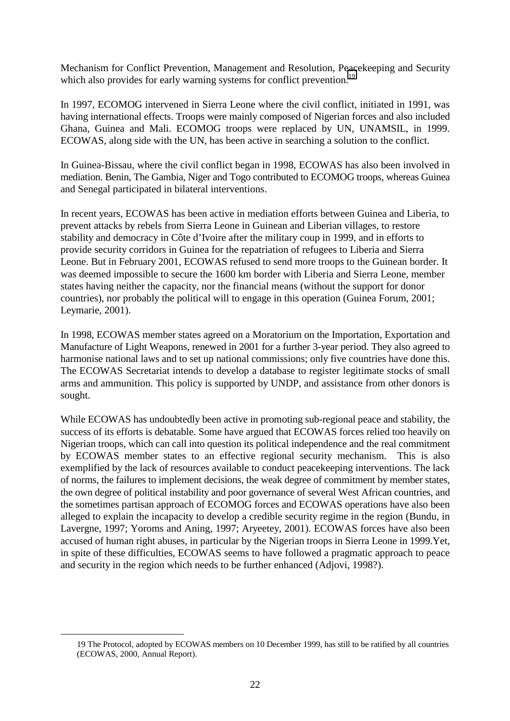Mechanism for Conflict Prevention, Management and Resolution, Peacekeeping and Security which also provides for early warning systems for conflict prevention.<sup>19</sup>

In 1997, ECOMOG intervened in Sierra Leone where the civil conflict, initiated in 1991, was having international effects. Troops were mainly composed of Nigerian forces and also included Ghana, Guinea and Mali. ECOMOG troops were replaced by UN, UNAMSIL, in 1999. ECOWAS, along side with the UN, has been active in searching a solution to the conflict.

In Guinea-Bissau, where the civil conflict began in 1998, ECOWAS has also been involved in mediation. Benin, The Gambia, Niger and Togo contributed to ECOMOG troops, whereas Guinea and Senegal participated in bilateral interventions.

In recent years, ECOWAS has been active in mediation efforts between Guinea and Liberia, to prevent attacks by rebels from Sierra Leone in Guinean and Liberian villages, to restore stability and democracy in Côte d'Ivoire after the military coup in 1999, and in efforts to provide security corridors in Guinea for the repatriation of refugees to Liberia and Sierra Leone. But in February 2001, ECOWAS refused to send more troops to the Guinean border. It was deemed impossible to secure the 1600 km border with Liberia and Sierra Leone, member states having neither the capacity, nor the financial means (without the support for donor countries), nor probably the political will to engage in this operation (Guinea Forum, 2001; Leymarie, 2001).

In 1998, ECOWAS member states agreed on a Moratorium on the Importation, Exportation and Manufacture of Light Weapons, renewed in 2001 for a further 3-year period. They also agreed to harmonise national laws and to set up national commissions; only five countries have done this. The ECOWAS Secretariat intends to develop a database to register legitimate stocks of small arms and ammunition. This policy is supported by UNDP, and assistance from other donors is sought.

While ECOWAS has undoubtedly been active in promoting sub-regional peace and stability, the success of its efforts is debatable. Some have argued that ECOWAS forces relied too heavily on Nigerian troops, which can call into question its political independence and the real commitment by ECOWAS member states to an effective regional security mechanism. This is also exemplified by the lack of resources available to conduct peacekeeping interventions. The lack of norms, the failures to implement decisions, the weak degree of commitment by member states, the own degree of political instability and poor governance of several West African countries, and the sometimes partisan approach of ECOMOG forces and ECOWAS operations have also been alleged to explain the incapacity to develop a credible security regime in the region (Bundu, in Lavergne, 1997; Yoroms and Aning, 1997; Aryeetey, 2001). ECOWAS forces have also been accused of human right abuses, in particular by the Nigerian troops in Sierra Leone in 1999.Yet, in spite of these difficulties, ECOWAS seems to have followed a pragmatic approach to peace and security in the region which needs to be further enhanced (Adjovi, 1998?).

 $\overline{a}$ 

<sup>19</sup> The Protocol, adopted by ECOWAS members on 10 December 1999, has still to be ratified by all countries (ECOWAS, 2000, Annual Report).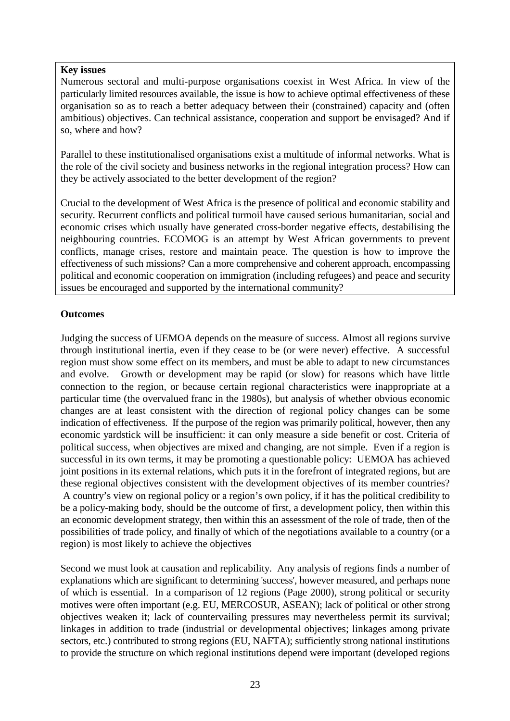#### <span id="page-24-0"></span>**Key issues**

Numerous sectoral and multi-purpose organisations coexist in West Africa. In view of the particularly limited resources available, the issue is how to achieve optimal effectiveness of these organisation so as to reach a better adequacy between their (constrained) capacity and (often ambitious) objectives. Can technical assistance, cooperation and support be envisaged? And if so, where and how?

Parallel to these institutionalised organisations exist a multitude of informal networks. What is the role of the civil society and business networks in the regional integration process? How can they be actively associated to the better development of the region?

Crucial to the development of West Africa is the presence of political and economic stability and security. Recurrent conflicts and political turmoil have caused serious humanitarian, social and economic crises which usually have generated cross-border negative effects, destabilising the neighbouring countries. ECOMOG is an attempt by West African governments to prevent conflicts, manage crises, restore and maintain peace. The question is how to improve the effectiveness of such missions? Can a more comprehensive and coherent approach, encompassing political and economic cooperation on immigration (including refugees) and peace and security issues be encouraged and supported by the international community?

#### **Outcomes**

Judging the success of UEMOA depends on the measure of success. Almost all regions survive through institutional inertia, even if they cease to be (or were never) effective. A successful region must show some effect on its members, and must be able to adapt to new circumstances and evolve. Growth or development may be rapid (or slow) for reasons which have little connection to the region, or because certain regional characteristics were inappropriate at a particular time (the overvalued franc in the 1980s), but analysis of whether obvious economic changes are at least consistent with the direction of regional policy changes can be some indication of effectiveness. If the purpose of the region was primarily political, however, then any economic yardstick will be insufficient: it can only measure a side benefit or cost. Criteria of political success, when objectives are mixed and changing, are not simple. Even if a region is successful in its own terms, it may be promoting a questionable policy: UEMOA has achieved joint positions in its external relations, which puts it in the forefront of integrated regions, but are these regional objectives consistent with the development objectives of its member countries? A country's view on regional policy or a region's own policy, if it has the political credibility to be a policy-making body, should be the outcome of first, a development policy, then within this an economic development strategy, then within this an assessment of the role of trade, then of the possibilities of trade policy, and finally of which of the negotiations available to a country (or a region) is most likely to achieve the objectives

Second we must look at causation and replicability. Any analysis of regions finds a number of explanations which are significant to determining 'success', however measured, and perhaps none of which is essential. In a comparison of 12 regions (Page 2000), strong political or security motives were often important (e.g. EU, MERCOSUR, ASEAN); lack of political or other strong objectives weaken it; lack of countervailing pressures may nevertheless permit its survival; linkages in addition to trade (industrial or developmental objectives; linkages among private sectors, etc.) contributed to strong regions (EU, NAFTA); sufficiently strong national institutions to provide the structure on which regional institutions depend were important (developed regions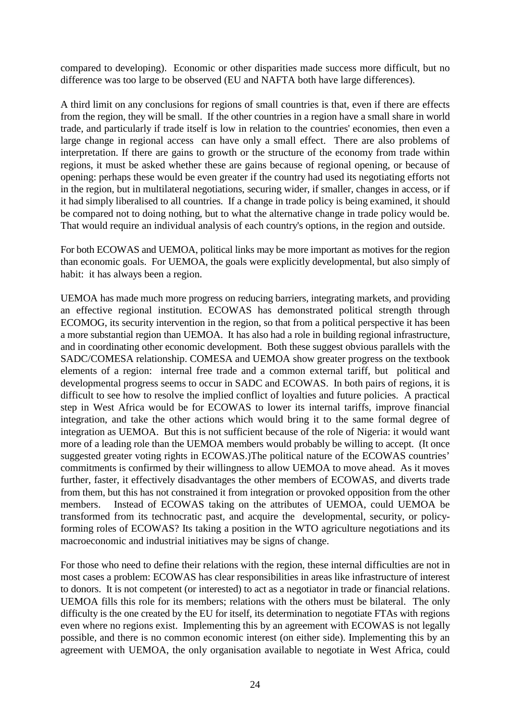compared to developing). Economic or other disparities made success more difficult, but no difference was too large to be observed (EU and NAFTA both have large differences).

A third limit on any conclusions for regions of small countries is that, even if there are effects from the region, they will be small. If the other countries in a region have a small share in world trade, and particularly if trade itself is low in relation to the countries' economies, then even a large change in regional access can have only a small effect. There are also problems of interpretation. If there are gains to growth or the structure of the economy from trade within regions, it must be asked whether these are gains because of regional opening, or because of opening: perhaps these would be even greater if the country had used its negotiating efforts not in the region, but in multilateral negotiations, securing wider, if smaller, changes in access, or if it had simply liberalised to all countries. If a change in trade policy is being examined, it should be compared not to doing nothing, but to what the alternative change in trade policy would be. That would require an individual analysis of each country's options, in the region and outside.

For both ECOWAS and UEMOA, political links may be more important as motives for the region than economic goals. For UEMOA, the goals were explicitly developmental, but also simply of habit: it has always been a region.

UEMOA has made much more progress on reducing barriers, integrating markets, and providing an effective regional institution. ECOWAS has demonstrated political strength through ECOMOG, its security intervention in the region, so that from a political perspective it has been a more substantial region than UEMOA. It has also had a role in building regional infrastructure, and in coordinating other economic development. Both these suggest obvious parallels with the SADC/COMESA relationship. COMESA and UEMOA show greater progress on the textbook elements of a region: internal free trade and a common external tariff, but political and developmental progress seems to occur in SADC and ECOWAS. In both pairs of regions, it is difficult to see how to resolve the implied conflict of loyalties and future policies. A practical step in West Africa would be for ECOWAS to lower its internal tariffs, improve financial integration, and take the other actions which would bring it to the same formal degree of integration as UEMOA. But this is not sufficient because of the role of Nigeria: it would want more of a leading role than the UEMOA members would probably be willing to accept. (It once suggested greater voting rights in ECOWAS.)The political nature of the ECOWAS countries' commitments is confirmed by their willingness to allow UEMOA to move ahead. As it moves further, faster, it effectively disadvantages the other members of ECOWAS, and diverts trade from them, but this has not constrained it from integration or provoked opposition from the other members. Instead of ECOWAS taking on the attributes of UEMOA, could UEMOA be transformed from its technocratic past, and acquire the developmental, security, or policyforming roles of ECOWAS? Its taking a position in the WTO agriculture negotiations and its macroeconomic and industrial initiatives may be signs of change.

For those who need to define their relations with the region, these internal difficulties are not in most cases a problem: ECOWAS has clear responsibilities in areas like infrastructure of interest to donors. It is not competent (or interested) to act as a negotiator in trade or financial relations. UEMOA fills this role for its members; relations with the others must be bilateral. The only difficulty is the one created by the EU for itself, its determination to negotiate FTAs with regions even where no regions exist. Implementing this by an agreement with ECOWAS is not legally possible, and there is no common economic interest (on either side). Implementing this by an agreement with UEMOA, the only organisation available to negotiate in West Africa, could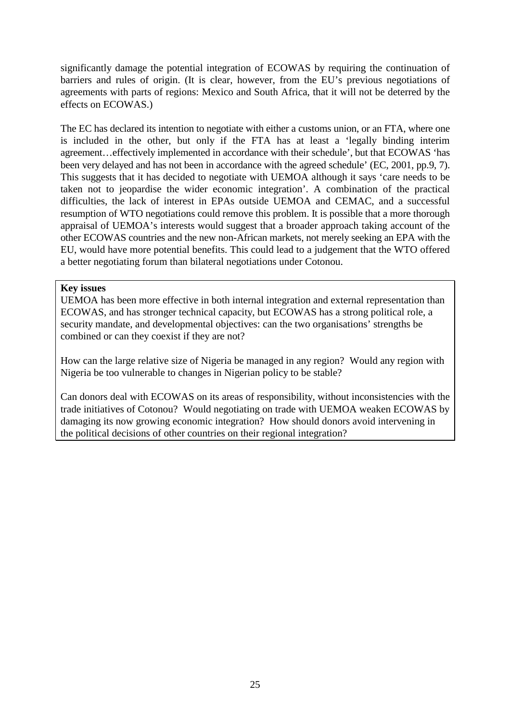significantly damage the potential integration of ECOWAS by requiring the continuation of barriers and rules of origin. (It is clear, however, from the EU's previous negotiations of agreements with parts of regions: Mexico and South Africa, that it will not be deterred by the effects on ECOWAS.)

The EC has declared its intention to negotiate with either a customs union, or an FTA, where one is included in the other, but only if the FTA has at least a 'legally binding interim agreement…effectively implemented in accordance with their schedule', but that ECOWAS 'has been very delayed and has not been in accordance with the agreed schedule' (EC, 2001, pp.9, 7). This suggests that it has decided to negotiate with UEMOA although it says 'care needs to be taken not to jeopardise the wider economic integration'. A combination of the practical difficulties, the lack of interest in EPAs outside UEMOA and CEMAC, and a successful resumption of WTO negotiations could remove this problem. It is possible that a more thorough appraisal of UEMOA's interests would suggest that a broader approach taking account of the other ECOWAS countries and the new non-African markets, not merely seeking an EPA with the EU, would have more potential benefits. This could lead to a judgement that the WTO offered a better negotiating forum than bilateral negotiations under Cotonou.

#### **Key issues**

UEMOA has been more effective in both internal integration and external representation than ECOWAS, and has stronger technical capacity, but ECOWAS has a strong political role, a security mandate, and developmental objectives: can the two organisations' strengths be combined or can they coexist if they are not?

How can the large relative size of Nigeria be managed in any region? Would any region with Nigeria be too vulnerable to changes in Nigerian policy to be stable?

Can donors deal with ECOWAS on its areas of responsibility, without inconsistencies with the trade initiatives of Cotonou? Would negotiating on trade with UEMOA weaken ECOWAS by damaging its now growing economic integration? How should donors avoid intervening in the political decisions of other countries on their regional integration?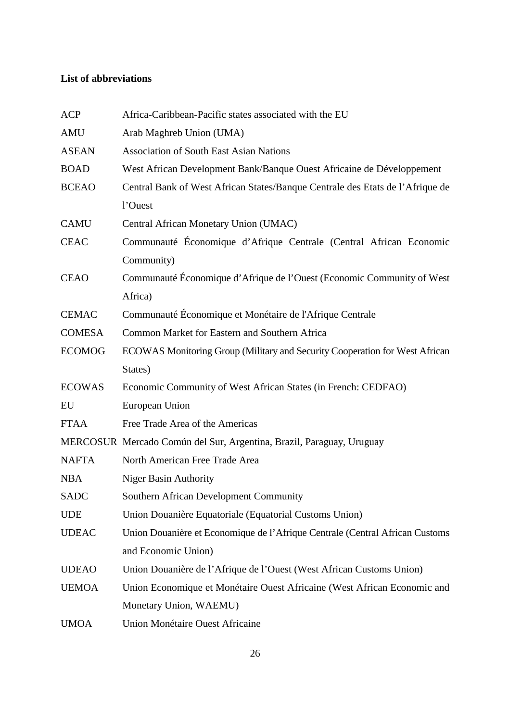#### <span id="page-27-0"></span>**List of abbreviations**

| <b>ACP</b>    | Africa-Caribbean-Pacific states associated with the EU                        |
|---------------|-------------------------------------------------------------------------------|
| <b>AMU</b>    | Arab Maghreb Union (UMA)                                                      |
| <b>ASEAN</b>  | <b>Association of South East Asian Nations</b>                                |
| <b>BOAD</b>   | West African Development Bank/Banque Ouest Africaine de Développement         |
| <b>BCEAO</b>  | Central Bank of West African States/Banque Centrale des Etats de l'Afrique de |
|               | l'Ouest                                                                       |
| <b>CAMU</b>   | Central African Monetary Union (UMAC)                                         |
| <b>CEAC</b>   | Communauté Économique d'Afrique Centrale (Central African Economic            |
|               | Community)                                                                    |
| <b>CEAO</b>   | Communauté Économique d'Afrique de l'Ouest (Economic Community of West        |
|               | Africa)                                                                       |
| <b>CEMAC</b>  | Communauté Économique et Monétaire de l'Afrique Centrale                      |
| <b>COMESA</b> | Common Market for Eastern and Southern Africa                                 |
| <b>ECOMOG</b> | ECOWAS Monitoring Group (Military and Security Cooperation for West African   |
|               | States)                                                                       |
| <b>ECOWAS</b> | Economic Community of West African States (in French: CEDFAO)                 |
| EU            | European Union                                                                |
| <b>FTAA</b>   | Free Trade Area of the Americas                                               |
|               | MERCOSUR Mercado Común del Sur, Argentina, Brazil, Paraguay, Uruguay          |
| <b>NAFTA</b>  | North American Free Trade Area                                                |
| <b>NBA</b>    | <b>Niger Basin Authority</b>                                                  |
| SADC          | <b>Southern African Development Community</b>                                 |
| <b>UDE</b>    | Union Douanière Equatoriale (Equatorial Customs Union)                        |
| <b>UDEAC</b>  | Union Douanière et Economique de l'Afrique Centrale (Central African Customs  |
|               | and Economic Union)                                                           |
| <b>UDEAO</b>  | Union Douanière de l'Afrique de l'Ouest (West African Customs Union)          |
| <b>UEMOA</b>  | Union Economique et Monétaire Ouest Africaine (West African Economic and      |
|               | Monetary Union, WAEMU)                                                        |
| <b>UMOA</b>   | <b>Union Monétaire Ouest Africaine</b>                                        |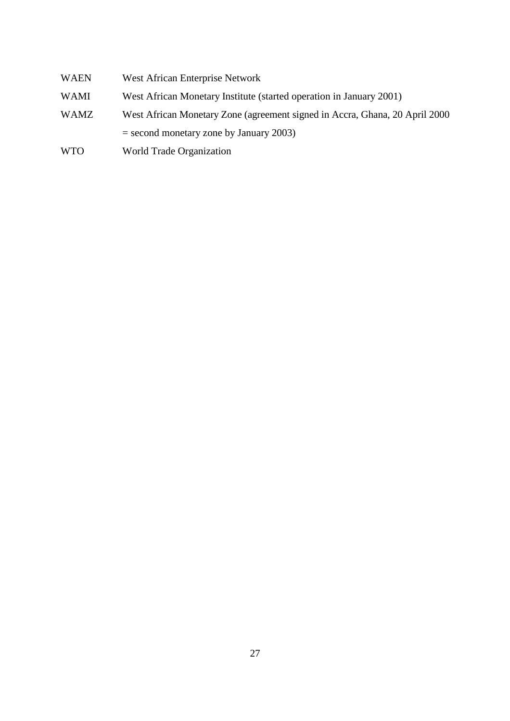- WAEN West African Enterprise Network
- WAMI West African Monetary Institute (started operation in January 2001)
- WAMZ West African Monetary Zone (agreement signed in Accra, Ghana, 20 April 2000

= second monetary zone by January 2003)

WTO World Trade Organization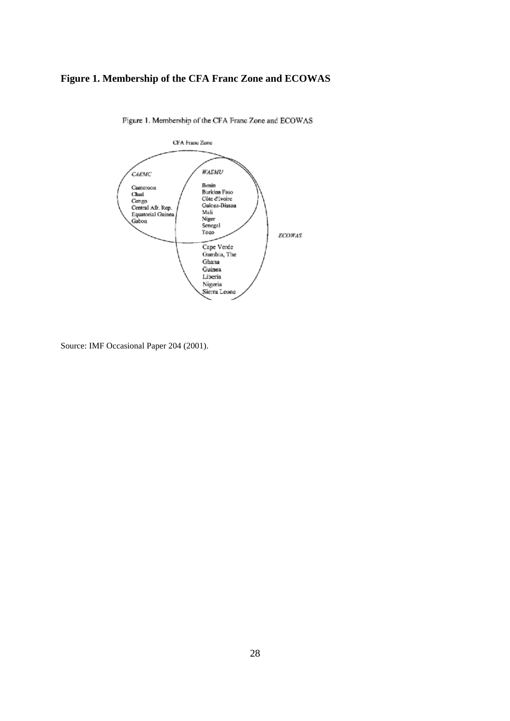### <span id="page-29-0"></span>**Figure 1. Membership of the CFA Franc Zone and ECOWAS**



Figure 1. Membership of the CFA Franc Zone and ECOWAS

Source: IMF Occasional Paper 204 (2001).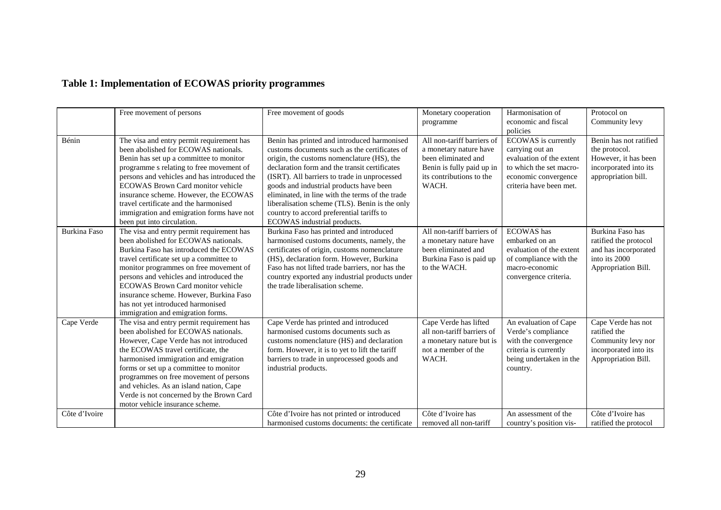# <span id="page-30-0"></span>**Table 1: Implementation of ECOWAS priority programmes**

|                     | Free movement of persons                                                                                                                                                                                                                                                                                                                                                                                                      | Free movement of goods                                                                                                                                                                                                                                                                                                                                                                                                                                                  | Monetary cooperation<br>programme                                                                                                             | Harmonisation of<br>economic and fiscal<br>policies                                                                                              | Protocol on<br>Community levy                                                                                   |
|---------------------|-------------------------------------------------------------------------------------------------------------------------------------------------------------------------------------------------------------------------------------------------------------------------------------------------------------------------------------------------------------------------------------------------------------------------------|-------------------------------------------------------------------------------------------------------------------------------------------------------------------------------------------------------------------------------------------------------------------------------------------------------------------------------------------------------------------------------------------------------------------------------------------------------------------------|-----------------------------------------------------------------------------------------------------------------------------------------------|--------------------------------------------------------------------------------------------------------------------------------------------------|-----------------------------------------------------------------------------------------------------------------|
| Bénin               | The visa and entry permit requirement has<br>been abolished for ECOWAS nationals.<br>Benin has set up a committee to monitor<br>programme s relating to free movement of<br>persons and vehicles and has introduced the<br>ECOWAS Brown Card monitor vehicle<br>insurance scheme. However, the ECOWAS<br>travel certificate and the harmonised<br>immigration and emigration forms have not<br>been put into circulation.     | Benin has printed and introduced harmonised<br>customs documents such as the certificates of<br>origin, the customs nomenclature (HS), the<br>declaration form and the transit certificates<br>(ISRT). All barriers to trade in unprocessed<br>goods and industrial products have been<br>eliminated, in line with the terms of the trade<br>liberalisation scheme (TLS). Benin is the only<br>country to accord preferential tariffs to<br>ECOWAS industrial products. | All non-tariff barriers of<br>a monetary nature have<br>been eliminated and<br>Benin is fully paid up in<br>its contributions to the<br>WACH. | ECOWAS is currently<br>carrying out an<br>evaluation of the extent<br>to which the set macro-<br>economic convergence<br>criteria have been met. | Benin has not ratified<br>the protocol.<br>However, it has been<br>incorporated into its<br>appropriation bill. |
| <b>Burkina Faso</b> | The visa and entry permit requirement has<br>been abolished for ECOWAS nationals.<br>Burkina Faso has introduced the ECOWAS<br>travel certificate set up a committee to<br>monitor programmes on free movement of<br>persons and vehicles and introduced the<br><b>ECOWAS Brown Card monitor vehicle</b><br>insurance scheme. However, Burkina Faso<br>has not yet introduced harmonised<br>immigration and emigration forms. | Burkina Faso has printed and introduced<br>harmonised customs documents, namely, the<br>certificates of origin, customs nomenclature<br>(HS), declaration form. However, Burkina<br>Faso has not lifted trade barriers, nor has the<br>country exported any industrial products under<br>the trade liberalisation scheme.                                                                                                                                               | All non-tariff barriers of<br>a monetary nature have<br>been eliminated and<br>Burkina Faso is paid up<br>to the WACH.                        | <b>ECOWAS</b> has<br>embarked on an<br>evaluation of the extent<br>of compliance with the<br>macro-economic<br>convergence criteria.             | Burkina Faso has<br>ratified the protocol<br>and has incorporated<br>into its 2000<br>Appropriation Bill.       |
| Cape Verde          | The visa and entry permit requirement has<br>been abolished for ECOWAS nationals.<br>However, Cape Verde has not introduced<br>the ECOWAS travel certificate, the<br>harmonised immigration and emigration<br>forms or set up a committee to monitor<br>programmes on free movement of persons<br>and vehicles. As an island nation, Cape<br>Verde is not concerned by the Brown Card<br>motor vehicle insurance scheme.      | Cape Verde has printed and introduced<br>harmonised customs documents such as<br>customs nomenclature (HS) and declaration<br>form. However, it is to yet to lift the tariff<br>barriers to trade in unprocessed goods and<br>industrial products.                                                                                                                                                                                                                      | Cape Verde has lifted<br>all non-tariff barriers of<br>a monetary nature but is<br>not a member of the<br>WACH.                               | An evaluation of Cape<br>Verde's compliance<br>with the convergence<br>criteria is currently<br>being undertaken in the<br>country.              | Cape Verde has not<br>ratified the<br>Community levy nor<br>incorporated into its<br>Appropriation Bill.        |
| Côte d'Ivoire       |                                                                                                                                                                                                                                                                                                                                                                                                                               | Côte d'Ivoire has not printed or introduced<br>harmonised customs documents: the certificate                                                                                                                                                                                                                                                                                                                                                                            | Côte d'Ivoire has<br>removed all non-tariff                                                                                                   | An assessment of the<br>country's position vis-                                                                                                  | Côte d'Ivoire has<br>ratified the protocol                                                                      |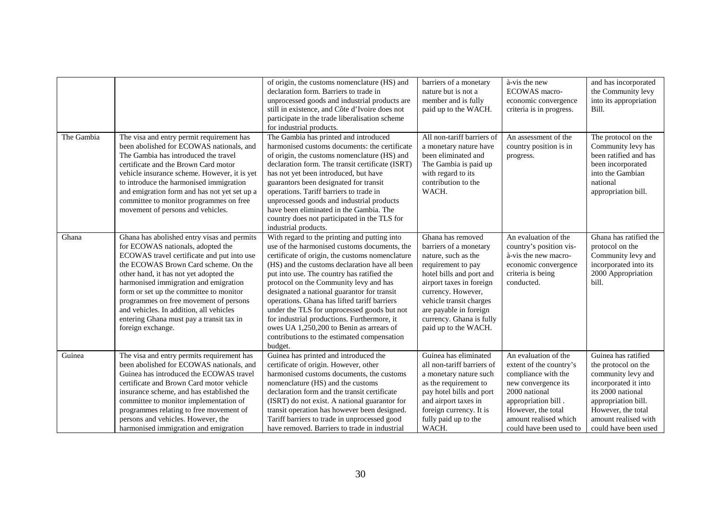|            |                                                                                                                                                                                                                                                                                                                                                                                                                                                            | of origin, the customs nomenclature (HS) and<br>declaration form. Barriers to trade in<br>unprocessed goods and industrial products are<br>still in existence, and Côte d'Ivoire does not<br>participate in the trade liberalisation scheme<br>for industrial products.                                                                                                                                                                                                                                                                                                                      | barriers of a monetary<br>nature but is not a<br>member and is fully<br>paid up to the WACH.                                                                                                                                                                                    | à-vis the new<br><b>ECOWAS</b> macro-<br>economic convergence<br>criteria is in progress.                                                                                                                       | and has incorporated<br>the Community levy<br>into its appropriation<br>Bill.                                                                                                                              |
|------------|------------------------------------------------------------------------------------------------------------------------------------------------------------------------------------------------------------------------------------------------------------------------------------------------------------------------------------------------------------------------------------------------------------------------------------------------------------|----------------------------------------------------------------------------------------------------------------------------------------------------------------------------------------------------------------------------------------------------------------------------------------------------------------------------------------------------------------------------------------------------------------------------------------------------------------------------------------------------------------------------------------------------------------------------------------------|---------------------------------------------------------------------------------------------------------------------------------------------------------------------------------------------------------------------------------------------------------------------------------|-----------------------------------------------------------------------------------------------------------------------------------------------------------------------------------------------------------------|------------------------------------------------------------------------------------------------------------------------------------------------------------------------------------------------------------|
| The Gambia | The visa and entry permit requirement has<br>been abolished for ECOWAS nationals, and<br>The Gambia has introduced the travel<br>certificate and the Brown Card motor<br>vehicle insurance scheme. However, it is yet<br>to introduce the harmonised immigration<br>and emigration form and has not yet set up a<br>committee to monitor programmes on free<br>movement of persons and vehicles.                                                           | The Gambia has printed and introduced<br>harmonised customs documents: the certificate<br>of origin, the customs nomenclature (HS) and<br>declaration form. The transit certificate (ISRT)<br>has not yet been introduced, but have<br>guarantors been designated for transit<br>operations. Tariff barriers to trade in<br>unprocessed goods and industrial products<br>have been eliminated in the Gambia. The<br>country does not participated in the TLS for<br>industrial products.                                                                                                     | All non-tariff barriers of<br>a monetary nature have<br>been eliminated and<br>The Gambia is paid up<br>with regard to its<br>contribution to the<br>WACH.                                                                                                                      | An assessment of the<br>country position is in<br>progress.                                                                                                                                                     | The protocol on the<br>Community levy has<br>been ratified and has<br>been incorporated<br>into the Gambian<br>national<br>appropriation bill.                                                             |
| Ghana      | Ghana has abolished entry visas and permits<br>for ECOWAS nationals, adopted the<br>ECOWAS travel certificate and put into use<br>the ECOWAS Brown Card scheme. On the<br>other hand, it has not yet adopted the<br>harmonised immigration and emigration<br>form or set up the committee to monitor<br>programmes on free movement of persons<br>and vehicles. In addition, all vehicles<br>entering Ghana must pay a transit tax in<br>foreign exchange. | With regard to the printing and putting into<br>use of the harmonised customs documents, the<br>certificate of origin, the customs nomenclature<br>(HS) and the customs declaration have all been<br>put into use. The country has ratified the<br>protocol on the Community levy and has<br>designated a national guarantor for transit<br>operations. Ghana has lifted tariff barriers<br>under the TLS for unprocessed goods but not<br>for industrial productions. Furthermore, it<br>owes UA 1,250,200 to Benin as arrears of<br>contributions to the estimated compensation<br>budget. | Ghana has removed<br>barriers of a monetary<br>nature, such as the<br>requirement to pay<br>hotel bills and port and<br>airport taxes in foreign<br>currency. However,<br>vehicle transit charges<br>are payable in foreign<br>currency. Ghana is fully<br>paid up to the WACH. | An evaluation of the<br>country's position vis-<br>à-vis the new macro-<br>economic convergence<br>criteria is being<br>conducted.                                                                              | Ghana has ratified the<br>protocol on the<br>Community levy and<br>incorporated into its<br>2000 Appropriation<br>bill.                                                                                    |
| Guinea     | The visa and entry permits requirement has<br>been abolished for ECOWAS nationals, and<br>Guinea has introduced the ECOWAS travel<br>certificate and Brown Card motor vehicle<br>insurance scheme, and has established the<br>committee to monitor implementation of<br>programmes relating to free movement of<br>persons and vehicles. However, the<br>harmonised immigration and emigration                                                             | Guinea has printed and introduced the<br>certificate of origin. However, other<br>harmonised customs documents, the customs<br>nomenclature (HS) and the customs<br>declaration form and the transit certificate<br>(ISRT) do not exist. A national guarantor for<br>transit operation has however been designed.<br>Tariff barriers to trade in unprocessed good<br>have removed. Barriers to trade in industrial                                                                                                                                                                           | Guinea has eliminated<br>all non-tariff barriers of<br>a monetary nature such<br>as the requirement to<br>pay hotel bills and port<br>and airport taxes in<br>foreign currency. It is<br>fully paid up to the<br>WACH.                                                          | An evaluation of the<br>extent of the country's<br>compliance with the<br>new convergence its<br>2000 national<br>appropriation bill.<br>However, the total<br>amount realised which<br>could have been used to | Guinea has ratified<br>the protocol on the<br>community levy and<br>incorporated it into<br>its 2000 national<br>appropriation bill.<br>However, the total<br>amount realised with<br>could have been used |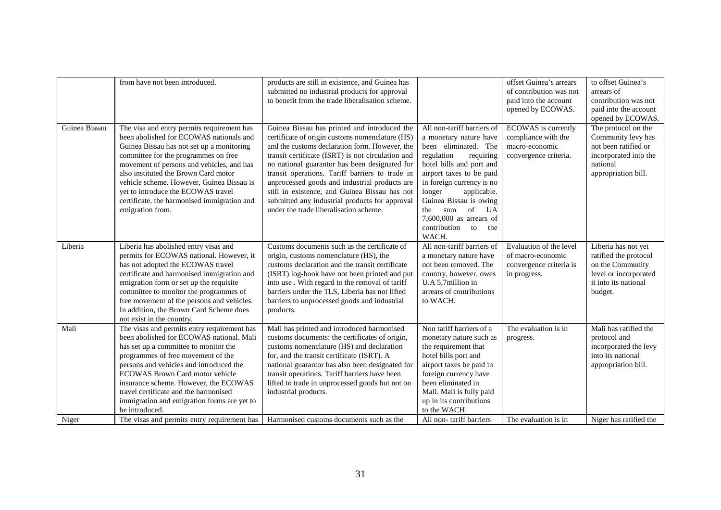|               | from have not been introduced.                                                                                                                                                                                                                                                                                                                                                                                        | products are still in existence, and Guinea has<br>submitted no industrial products for approval<br>to benefit from the trade liberalisation scheme.                                                                                                                                                                                                                                                                                                                                                     |                                                                                                                                                                                                                                                                                                                                              | offset Guinea's arrears<br>of contribution was not<br>paid into the account<br>opened by ECOWAS. | to offset Guinea's<br>arrears of<br>contribution was not<br>paid into the account<br>opened by ECOWAS.                        |
|---------------|-----------------------------------------------------------------------------------------------------------------------------------------------------------------------------------------------------------------------------------------------------------------------------------------------------------------------------------------------------------------------------------------------------------------------|----------------------------------------------------------------------------------------------------------------------------------------------------------------------------------------------------------------------------------------------------------------------------------------------------------------------------------------------------------------------------------------------------------------------------------------------------------------------------------------------------------|----------------------------------------------------------------------------------------------------------------------------------------------------------------------------------------------------------------------------------------------------------------------------------------------------------------------------------------------|--------------------------------------------------------------------------------------------------|-------------------------------------------------------------------------------------------------------------------------------|
| Guinea Bissau | The visa and entry permits requirement has<br>been abolished for ECOWAS nationals and<br>Guinea Bissau has not set up a monitoring<br>committee for the programmes on free<br>movement of persons and vehicles, and has<br>also instituted the Brown Card motor<br>vehicle scheme. However, Guinea Bissau is<br>yet to introduce the ECOWAS travel<br>certificate, the harmonised immigration and<br>emigration from. | Guinea Bissau has printed and introduced the<br>certificate of origin customs nomenclature (HS)<br>and the customs declaration form. However, the<br>transit certificate (ISRT) is not circulation and<br>no national guarantor has been designated for<br>transit operations. Tariff barriers to trade in<br>unprocessed goods and industrial products are<br>still in existence, and Guinea Bissau has not<br>submitted any industrial products for approval<br>under the trade liberalisation scheme. | All non-tariff barriers of<br>a monetary nature have<br>been eliminated. The<br>requiring<br>regulation<br>hotel bills and port and<br>airport taxes to be paid<br>in foreign currency is no<br>longer<br>applicable.<br>Guinea Bissau is owing<br>of<br>the<br>sum<br>UA<br>$7,600,000$ as arrears of<br>contribution<br>to<br>the<br>WACH. | ECOWAS is currently<br>compliance with the<br>macro-economic<br>convergence criteria.            | The protocol on the<br>Community levy has<br>not been ratified or<br>incorporated into the<br>national<br>appropriation bill. |
| Liberia       | Liberia has abolished entry visas and<br>permits for ECOWAS national. However, it<br>has not adopted the ECOWAS travel<br>certificate and harmonised immigration and<br>emigration form or set up the requisite<br>committee to monitor the programmes of<br>free movement of the persons and vehicles.<br>In addition, the Brown Card Scheme does<br>not exist in the country.                                       | Customs documents such as the certificate of<br>origin, customs nomenclature (HS), the<br>customs declaration and the transit certificate<br>(ISRT) log-book have not been printed and put<br>into use . With regard to the removal of tariff<br>barriers under the TLS, Liberia has not lifted<br>barriers to unprocessed goods and industrial<br>products.                                                                                                                                             | All non-tariff barriers of<br>a monetary nature have<br>not been removed. The<br>country, however, owes<br>U.A 5,7million in<br>arrears of contributions<br>to WACH.                                                                                                                                                                         | Evaluation of the level<br>of macro-economic<br>convergence criteria is<br>in progress.          | Liberia has not yet<br>ratified the protocol<br>on the Community<br>level or incorporated<br>it into its national<br>budget.  |
| Mali          | The visas and permits entry requirement has<br>been abolished for ECOWAS national. Mali<br>has set up a committee to monitor the<br>programmes of free movement of the<br>persons and vehicles and introduced the<br>ECOWAS Brown Card motor vehicle<br>insurance scheme. However, the ECOWAS<br>travel certificate and the harmonised<br>immigration and emigration forms are yet to<br>be introduced.               | Mali has printed and introduced harmonised<br>customs documents: the certificates of origin,<br>customs nomenclature (HS) and declaration<br>for, and the transit certificate (ISRT). A<br>national guarantor has also been designated for<br>transit operations. Tariff barriers have been<br>lifted to trade in unprocessed goods but not on<br>industrial products.                                                                                                                                   | Non tariff barriers of a<br>monetary nature such as<br>the requirement that<br>hotel bills port and<br>airport taxes be paid in<br>foreign currency have<br>been eliminated in<br>Mali. Mali is fully paid<br>up in its contributions<br>to the WACH.                                                                                        | The evaluation is in<br>progress.                                                                | Mali has ratified the<br>protocol and<br>incorporated the levy<br>into its national<br>appropriation bill.                    |
| Niger         | The visas and permits entry requirement has                                                                                                                                                                                                                                                                                                                                                                           | Harmonised customs documents such as the                                                                                                                                                                                                                                                                                                                                                                                                                                                                 | All non-tariff barriers                                                                                                                                                                                                                                                                                                                      | The evaluation is in                                                                             | Niger has ratified the                                                                                                        |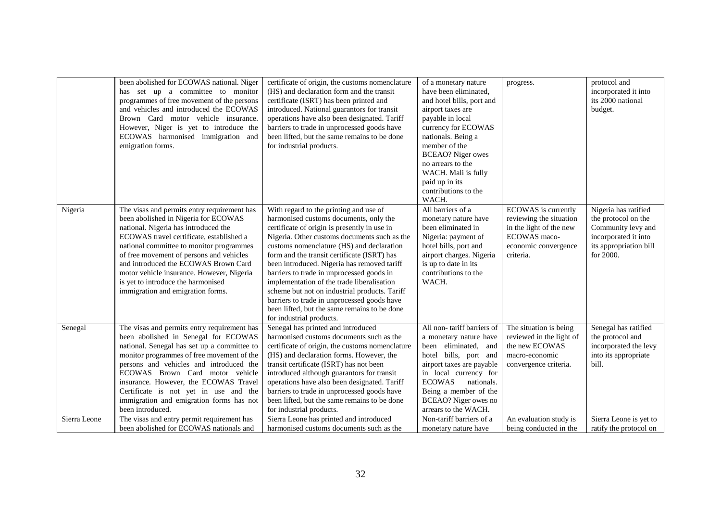|              | been abolished for ECOWAS national. Niger<br>has set up a committee to monitor<br>programmes of free movement of the persons<br>and vehicles and introduced the ECOWAS<br>Brown Card motor vehicle insurance.<br>However, Niger is yet to introduce the<br>ECOWAS harmonised immigration and<br>emigration forms.                                                                                                               | certificate of origin, the customs nomenclature<br>(HS) and declaration form and the transit<br>certificate (ISRT) has been printed and<br>introduced. National guarantors for transit<br>operations have also been designated. Tariff<br>barriers to trade in unprocessed goods have<br>been lifted, but the same remains to be done<br>for industrial products.                                                                                                                                                                                                                                  | of a monetary nature<br>have been eliminated,<br>and hotel bills, port and<br>airport taxes are<br>payable in local<br>currency for ECOWAS<br>nationals. Being a<br>member of the<br><b>BCEAO?</b> Niger owes<br>no arrears to the<br>WACH. Mali is fully<br>paid up in its<br>contributions to the<br>WACH. | progress.                                                                                                                      | protocol and<br>incorporated it into<br>its 2000 national<br>budget.                                                             |
|--------------|---------------------------------------------------------------------------------------------------------------------------------------------------------------------------------------------------------------------------------------------------------------------------------------------------------------------------------------------------------------------------------------------------------------------------------|----------------------------------------------------------------------------------------------------------------------------------------------------------------------------------------------------------------------------------------------------------------------------------------------------------------------------------------------------------------------------------------------------------------------------------------------------------------------------------------------------------------------------------------------------------------------------------------------------|--------------------------------------------------------------------------------------------------------------------------------------------------------------------------------------------------------------------------------------------------------------------------------------------------------------|--------------------------------------------------------------------------------------------------------------------------------|----------------------------------------------------------------------------------------------------------------------------------|
| Nigeria      | The visas and permits entry requirement has<br>been abolished in Nigeria for ECOWAS<br>national. Nigeria has introduced the<br>ECOWAS travel certificate, established a<br>national committee to monitor programmes<br>of free movement of persons and vehicles<br>and introduced the ECOWAS Brown Card<br>motor vehicle insurance. However, Nigeria<br>is yet to introduce the harmonised<br>immigration and emigration forms. | With regard to the printing and use of<br>harmonised customs documents, only the<br>certificate of origin is presently in use in<br>Nigeria. Other customs documents such as the<br>customs nomenclature (HS) and declaration<br>form and the transit certificate (ISRT) has<br>been introduced. Nigeria has removed tariff<br>barriers to trade in unprocessed goods in<br>implementation of the trade liberalisation<br>scheme but not on industrial products. Tariff<br>barriers to trade in unprocessed goods have<br>been lifted, but the same remains to be done<br>for industrial products. | All barriers of a<br>monetary nature have<br>been eliminated in<br>Nigeria: payment of<br>hotel bills, port and<br>airport charges. Nigeria<br>is up to date in its<br>contributions to the<br>WACH.                                                                                                         | ECOWAS is currently<br>reviewing the situation<br>in the light of the new<br>ECOWAS maco-<br>economic convergence<br>criteria. | Nigeria has ratified<br>the protocol on the<br>Community levy and<br>incorporated it into<br>its appropriation bill<br>for 2000. |
| Senegal      | The visas and permits entry requirement has<br>been abolished in Senegal for ECOWAS<br>national. Senegal has set up a committee to<br>monitor programmes of free movement of the<br>persons and vehicles and introduced the<br>ECOWAS Brown Card motor vehicle<br>insurance. However, the ECOWAS Travel<br>Certificate is not yet in use and the<br>immigration and emigration forms has not<br>been introduced.                | Senegal has printed and introduced<br>harmonised customs documents such as the<br>certificate of origin, the customs nomenclature<br>(HS) and declaration forms. However, the<br>transit certificate (ISRT) has not been<br>introduced although guarantors for transit<br>operations have also been designated. Tariff<br>barriers to trade in unprocessed goods have<br>been lifted, but the same remains to be done<br>for industrial products.                                                                                                                                                  | All non-tariff barriers of<br>a monetary nature have<br>been eliminated, and<br>hotel bills, port and<br>airport taxes are payable<br>in local currency for<br><b>ECOWAS</b><br>nationals.<br>Being a member of the<br><b>BCEAO?</b> Niger owes no<br>arrears to the WACH.                                   | The situation is being<br>reviewed in the light of<br>the new ECOWAS<br>macro-economic<br>convergence criteria.                | Senegal has ratified<br>the protocol and<br>incorporated the levy<br>into its appropriate<br>bill.                               |
| Sierra Leone | The visas and entry permit requirement has<br>been abolished for ECOWAS nationals and                                                                                                                                                                                                                                                                                                                                           | Sierra Leone has printed and introduced<br>harmonised customs documents such as the                                                                                                                                                                                                                                                                                                                                                                                                                                                                                                                | Non-tariff barriers of a<br>monetary nature have                                                                                                                                                                                                                                                             | An evaluation study is<br>being conducted in the                                                                               | Sierra Leone is yet to<br>ratify the protocol on                                                                                 |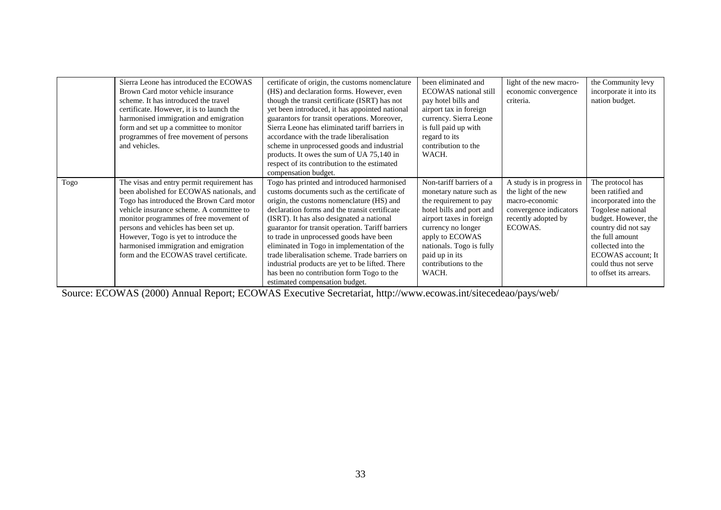|      | Sierra Leone has introduced the ECOWAS     | certificate of origin, the customs nomenclature  | been eliminated and          | light of the new macro-   | the Community levy      |
|------|--------------------------------------------|--------------------------------------------------|------------------------------|---------------------------|-------------------------|
|      | Brown Card motor vehicle insurance         | (HS) and declaration forms. However, even        | <b>ECOWAS</b> national still | economic convergence      | incorporate it into its |
|      | scheme. It has introduced the travel       | though the transit certificate (ISRT) has not    | pay hotel bills and          | criteria.                 | nation budget.          |
|      | certificate. However, it is to launch the  | yet been introduced, it has appointed national   | airport tax in foreign       |                           |                         |
|      | harmonised immigration and emigration      | guarantors for transit operations. Moreover,     | currency. Sierra Leone       |                           |                         |
|      | form and set up a committee to monitor     | Sierra Leone has eliminated tariff barriers in   | is full paid up with         |                           |                         |
|      | programmes of free movement of persons     | accordance with the trade liberalisation         | regard to its                |                           |                         |
|      | and vehicles.                              | scheme in unprocessed goods and industrial       | contribution to the          |                           |                         |
|      |                                            | products. It owes the sum of UA 75,140 in        | WACH.                        |                           |                         |
|      |                                            | respect of its contribution to the estimated     |                              |                           |                         |
|      |                                            | compensation budget.                             |                              |                           |                         |
| Togo | The visas and entry permit requirement has | Togo has printed and introduced harmonised       | Non-tariff barriers of a     | A study is in progress in | The protocol has        |
|      | been abolished for ECOWAS nationals, and   | customs documents such as the certificate of     | monetary nature such as      | the light of the new      | been ratified and       |
|      | Togo has introduced the Brown Card motor   | origin, the customs nomenclature (HS) and        | the requirement to pay       | macro-economic            | incorporated into the   |
|      | vehicle insurance scheme. A committee to   | declaration forms and the transit certificate    | hotel bills and port and     | convergence indicators    | Togolese national       |
|      | monitor programmes of free movement of     | (ISRT). It has also designated a national        | airport taxes in foreign     | recently adopted by       | budget. However, the    |
|      | persons and vehicles has been set up.      | guarantor for transit operation. Tariff barriers | currency no longer           | ECOWAS.                   | country did not say     |
|      | However, Togo is yet to introduce the      | to trade in unprocessed goods have been          | apply to ECOWAS              |                           | the full amount         |
|      | harmonised immigration and emigration      | eliminated in Togo in implementation of the      | nationals. Togo is fully     |                           | collected into the      |
|      | form and the ECOWAS travel certificate.    | trade liberalisation scheme. Trade barriers on   | paid up in its               |                           | ECOWAS account; It      |
|      |                                            | industrial products are yet to be lifted. There  | contributions to the         |                           | could thus not serve    |
|      |                                            | has been no contribution form Togo to the        | WACH.                        |                           | to offset its arrears.  |
|      |                                            | estimated compensation budget.                   |                              |                           |                         |

Source: ECOWAS (2000) Annual Report; ECOWAS Executive Secretariat, http://www.ecowas.int/sitecedeao/pays/web/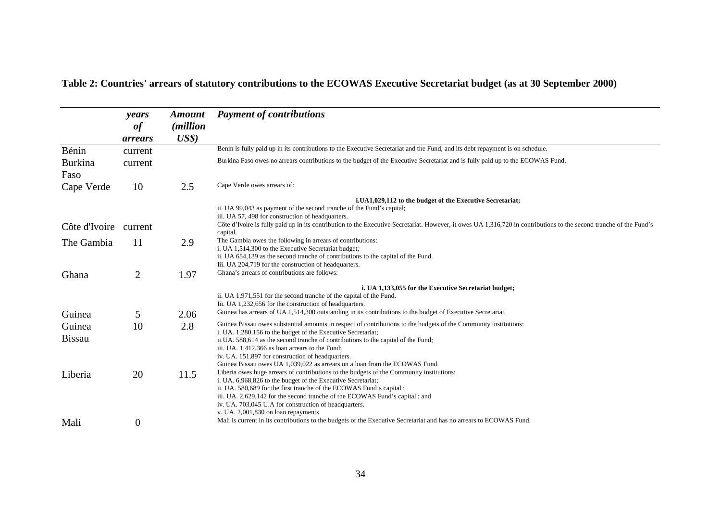|                         | years<br>of<br>arrears | <b>Amount</b><br><i>(million)</i><br>US\$) | <b>Payment of contributions</b>                                                                                                                                                                                                                                                                                                                                                                                                                             |
|-------------------------|------------------------|--------------------------------------------|-------------------------------------------------------------------------------------------------------------------------------------------------------------------------------------------------------------------------------------------------------------------------------------------------------------------------------------------------------------------------------------------------------------------------------------------------------------|
| Bénin                   | current                |                                            | Benin is fully paid up in its contributions to the Executive Secretariat and the Fund, and its debt repayment is on schedule.                                                                                                                                                                                                                                                                                                                               |
| <b>Burkina</b><br>Faso  | current                |                                            | Burkina Faso owes no arrears contributions to the budget of the Executive Secretariat and is fully paid up to the ECOWAS Fund.                                                                                                                                                                                                                                                                                                                              |
| Cape Verde              | 10                     | 2.5                                        | Cape Verde owes arrears of:                                                                                                                                                                                                                                                                                                                                                                                                                                 |
| Côte d'Ivoire           | current                |                                            | i.UA1,029,112 to the budget of the Executive Secretariat;<br>ii. UA 99,043 as payment of the second tranche of the Fund's capital;<br>iii. UA 57, 498 for construction of headquarters.<br>Côte d'Ivoire is fully paid up in its contribution to the Executive Secretariat. However, it owes UA 1,316,720 in contributions to the second tranche of the Fund's                                                                                              |
| The Gambia              | 11                     | 2.9                                        | capital.<br>The Gambia owes the following in arrears of contributions:<br>i. UA 1,514,300 to the Executive Secretariat budget;<br>ii. UA 654,139 as the second tranche of contributions to the capital of the Fund.<br>Iii. UA 204,719 for the construction of headquarters.                                                                                                                                                                                |
| Ghana                   | $\overline{2}$         | 1.97                                       | Ghana's arrears of contributions are follows:                                                                                                                                                                                                                                                                                                                                                                                                               |
| Guinea                  | 5                      | 2.06                                       | i. UA 1,133,055 for the Executive Secretariat budget;<br>ii. UA 1,971,551 for the second tranche of the capital of the Fund.<br>Iii. UA 1,232,656 for the construction of headquarters.<br>Guinea has arrears of UA 1,514,300 outstanding in its contributions to the budget of Executive Secretariat.                                                                                                                                                      |
| Guinea<br><b>Bissau</b> | 10                     | 2.8                                        | Guinea Bissau owes substantial amounts in respect of contributions to the budgets of the Community institutions:<br>i. UA. 1,280,156 to the budget of the Executive Secretariat;<br>ii.UA. 588,614 as the second tranche of contributions to the capital of the Fund;<br>iii. UA. 1,412,366 as loan arrears to the Fund;<br>iv. UA. 151,897 for construction of headquarters.<br>Guinea Bissau owes UA 1,039,022 as arrears on a loan from the ECOWAS Fund. |
| Liberia                 | 20                     | 11.5                                       | Liberia owes huge arrears of contributions to the budgets of the Community institutions:<br>i. UA. 6,968,826 to the budget of the Executive Secretariat;<br>ii. UA. 580,689 for the first tranche of the ECOWAS Fund's capital;<br>iii. UA. 2,629,142 for the second tranche of the ECOWAS Fund's capital; and<br>iv. UA. 703,045 U.A for construction of headquarters.<br>v. UA. 2,001,830 on loan repayments                                              |
| Mali                    | $\boldsymbol{0}$       |                                            | Mali is current in its contributions to the budgets of the Executive Secretariat and has no arrears to ECOWAS Fund.                                                                                                                                                                                                                                                                                                                                         |

# <span id="page-35-0"></span>**Table 2: Countries' arrears of statutory contributions to the ECOWAS Executive Secretariat budget (as at 30 September 2000)**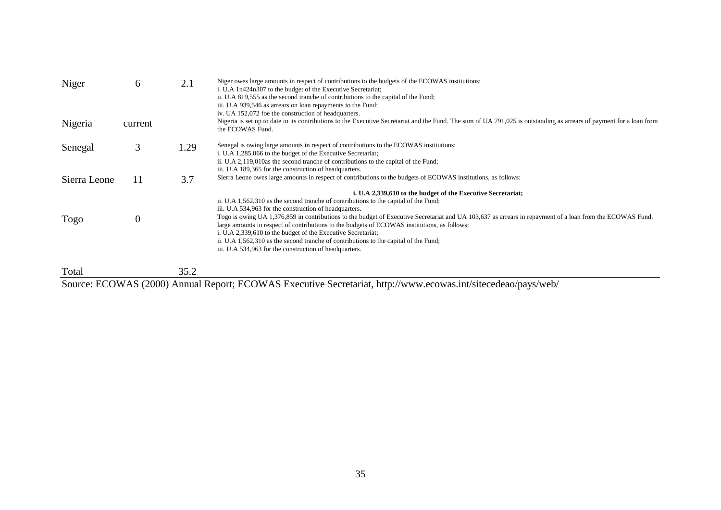| Niger        | 6        | 2.1  | Niger owes large amounts in respect of contributions to the budgets of the ECOWAS institutions:<br>i. U.A 1n424n307 to the budget of the Executive Secretariat;<br>ii. U.A 819,555 as the second tranche of contributions to the capital of the Fund;<br>iii. U.A 939,546 as arrears on loan repayments to the Fund;<br>iv. UA 152,072 foe the construction of headquarters.                                                                                                                                                                                                                                                                                                                  |
|--------------|----------|------|-----------------------------------------------------------------------------------------------------------------------------------------------------------------------------------------------------------------------------------------------------------------------------------------------------------------------------------------------------------------------------------------------------------------------------------------------------------------------------------------------------------------------------------------------------------------------------------------------------------------------------------------------------------------------------------------------|
| Nigeria      | current  |      | Nigeria is set up to date in its contributions to the Executive Secretariat and the Fund. The sum of UA 791,025 is outstanding as arrears of payment for a loan from<br>the ECOWAS Fund.                                                                                                                                                                                                                                                                                                                                                                                                                                                                                                      |
| Senegal      | 3        | 1.29 | Senegal is owing large amounts in respect of contributions to the ECOWAS institutions:<br>i. U.A 1,285,066 to the budget of the Executive Secretariat;<br>ii. U.A 2,119,010as the second tranche of contributions to the capital of the Fund;<br>iii. U.A 189,365 for the construction of headquarters.                                                                                                                                                                                                                                                                                                                                                                                       |
| Sierra Leone | 11       | 3.7  | Sierra Leone owes large amounts in respect of contributions to the budgets of ECOWAS institutions, as follows:                                                                                                                                                                                                                                                                                                                                                                                                                                                                                                                                                                                |
| Togo         | $\theta$ |      | i. U.A 2,339,610 to the budget of the Executive Secretariat;<br>ii. U.A 1,562,310 as the second tranche of contributions to the capital of the Fund;<br>iii. U.A 534,963 for the construction of headquarters.<br>Togo is owing UA 1,376,859 in contributions to the budget of Executive Secretariat and UA 103,637 as arrears in repayment of a loan from the ECOWAS Fund.<br>large amounts in respect of contributions to the budgets of ECOWAS institutions, as follows:<br>i. U.A 2,339,610 to the budget of the Executive Secretariat;<br>ii. U.A 1,562,310 as the second tranche of contributions to the capital of the Fund;<br>iii. U.A 534,963 for the construction of headquarters. |
| Total        |          | 35.2 |                                                                                                                                                                                                                                                                                                                                                                                                                                                                                                                                                                                                                                                                                               |

Total 35.2 Source: ECOWAS (2000) Annual Report; ECOWAS Executive Secretariat, http://www.ecowas.int/sitecedeao/pays/web/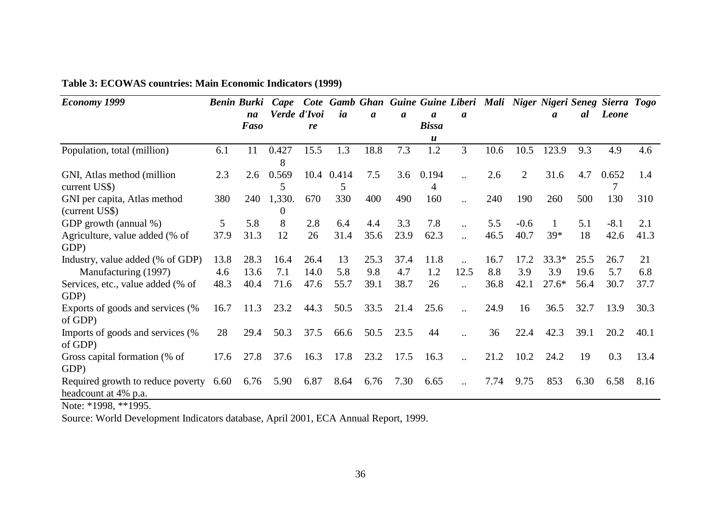| <b>Economy 1999</b>                                       |      | <b>Benin Burki</b> | Cape             |              |                 |                  |                  |                  |                       |      |        |         |      | Cote Gamb Ghan Guine Guine Liberi Mali Niger Nigeri Seneg Sierra Togo |      |
|-----------------------------------------------------------|------|--------------------|------------------|--------------|-----------------|------------------|------------------|------------------|-----------------------|------|--------|---------|------|-----------------------------------------------------------------------|------|
|                                                           |      | na                 |                  | Verde d'Ivoi | ia              | $\boldsymbol{a}$ | $\boldsymbol{a}$ | $\boldsymbol{a}$ | a                     |      |        | a       | al   | Leone                                                                 |      |
|                                                           |      | <b>Faso</b>        |                  | re           |                 |                  |                  | <b>Bissa</b>     |                       |      |        |         |      |                                                                       |      |
|                                                           |      |                    |                  |              |                 |                  |                  | u                |                       |      |        |         |      |                                                                       |      |
| Population, total (million)                               | 6.1  | 11                 | 0.427<br>8       | 15.5         | 1.3             | 18.8             | 7.3              | 1.2              | 3                     | 10.6 | 10.5   | 123.9   | 9.3  | 4.9                                                                   | 4.6  |
| GNI, Atlas method (million)<br>current US\$)              | 2.3  | 2.6                | 0.569<br>5       |              | 10.4 0.414<br>5 | 7.5              | 3.6              | 0.194<br>4       | $\ddot{\phantom{a}}$  | 2.6  | 2      | 31.6    | 4.7  | 0.652                                                                 | 1.4  |
| GNI per capita, Atlas method<br>(current US\$)            | 380  | 240                | 1,330.<br>$_{0}$ | 670          | 330             | 400              | 490              | 160              | $\ddotsc$             | 240  | 190    | 260     | 500  | 130                                                                   | 310  |
| GDP growth (annual %)                                     | 5    | 5.8                | 8                | 2.8          | 6.4             | 4.4              | 3.3              | 7.8              | $\ddot{\phantom{a}}$  | 5.5  | $-0.6$ |         | 5.1  | $-8.1$                                                                | 2.1  |
| Agriculture, value added (% of<br>GDP)                    | 37.9 | 31.3               | 12               | 26           | 31.4            | 35.6             | 23.9             | 62.3             | $\ddot{\phantom{a}}$  | 46.5 | 40.7   | 39*     | 18   | 42.6                                                                  | 41.3 |
| Industry, value added (% of GDP)                          | 13.8 | 28.3               | 16.4             | 26.4         | 13              | 25.3             | 37.4             | 11.8             | $\ddot{\phantom{a}}$  | 16.7 | 17.2   | $33.3*$ | 25.5 | 26.7                                                                  | 21   |
| Manufacturing (1997)                                      | 4.6  | 13.6               | 7.1              | 14.0         | 5.8             | 9.8              | 4.7              | 1.2              | 12.5                  | 8.8  | 3.9    | 3.9     | 19.6 | 5.7                                                                   | 6.8  |
| Services, etc., value added (% of<br>GDP)                 | 48.3 | 40.4               | 71.6             | 47.6         | 55.7            | 39.1             | 38.7             | 26               |                       | 36.8 | 42.1   | $27.6*$ | 56.4 | 30.7                                                                  | 37.7 |
| Exports of goods and services (%<br>of GDP)               | 16.7 | 11.3               | 23.2             | 44.3         | 50.5            | 33.5             | 21.4             | 25.6             | $\ddot{\phantom{a}}$  | 24.9 | 16     | 36.5    | 32.7 | 13.9                                                                  | 30.3 |
| Imports of goods and services (%<br>of GDP)               | 28   | 29.4               | 50.3             | 37.5         | 66.6            | 50.5             | 23.5             | 44               | $\ddotsc$             | 36   | 22.4   | 42.3    | 39.1 | 20.2                                                                  | 40.1 |
| Gross capital formation (% of<br>GDP)                     | 17.6 | 27.8               | 37.6             | 16.3         | 17.8            | 23.2             | 17.5             | 16.3             | $\ddotsc$             | 21.2 | 10.2   | 24.2    | 19   | 0.3                                                                   | 13.4 |
| Required growth to reduce poverty<br>headcount at 4% p.a. | 6.60 | 6.76               | 5.90             | 6.87         | 8.64            | 6.76             | 7.30             | 6.65             | $\dddot{\phantom{0}}$ | 7.74 | 9.75   | 853     | 6.30 | 6.58                                                                  | 8.16 |

### <span id="page-37-0"></span>**Table 3: ECOWAS countries: Main Economic Indicators (1999)**

Note: \*1998, \*\*1995.

Source: World Development Indicators database, April 2001, ECA Annual Report, 1999.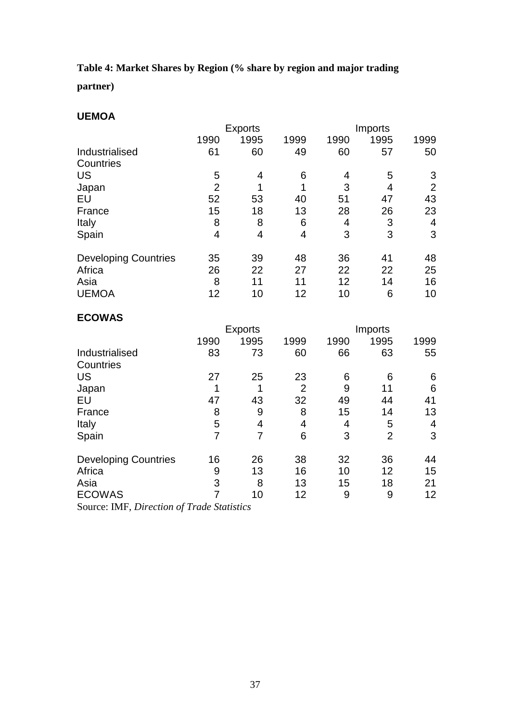# <span id="page-38-0"></span>**Table 4: Market Shares by Region (% share by region and major trading**

**partner)**

#### **UEMOA**

|                             |                | <b>Exports</b> |      |      | Imports |                |
|-----------------------------|----------------|----------------|------|------|---------|----------------|
|                             | 1990           | 1995           | 1999 | 1990 | 1995    | 1999           |
| Industrialised              | 61             | 60             | 49   | 60   | 57      | 50             |
| Countries                   |                |                |      |      |         |                |
| US                          | 5              | 4              | 6    | 4    | 5       | 3              |
| Japan                       | $\overline{2}$ | 1              | 1    | 3    | 4       | $\overline{2}$ |
| EU                          | 52             | 53             | 40   | 51   | 47      | 43             |
| France                      | 15             | 18             | 13   | 28   | 26      | 23             |
| Italy                       | 8              | 8              | 6    | 4    | 3       | 4              |
| Spain                       | 4              | 4              | 4    | 3    | 3       | 3              |
| <b>Developing Countries</b> | 35             | 39             | 48   | 36   | 41      | 48             |
| Africa                      | 26             | 22             | 27   | 22   | 22      | 25             |
| Asia                        | 8              | 11             | 11   | 12   | 14      | 16             |
| <b>UEMOA</b>                | 12             | 10             | 12   | 10   | 6       | 10             |

# **ECOWAS**

|                                                                                                                                              |      | <b>Exports</b> |                |      | Imports |      |
|----------------------------------------------------------------------------------------------------------------------------------------------|------|----------------|----------------|------|---------|------|
|                                                                                                                                              | 1990 | 1995           | 1999           | 1990 | 1995    | 1999 |
| Industrialised                                                                                                                               | 83   | 73             | 60             | 66   | 63      | 55   |
| Countries                                                                                                                                    |      |                |                |      |         |      |
| US                                                                                                                                           | 27   | 25             | 23             | 6    | 6       | 6    |
| Japan                                                                                                                                        | 1    |                | $\overline{2}$ | 9    | 11      | 6    |
| EU                                                                                                                                           | 47   | 43             | 32             | 49   | 44      | 41   |
| France                                                                                                                                       | 8    | 9              | 8              | 15   | 14      | 13   |
| Italy                                                                                                                                        | 5    | 4              | 4              | 4    | 5       | 4    |
| Spain                                                                                                                                        |      | 7              | 6              | 3    | 2       | 3    |
| <b>Developing Countries</b>                                                                                                                  | 16   | 26             | 38             | 32   | 36      | 44   |
| Africa                                                                                                                                       | 9    | 13             | 16             | 10   | 12      | 15   |
| Asia                                                                                                                                         | 3    | 8              | 13             | 15   | 18      | 21   |
| <b>ECOWAS</b>                                                                                                                                |      | 10             | 12             | 9    | 9       | 12   |
| $\Gamma$ expect $\mathbf{M}\mathbf{E}$ $\mathbf{D}$ is the $\mathbf{L}$ $\mathbf{F}$ and $\mathbf{L}$ $\mathbf{L}$ $\mathbf{L}$ $\mathbf{L}$ |      |                |                |      |         |      |

Source: IMF, *Direction of Trade Statistics*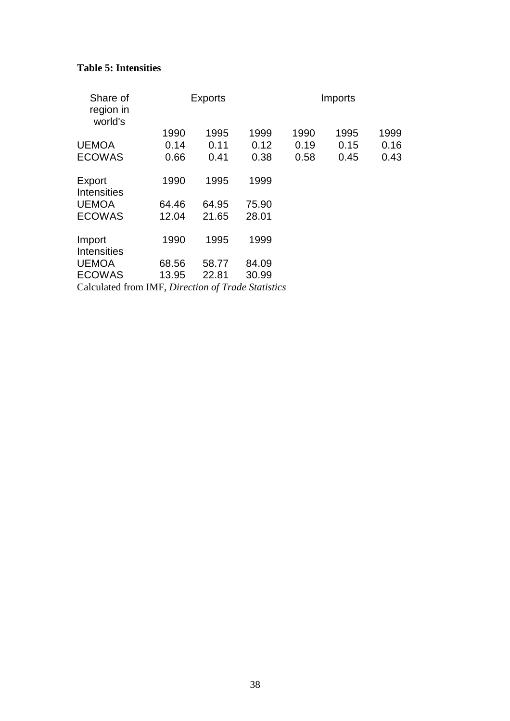### <span id="page-39-0"></span>**Table 5: Intensities**

| Share of<br>region in<br>world's                   |       | <b>Exports</b> |       |      | Imports |      |
|----------------------------------------------------|-------|----------------|-------|------|---------|------|
|                                                    | 1990  | 1995           | 1999  | 1990 | 1995    | 1999 |
| <b>UEMOA</b>                                       | 0.14  | 0.11           | 0.12  | 0.19 | 0.15    | 0.16 |
| <b>ECOWAS</b>                                      | 0.66  | 0.41           | 0.38  | 0.58 | 0.45    | 0.43 |
| Export<br>Intensities                              | 1990  | 1995           | 1999  |      |         |      |
| <b>UEMOA</b>                                       | 64.46 | 64.95          | 75.90 |      |         |      |
| <b>ECOWAS</b>                                      | 12.04 | 21.65          | 28.01 |      |         |      |
| Import<br><b>Intensities</b>                       | 1990  | 1995           | 1999  |      |         |      |
| <b>UEMOA</b>                                       | 68.56 | 58.77          | 84.09 |      |         |      |
| <b>ECOWAS</b>                                      | 13.95 | 22.81          | 30.99 |      |         |      |
| Calculated from IMF, Direction of Trade Statistics |       |                |       |      |         |      |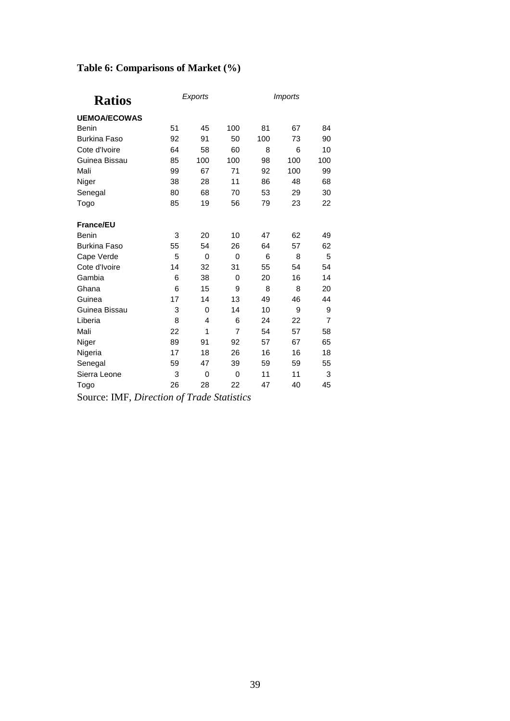# <span id="page-40-0"></span>**Table 6: Comparisons of Market (%)**

| <b>Ratios</b>       |    | Exports     |     |     | <b>Imports</b> |                |
|---------------------|----|-------------|-----|-----|----------------|----------------|
| <b>UEMOA/ECOWAS</b> |    |             |     |     |                |                |
| <b>Benin</b>        | 51 | 45          | 100 | 81  | 67             | 84             |
| <b>Burkina Faso</b> | 92 | 91          | 50  | 100 | 73             | 90             |
| Cote d'Ivoire       | 64 | 58          | 60  | 8   | 6              | 10             |
| Guinea Bissau       | 85 | 100         | 100 | 98  | 100            | 100            |
| Mali                | 99 | 67          | 71  | 92  | 100            | 99             |
| Niger               | 38 | 28          | 11  | 86  | 48             | 68             |
| Senegal             | 80 | 68          | 70  | 53  | 29             | 30             |
| Togo                | 85 | 19          | 56  | 79  | 23             | 22             |
| <b>France/EU</b>    |    |             |     |     |                |                |
| <b>Benin</b>        | 3  | 20          | 10  | 47  | 62             | 49             |
| <b>Burkina Faso</b> | 55 | 54          | 26  | 64  | 57             | 62             |
| Cape Verde          | 5  | $\mathbf 0$ | 0   | 6   | 8              | 5              |
| Cote d'Ivoire       | 14 | 32          | 31  | 55  | 54             | 54             |
| Gambia              | 6  | 38          | 0   | 20  | 16             | 14             |
| Ghana               | 6  | 15          | 9   | 8   | 8              | 20             |
| Guinea              | 17 | 14          | 13  | 49  | 46             | 44             |
| Guinea Bissau       | 3  | 0           | 14  | 10  | 9              | 9              |
| Liberia             | 8  | 4           | 6   | 24  | 22             | $\overline{7}$ |
| Mali                | 22 | 1           | 7   | 54  | 57             | 58             |
| Niger               | 89 | 91          | 92  | 57  | 67             | 65             |
| Nigeria             | 17 | 18          | 26  | 16  | 16             | 18             |
| Senegal             | 59 | 47          | 39  | 59  | 59             | 55             |
| Sierra Leone        | 3  | 0           | 0   | 11  | 11             | 3              |
| Togo                | 26 | 28          | 22  | 47  | 40             | 45             |

Source: IMF, *Direction of Trade Statistics*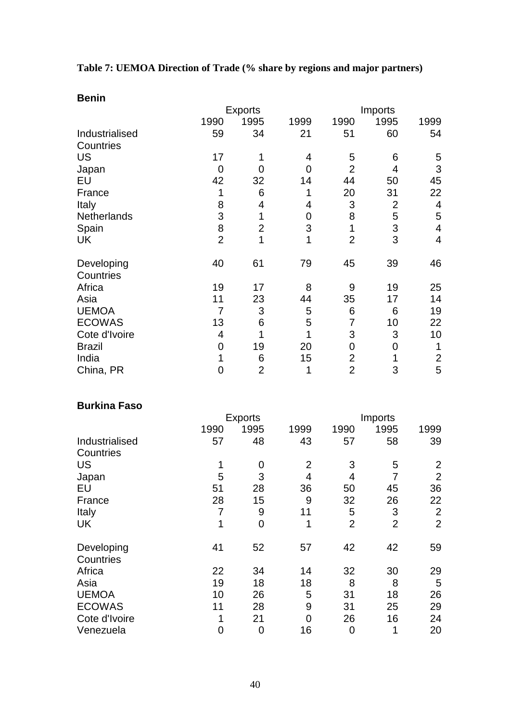<span id="page-41-0"></span>**Table 7: UEMOA Direction of Trade (% share by regions and major partners)**

| <b>Benin</b>            |                |                |      |                |                |                          |
|-------------------------|----------------|----------------|------|----------------|----------------|--------------------------|
|                         |                | <b>Exports</b> |      |                | Imports        |                          |
|                         | 1990           | 1995           | 1999 | 1990           | 1995           | 1999                     |
| Industrialised          | 59             | 34             | 21   | 51             | 60             | 54                       |
| Countries               |                |                |      |                |                |                          |
| <b>US</b>               | 17             | 1              | 4    | 5              | 6              | 5                        |
| Japan                   | 0              | 0              | 0    | $\overline{2}$ | 4              | 3                        |
| EU                      | 42             | 32             | 14   | 44             | 50             | 45                       |
| France                  | 1              | 6              | 1    | 20             | 31             | 22                       |
| Italy                   | 8              | 4              | 4    | 3              | $\overline{2}$ | $\overline{4}$           |
| Netherlands             | 3              | 1              | 0    | 8              | 5              | 5                        |
| Spain                   | 8              | $\overline{2}$ | 3    | 1              | 3              | $\overline{\mathcal{A}}$ |
| <b>UK</b>               | $\overline{2}$ | 1              | 1    | $\overline{2}$ | 3              | $\overline{4}$           |
| Developing<br>Countries | 40             | 61             | 79   | 45             | 39             | 46                       |
| Africa                  | 19             | 17             | 8    | 9              | 19             | 25                       |
| Asia                    | 11             | 23             | 44   | 35             | 17             | 14                       |
| <b>UEMOA</b>            | $\overline{7}$ | 3              | 5    | 6              | 6              | 19                       |
| <b>ECOWAS</b>           | 13             | 6              | 5    | 7              | 10             | 22                       |
| Cote d'Ivoire           | 4              | 1              | 1    | 3              | 3              | 10                       |
| <b>Brazil</b>           | 0              | 19             | 20   | $\mathbf 0$    | $\overline{0}$ | 1                        |
| India                   | 1              | 6              | 15   | $\overline{c}$ |                | $\overline{2}$           |
| China, PR               | 0              | $\overline{2}$ | 1    | $\overline{2}$ | 3              | 5                        |

# **Burkina Faso**

|                         |      | <b>Exports</b> |                |                | Imports        |                |
|-------------------------|------|----------------|----------------|----------------|----------------|----------------|
|                         | 1990 | 1995           | 1999           | 1990           | 1995           | 1999           |
| Industrialised          | 57   | 48             | 43             | 57             | 58             | 39             |
| Countries               |      |                |                |                |                |                |
| US                      | 1    | 0              | $\overline{2}$ | 3              | 5              | 2              |
| Japan                   | 5    | 3              | 4              | 4              | 7              | $\overline{2}$ |
| EU                      | 51   | 28             | 36             | 50             | 45             | 36             |
| France                  | 28   | 15             | 9              | 32             | 26             | 22             |
| Italy                   | 7    | 9              | 11             | 5              | 3              | $\overline{2}$ |
| UK                      | 1    | $\overline{0}$ | 1              | $\overline{2}$ | $\overline{2}$ | $\overline{2}$ |
| Developing<br>Countries | 41   | 52             | 57             | 42             | 42             | 59             |
| Africa                  | 22   | 34             | 14             | 32             | 30             | 29             |
| Asia                    | 19   | 18             | 18             | 8              | 8              | 5              |
| <b>UEMOA</b>            | 10   | 26             | 5              | 31             | 18             | 26             |
| <b>ECOWAS</b>           | 11   | 28             | 9              | 31             | 25             | 29             |
| Cote d'Ivoire           | 1    | 21             | 0              | 26             | 16             | 24             |
| Venezuela               | 0    | 0              | 16             | 0              | 1              | 20             |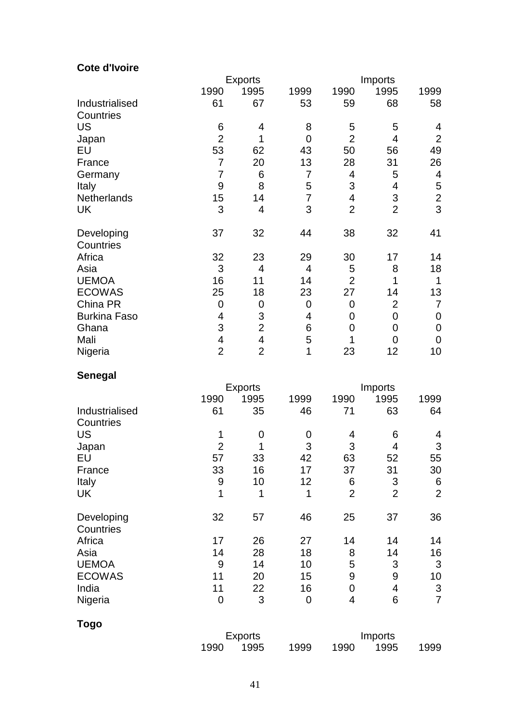# **Cote d'Ivoire**

|                     |                         | <b>Exports</b> |                |                | Imports        |                |
|---------------------|-------------------------|----------------|----------------|----------------|----------------|----------------|
|                     | 1990                    | 1995           | 1999           | 1990           | 1995           | 1999           |
| Industrialised      | 61                      | 67             | 53             | 59             | 68             | 58             |
| Countries           |                         |                |                |                |                |                |
| <b>US</b>           | 6                       | 4              | 8              | 5              | 5              | 4              |
| Japan               | $\overline{2}$          | 1              | $\overline{0}$ | $\overline{2}$ | 4              | $\overline{2}$ |
| EU                  | 53                      | 62             | 43             | 50             | 56             | 49             |
| France              | $\overline{7}$          | 20             | 13             | 28             | 31             | 26             |
| Germany             | 7                       | 6              | 7              | 4              | 5              | 4              |
| Italy               | 9                       | 8              | 5              | 3              | 4              | 5              |
| Netherlands         | 15                      | 14             | 7              | 4              | 3              | $\mathbf 2$    |
| <b>UK</b>           | 3                       | 4              | 3              | $\overline{2}$ | $\overline{2}$ | 3              |
| Developing          | 37                      | 32             | 44             | 38             | 32             | 41             |
| Countries           |                         |                |                |                |                |                |
| Africa              | 32                      | 23             | 29             | 30             | 17             | 14             |
| Asia                | 3                       | 4              | 4              | 5              | 8              | 18             |
| <b>UEMOA</b>        | 16                      | 11             | 14             | $\overline{2}$ | 1              | 1              |
| <b>ECOWAS</b>       | 25                      | 18             | 23             | 27             | 14             | 13             |
| China PR            | $\mathbf 0$             | 0              | $\mathbf 0$    | 0              | $\overline{2}$ | 7              |
| <b>Burkina Faso</b> | 4                       | 3              | 4              | 0              | $\overline{0}$ | 0              |
| Ghana               | 3                       | $\overline{2}$ | 6              | 0              | 0              | 0              |
| Mali                | $\overline{\mathbf{4}}$ | $\overline{4}$ | 5              | 1              | 0              | 0              |
| Nigeria             | $\overline{2}$          | $\overline{2}$ | 1              | 23             | 12             | 10             |

# **Senegal**

|                |                | <b>Exports</b> |      |                | Imports        |                |
|----------------|----------------|----------------|------|----------------|----------------|----------------|
|                | 1990           | 1995           | 1999 | 1990           | 1995           | 1999           |
| Industrialised | 61             | 35             | 46   | 71             | 63             | 64             |
| Countries      |                |                |      |                |                |                |
| <b>US</b>      | 1              | 0              | 0    | 4              | 6              | 4              |
| Japan          | $\overline{2}$ | 1              | 3    | 3              | 4              | 3              |
| EU             | 57             | 33             | 42   | 63             | 52             | 55             |
| France         | 33             | 16             | 17   | 37             | 31             | 30             |
| Italy          | 9              | 10             | 12   | 6              | 3              | 6              |
| UK             | 1              | 1              | 1    | $\overline{2}$ | $\overline{2}$ | $\overline{2}$ |
| Developing     | 32             | 57             | 46   | 25             | 37             | 36             |
| Countries      |                |                |      |                |                |                |
| Africa         | 17             | 26             | 27   | 14             | 14             | 14             |
| Asia           | 14             | 28             | 18   | 8              | 14             | 16             |
| <b>UEMOA</b>   | 9              | 14             | 10   | 5              | 3              | 3              |
| <b>ECOWAS</b>  | 11             | 20             | 15   | 9              | 9              | 10             |
| India          | 11             | 22             | 16   | $\mathbf 0$    | 4              | 3              |
| Nigeria        | $\overline{0}$ | 3              | 0    | $\overline{4}$ | 6              | $\overline{7}$ |
| Togo           |                |                |      |                |                |                |
|                |                | <b>Exports</b> |      |                | Imports        |                |
|                | 1990           | 1995           | 1999 | 1990           | 1995           | 1999           |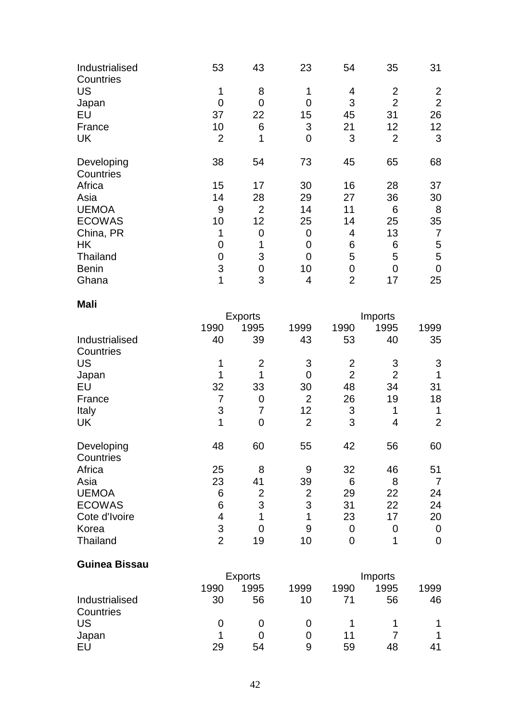| Industrialised<br>Countries | 53             | 43             | 23             | 54             | 35             | 31             |
|-----------------------------|----------------|----------------|----------------|----------------|----------------|----------------|
| <b>US</b>                   | 1              | 8              |                | 4              | $\overline{2}$ | $\overline{2}$ |
| Japan                       | 0              | $\overline{0}$ |                | 3              | $\overline{2}$ | $\overline{2}$ |
| EU                          | 37             | 22             | 15             | 45             | 31             | 26             |
| France                      | 10             | 6              | 3              | 21             | 12             | 12             |
| <b>UK</b>                   | $\overline{2}$ | $\mathbf 1$    | $\overline{0}$ | 3              | $\overline{2}$ | 3              |
| Developing<br>Countries     | 38             | 54             | 73             | 45             | 65             | 68             |
| Africa                      | 15             | 17             | 30             | 16             | 28             | 37             |
| Asia                        | 14             | 28             | 29             | 27             | 36             | 30             |
| <b>UEMOA</b>                | 9              | $\overline{2}$ | 14             | 11             | 6              | 8              |
| <b>ECOWAS</b>               | 10             | 12             | 25             | 14             | 25             | 35             |
| China, PR                   | 1              | 0              | 0              | 4              | 13             | 7              |
| <b>HK</b>                   | 0              |                | 0              | 6              | 6              | 5              |
| Thailand                    | 0              | 3              | 0              | 5              | 5              | 5              |
| <b>Benin</b>                | 3              | 0              | 10             | 0              | 0              | 0              |
| Ghana                       | 1              | 3              | 4              | $\overline{2}$ | 17             | 25             |

#### **Mali**

|                         |                | <b>Exports</b> |                |                | Imports        |                |
|-------------------------|----------------|----------------|----------------|----------------|----------------|----------------|
|                         | 1990           | 1995           | 1999           | 1990           | 1995           | 1999           |
| Industrialised          | 40             | 39             | 43             | 53             | 40             | 35             |
| Countries               |                |                |                |                |                |                |
| <b>US</b>               |                | $\overline{2}$ | 3              | $\overline{2}$ | 3              | 3              |
| Japan                   |                |                | 0              | $\overline{2}$ | $\overline{2}$ |                |
| EU                      | 32             | 33             | 30             | 48             | 34             | 31             |
| France                  | 7              | $\overline{0}$ | $\overline{2}$ | 26             | 19             | 18             |
| Italy                   | 3              | 7              | 12             | 3              | 1              | 1              |
| <b>UK</b>               | 1              | 0              | $\overline{2}$ | 3              | 4              | $\overline{2}$ |
| Developing<br>Countries | 48             | 60             | 55             | 42             | 56             | 60             |
| Africa                  | 25             | 8              | 9              | 32             | 46             | 51             |
| Asia                    | 23             | 41             | 39             | 6              | 8              | 7              |
| <b>UEMOA</b>            | 6              | $\overline{2}$ | $\overline{2}$ | 29             | 22             | 24             |
| <b>ECOWAS</b>           | 6              | 3              | 3              | 31             | 22             | 24             |
| Cote d'Ivoire           | 4              |                | 1              | 23             | 17             | 20             |
| Korea                   | 3              | 0              | 9              | $\overline{0}$ | 0              | 0              |
| Thailand                | $\overline{2}$ | 19             | 10             | 0              |                | 0              |

#### **Guinea Bissau**

|                | <b>Exports</b> |      |      | Imports |      |      |
|----------------|----------------|------|------|---------|------|------|
|                | 1990           | 1995 | 1999 | 1990    | 1995 | 1999 |
| Industrialised | 30             | 56   | 10   |         | 56   | 46   |
| Countries      |                |      |      |         |      |      |
| US             |                |      |      |         |      |      |
| Japan          |                |      |      | 11      |      |      |
| EU             | 29             | 54   | 9    | 59      | 48   | 41   |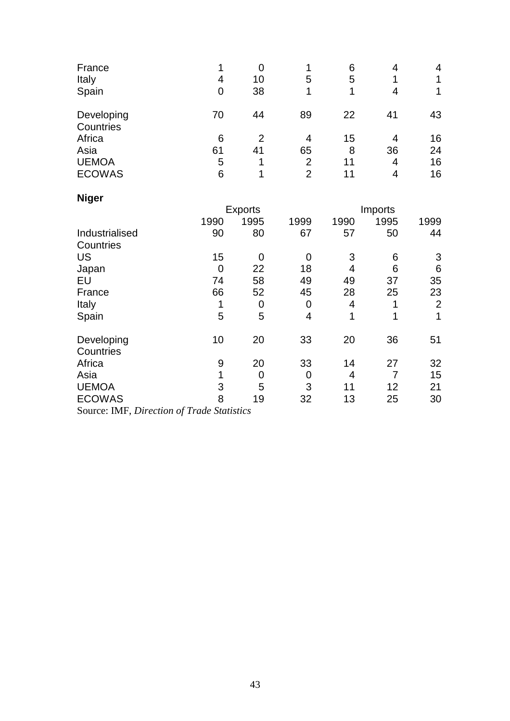| France<br>Italy<br>Spain | 4<br>0 | 0<br>10<br>38 | 5              | 6<br>5<br>-1 | 4<br>4 | 4  |
|--------------------------|--------|---------------|----------------|--------------|--------|----|
| Developing<br>Countries  | 70     | 44            | 89             | 22           | 41     | 43 |
| Africa                   | 6      | 2             | 4              | 15           | 4      | 16 |
| Asia                     | 61     | 41            | 65             | 8            | 36     | 24 |
| <b>UEMOA</b>             | 5      |               | $\overline{2}$ | 11           | 4      | 16 |
| <b>ECOWAS</b>            | 6      |               | $\overline{2}$ | 11           | 4      | 16 |

| <b>Niger</b>   |      |                |             |      |         |                |
|----------------|------|----------------|-------------|------|---------|----------------|
|                |      | <b>Exports</b> |             |      | Imports |                |
|                | 1990 | 1995           | 1999        | 1990 | 1995    | 1999           |
| Industrialised | 90   | 80             | 67          | 57   | 50      | 44             |
| Countries      |      |                |             |      |         |                |
| <b>US</b>      | 15   | 0              | 0           | 3    | 6       | 3              |
| Japan          | 0    | 22             | 18          | 4    | 6       | 6              |
| EU             | 74   | 58             | 49          | 49   | 37      | 35             |
| France         | 66   | 52             | 45          | 28   | 25      | 23             |
| Italy          | 1    | 0              | 0           | 4    | 1       | $\overline{2}$ |
| Spain          | 5    | 5              | 4           | 1    | 1       | 1              |
| Developing     | 10   | 20             | 33          | 20   | 36      | 51             |
| Countries      |      |                |             |      |         |                |
| Africa         | 9    | 20             | 33          | 14   | 27      | 32             |
| Asia           |      | $\mathbf 0$    | $\mathbf 0$ | 4    |         | 15             |
| <b>UEMOA</b>   | 3    | 5              | 3           | 11   | 12      | 21             |
| <b>ECOWAS</b>  | 8    | 19             | 32          | 13   | 25      | 30             |

Source: IMF, *Direction of Trade Statistics*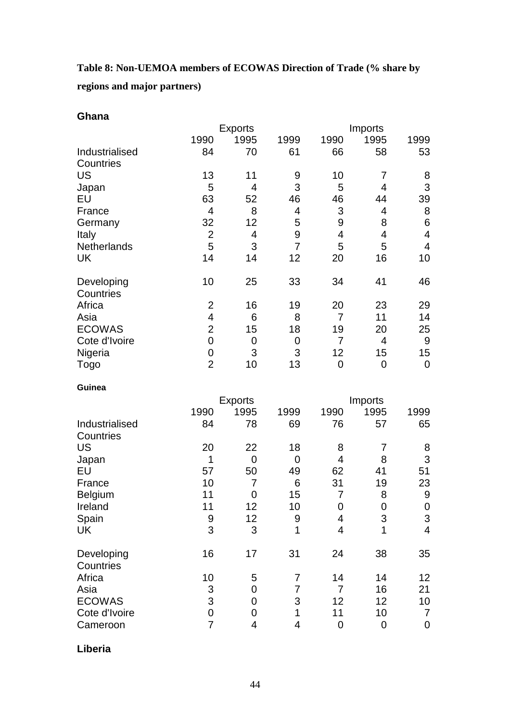<span id="page-45-0"></span>**Table 8: Non-UEMOA members of ECOWAS Direction of Trade (% share by regions and major partners)**

| ∙nan<br>r |
|-----------|
|-----------|

|                             |                | <b>Exports</b>      |                     |                          | Imports         |                         |  |
|-----------------------------|----------------|---------------------|---------------------|--------------------------|-----------------|-------------------------|--|
|                             | 1990           | 1995                | 1999                | 1990                     | 1995            | 1999                    |  |
| Industrialised              | 84             | 70                  | 61                  | 66                       | 58              | 53                      |  |
| Countries                   |                |                     |                     |                          |                 |                         |  |
| <b>US</b>                   | 13             | 11                  | 9<br>3              | 10                       | 7               | 8                       |  |
| Japan                       | 5<br>63        | 4                   |                     | 5                        | 4               | 3                       |  |
| EU                          | $\overline{4}$ | 52<br>8             | 46<br>4             | 46                       | 44<br>4         | 39                      |  |
| France                      | 32             | 12                  | 5                   | 3<br>9                   | 8               | $\bf 8$                 |  |
| Germany                     | $\overline{2}$ | 4                   | 9                   | $\overline{\mathbf{4}}$  | 4               | 6<br>4                  |  |
| Italy<br>Netherlands        | 5              | 3                   | $\overline{7}$      | 5                        | 5               | $\overline{\mathbf{4}}$ |  |
| UK                          | 14             | 14                  | 12                  | 20                       | 16              | 10                      |  |
|                             |                |                     |                     |                          |                 |                         |  |
| Developing<br>Countries     | 10             | 25                  | 33                  | 34                       | 41              | 46                      |  |
| Africa                      | $\overline{2}$ | 16                  | 19                  | 20                       | 23              | 29                      |  |
| Asia                        | 4              | 6                   | 8                   | 7                        | 11              | 14                      |  |
| <b>ECOWAS</b>               | $\overline{2}$ | 15                  | 18                  | 19                       | 20              | 25                      |  |
| Cote d'Ivoire               | $\mathbf 0$    | $\mathbf 0$         | $\mathbf 0$         | $\overline{7}$           | 4               | 9                       |  |
| Nigeria                     | $\mathbf 0$    | 3                   | 3                   | 12                       | 15              | 15                      |  |
| <b>Togo</b>                 | $\overline{2}$ | 10                  | 13                  | $\mathbf 0$              | 0               | $\mathbf 0$             |  |
| Guinea                      |                |                     |                     |                          |                 |                         |  |
|                             |                | <b>Exports</b>      |                     |                          | Imports         |                         |  |
|                             | 1990           | 1995                | 1999                | 1990                     | 1995            | 1999                    |  |
| Industrialised<br>Countries | 84             | 78                  | 69                  | 76                       | 57              | 65                      |  |
| <b>US</b>                   | 20             | 22                  | 18                  | 8                        | 7               | 8                       |  |
| Japan                       | 1              | $\mathbf 0$         | $\mathbf 0$         | $\overline{4}$           | 8               | $\sqrt{3}$              |  |
| EU                          | 57             | 50                  | 49                  | 62                       | 41              | 51                      |  |
| France                      | 10             | 7                   | 6                   | 31                       | 19              | 23                      |  |
| Belgium                     | 11             | 0                   | 15                  | $\overline{7}$           | 8               | $\boldsymbol{9}$        |  |
| Ireland                     | 11             | 12                  | 10                  | $\pmb{0}$                | $\mathbf 0$     | $\pmb{0}$               |  |
| Spain                       | 9              | 12                  | $\boldsymbol{9}$    | $\overline{\mathcal{A}}$ | 3               | $\mathfrak{S}$          |  |
| <b>UK</b>                   | $\overline{3}$ | 3                   | $\overline{1}$      | $\overline{4}$           | $\overline{1}$  | $\overline{\mathbf{4}}$ |  |
| Developing                  | 16             | 17                  | 31                  | 24                       | 38              | 35                      |  |
| Countries                   |                |                     |                     |                          |                 |                         |  |
| Africa                      | 10<br>3        | 5<br>$\overline{0}$ | 7<br>$\overline{7}$ | 14<br>$\overline{7}$     | 14<br>16        | 12 <sub>2</sub>         |  |
| Asia<br><b>ECOWAS</b>       | 3              | $\overline{0}$      | 3                   |                          |                 | 21                      |  |
|                             | $\overline{0}$ |                     |                     | 12<br>11                 | 12              | 10 <sub>1</sub>         |  |
| Cote d'Ivoire               | $\overline{7}$ | $\mathbf 0$         | 1                   |                          | 10 <sup>1</sup> | $\overline{7}$          |  |
| Cameroon                    |                | 4                   | 4                   | $\pmb{0}$                | 0               | $\boldsymbol{0}$        |  |

**Liberia**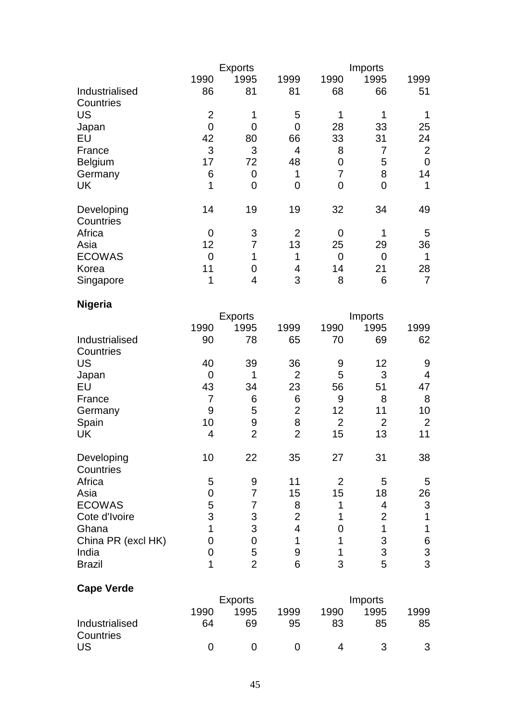|                    |                                | <b>Exports</b>      |                          |                | Imports        |                |
|--------------------|--------------------------------|---------------------|--------------------------|----------------|----------------|----------------|
|                    | 1990                           | 1995                | 1999                     | 1990           | 1995           | 1999           |
| Industrialised     | 86                             | 81                  | 81                       | 68             | 66             | 51             |
| Countries          |                                |                     |                          |                |                | $\mathbf 1$    |
| <b>US</b>          | $\mathbf{2}$<br>$\overline{0}$ | 1<br>$\overline{0}$ | 5<br>$\overline{0}$      | 1<br>28        | 1<br>33        |                |
| Japan<br>EU        | 42                             | 80                  | 66                       | 33             | 31             | 25<br>24       |
| France             | 3                              | 3                   | $\overline{4}$           | 8              | 7              | $\overline{2}$ |
| Belgium            | 17                             | 72                  | 48                       | $\mathbf 0$    | 5              | $\mathbf 0$    |
| Germany            | 6                              | $\mathbf 0$         | 1                        | $\overline{7}$ | 8              | 14             |
| <b>UK</b>          | 1                              | $\mathbf 0$         | $\mathbf 0$              | $\overline{0}$ | $\overline{0}$ | 1              |
|                    |                                |                     |                          |                |                |                |
| Developing         | 14                             | 19                  | 19                       | 32             | 34             | 49             |
| Countries          |                                |                     |                          |                |                |                |
| Africa             | 0                              | 3                   | $\overline{2}$           | 0              | 1              | 5              |
| Asia               | 12                             | $\overline{7}$      | 13                       | 25             | 29             | 36             |
| <b>ECOWAS</b>      | $\overline{0}$                 | 1                   | 1                        | $\overline{0}$ | $\overline{0}$ | $\mathbf 1$    |
| Korea              | 11                             | $\mathbf 0$         | 4                        | 14             | 21             | 28             |
| Singapore          | 1                              | $\overline{4}$      | 3                        | 8              | 6              | $\overline{7}$ |
|                    |                                |                     |                          |                |                |                |
| <b>Nigeria</b>     |                                | <b>Exports</b>      |                          |                | Imports        |                |
|                    | 1990                           | 1995                | 1999                     | 1990           | 1995           | 1999           |
| Industrialised     | 90                             | 78                  | 65                       | 70             | 69             | 62             |
| Countries          |                                |                     |                          |                |                |                |
| <b>US</b>          | 40                             | 39                  | 36                       | 9              | 12             | 9              |
| Japan              | $\overline{0}$                 | 1                   | $\overline{2}$           | 5              | 3              | $\overline{4}$ |
| EU                 | 43                             | 34                  | 23                       | 56             | 51             | 47             |
| France             | $\overline{7}$                 | 6                   | 6                        | 9              | 8              | 8              |
| Germany            | 9                              | 5                   | $\overline{2}$           | 12             | 11             | 10             |
| Spain              | 10                             | 9                   | 8                        | $\overline{2}$ | $\overline{2}$ | $\overline{2}$ |
| <b>UK</b>          | $\overline{4}$                 | $\overline{2}$      | $\overline{2}$           | 15             | 13             | 11             |
| Developing         | 10                             | 22                  | 35                       | 27             | 31             | 38             |
| Countries          |                                |                     |                          |                |                |                |
| Africa             | 5                              | 9                   | 11                       | $\overline{2}$ | 5              | 5              |
| Asia               | 0                              | $\overline{7}$      | 15                       | 15             | 18             | 26             |
| <b>ECOWAS</b>      | 5                              | $\overline{7}$      | 8                        | 1              | 4              | $\mathfrak{S}$ |
| Cote d'Ivoire      | 3                              |                     | $\overline{2}$           | 1              | $\overline{2}$ | $\mathbf 1$    |
| Ghana              | $\overline{1}$                 | $\frac{3}{3}$       | $\overline{\mathcal{A}}$ | 0              | $\mathbf 1$    | $\mathbf 1$    |
| China PR (excl HK) | $\overline{0}$                 | $\mathbf 0$         | 1                        | 1              | 3              |                |
| India              | $\overline{0}$                 | 5                   | 9                        | 1              | 3              | 6<br>3<br>3    |
| <b>Brazil</b>      | 1                              | $\overline{2}$      | 6                        | 3              | 5              |                |
| <b>Cape Verde</b>  |                                |                     |                          |                |                |                |
|                    |                                | <b>Exports</b>      |                          |                | Imports        |                |
|                    | 1990                           | 1995                | 1999                     | 1990           | 1995           | 1999           |
| Industrialised     | 64                             | 69                  | 95                       | 83             | 85             | 85             |
| Countries          |                                |                     |                          |                |                |                |
| <b>US</b>          | $\mathbf 0$                    | 0                   | 0                        | 4              | 3              | 3              |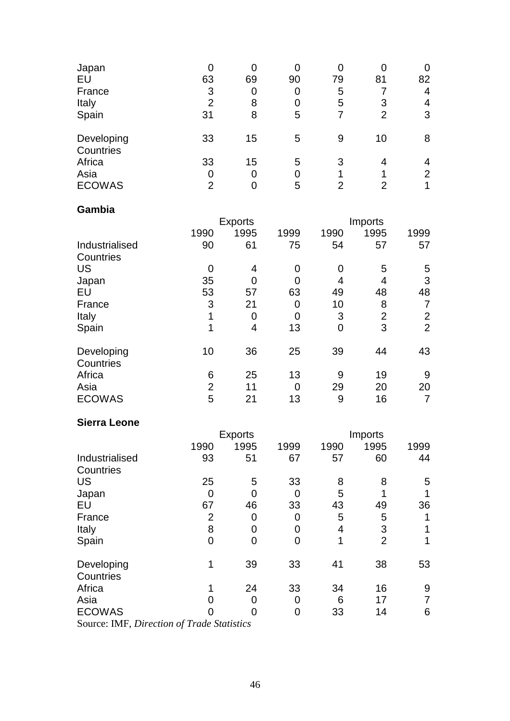| Japan                   |                |    | 0  |    |                |    |
|-------------------------|----------------|----|----|----|----------------|----|
| EU                      | 63             | 69 | 90 | 79 | 81             | 82 |
| France                  | 3              |    | 0  | 5  |                | 4  |
| Italy                   | 2              | 8  | 0  | 5  | 3              | 4  |
| Spain                   | 31             | 8  | 5  |    | $\overline{2}$ | 3  |
| Developing<br>Countries | 33             | 15 | 5  | 9  | 10             | 8  |
| Africa                  | 33             | 15 | 5  | 3  | 4              | 4  |
| Asia                    | 0              |    | 0  |    |                | 2  |
| <b>ECOWAS</b>           | $\overline{2}$ |    | 5  | 2  | າ              |    |

### **Gambia**

|                         |                | <b>Exports</b> |      |                | <b>Imports</b> |                |  |
|-------------------------|----------------|----------------|------|----------------|----------------|----------------|--|
|                         | 1990           | 1995           | 1999 | 1990           | 1995           | 1999           |  |
| Industrialised          | 90             | 61             | 75   | 54             | 57             | 57             |  |
| Countries               |                |                |      |                |                |                |  |
| <b>US</b>               | 0              | 4              | 0    | 0              | 5              | 5              |  |
| Japan                   | 35             |                | 0    | 4              | 4              | 3              |  |
| EU                      | 53             | 57             | 63   | 49             | 48             | 48             |  |
| France                  | 3              | 21             | 0    | 10             | 8              | 7              |  |
| Italy                   | 1              | $\Omega$       | 0    | 3              | $\overline{2}$ | $\overline{2}$ |  |
| Spain                   | 1              | 4              | 13   | $\overline{0}$ | 3              | $\overline{2}$ |  |
| Developing<br>Countries | 10             | 36             | 25   | 39             | 44             | 43             |  |
| Africa                  | 6              | 25             | 13   | 9              | 19             | 9              |  |
| Asia                    | $\overline{2}$ | 11             | 0    | 29             | 20             | 20             |  |
| <b>ECOWAS</b>           | 5              | 21             | 13   | 9              | 16             | 7              |  |

#### **Sierra Leone**

|                                                                                       |                | <b>Exports</b>                |      |      | Imports        |      |  |
|---------------------------------------------------------------------------------------|----------------|-------------------------------|------|------|----------------|------|--|
|                                                                                       | 1990           | 1995                          | 1999 | 1990 | 1995           | 1999 |  |
| Industrialised                                                                        | 93             | 51                            | 67   | 57   | 60             | 44   |  |
| Countries                                                                             |                |                               |      |      |                |      |  |
| <b>US</b>                                                                             | 25             | 5                             | 33   | 8    | 8              | 5    |  |
| Japan                                                                                 | 0              |                               | 0    | 5    |                |      |  |
| EU                                                                                    | 67             | 46                            | 33   | 43   | 49             | 36   |  |
| France                                                                                | $\overline{2}$ | $\overline{0}$                | 0    | 5    | 5              |      |  |
| Italy                                                                                 | 8              |                               | 0    | 4    | 3              |      |  |
| Spain                                                                                 | 0              | 0                             | 0    |      | $\overline{2}$ |      |  |
| Developing<br>Countries                                                               | 1              | 39                            | 33   | 41   | 38             | 53   |  |
| Africa                                                                                |                | 24                            | 33   | 34   | 16             | 9    |  |
| Asia                                                                                  |                | $\Omega$                      | 0    | 6    | 17             | 7    |  |
| <b>ECOWAS</b>                                                                         |                |                               | 0    | 33   | 14             | 6    |  |
| $C_{\text{max}}$ $\mathbf{M}$ $\mathbf{F}$ $\mathbf{D}^*$ $\mathbf{M}^*$ $\mathbf{C}$ |                | $\mathbf{1}$ and $\mathbf{1}$ |      |      |                |      |  |

Source: IMF, *Direction of Trade Statistics*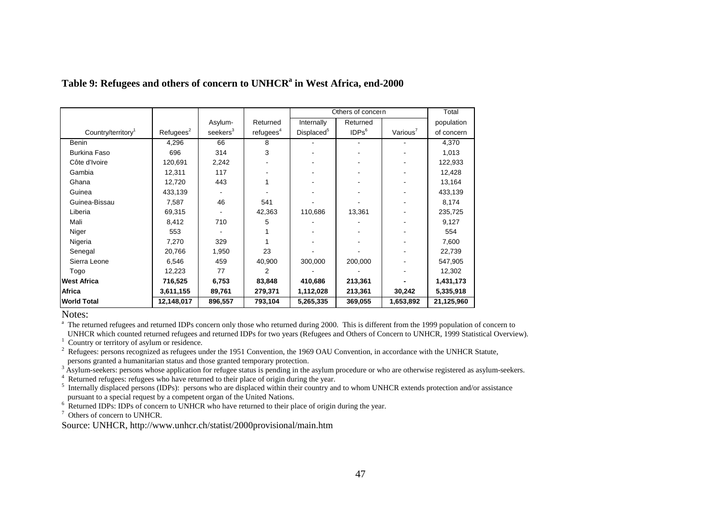|                                |                       |                      |                       | Cthers of concern      |                   | Total                |            |
|--------------------------------|-----------------------|----------------------|-----------------------|------------------------|-------------------|----------------------|------------|
|                                |                       | Asylum-              | Returned              | Internally             | Returned          |                      | population |
| Country/territory <sup>1</sup> | Refugees <sup>2</sup> | seekers <sup>3</sup> | refugees <sup>4</sup> | Displaced <sup>5</sup> | IDPs <sup>6</sup> | Various <sup>7</sup> | of concern |
| <b>Benin</b>                   | 4,296                 | 66                   | 8                     |                        |                   |                      | 4,370      |
| <b>Burkina Faso</b>            | 696                   | 314                  | 3                     |                        |                   |                      | 1,013      |
| Côte d'Ivoire                  | 120,691               | 2,242                |                       |                        |                   |                      | 122,933    |
| Gambia                         | 12,311                | 117                  |                       |                        |                   |                      | 12,428     |
| Ghana                          | 12,720                | 443                  |                       |                        |                   |                      | 13,164     |
| Guinea                         | 433,139               |                      |                       |                        |                   |                      | 433,139    |
| Guinea-Bissau                  | 7,587                 | 46                   | 541                   |                        |                   |                      | 8,174      |
| Liberia                        | 69,315                |                      | 42,363                | 110,686                | 13,361            |                      | 235,725    |
| Mali                           | 8,412                 | 710                  | 5                     |                        |                   |                      | 9,127      |
| Niger                          | 553                   |                      |                       |                        |                   |                      | 554        |
| Nigeria                        | 7,270                 | 329                  |                       |                        |                   |                      | 7,600      |
| Senegal                        | 20,766                | 1,950                | 23                    |                        |                   |                      | 22,739     |
| Sierra Leone                   | 6,546                 | 459                  | 40,900                | 300,000                | 200,000           |                      | 547,905    |
| Togo                           | 12,223                | 77                   | $\mathcal{P}$         |                        |                   |                      | 12,302     |
| <b>West Africa</b>             | 716,525               | 6,753                | 83,848                | 410,686                | 213,361           |                      | 1,431,173  |
| Africa                         | 3,611,155             | 89,761               | 279,371               | 1,112,028              | 213,361           | 30,242               | 5,335,918  |
| <b>World Total</b>             | 12,148,017            | 896,557              | 793,104               | 5,265,335              | 369,055           | 1,653,892            | 21,125,960 |

#### <span id="page-48-0"></span>**Table 9: Refugees and others of concern to UNHCR<sup>a</sup> in West Africa, end-2000**

Notes:

<sup>a</sup> The returned refugees and returned IDPs concern only those who returned during 2000. This is different from the 1999 population of concern to UNHCR which counted returned refugees and returned IDPs for two years (Refugees and Others of Concern to UNHCR, 1999 Statistical Overview).

<sup>1</sup> Country or territory of asylum or residence.

 $2 \text{Refuges: persons recognized as refuges under the 1951 Convention, the 1969 OAU Convention, in accordance with the UNHCR Statute,$ persons granted a humanitarian status and those granted temporary protection.

<sup>3</sup> Asylum-seekers: persons whose application for refugee status is pending in the asylum procedure or who are otherwise registered as asylum-seekers.

<sup>4</sup> Returned refugees: refugees who have returned to their place of origin during the year.

<sup>5</sup> Internally displaced persons (IDPs): persons who are displaced within their country and to whom UNHCR extends protection and/or assistance pursuant to a special request by a competent organ of the United Nations.

<sup>6</sup> Returned IDPs: IDPs of concern to UNHCR who have returned to their place of origin during the year.  $7$  Others of concern to UNHCR.

Source: UNHCR, http://www.unhcr.ch/statist/2000provisional/main.htm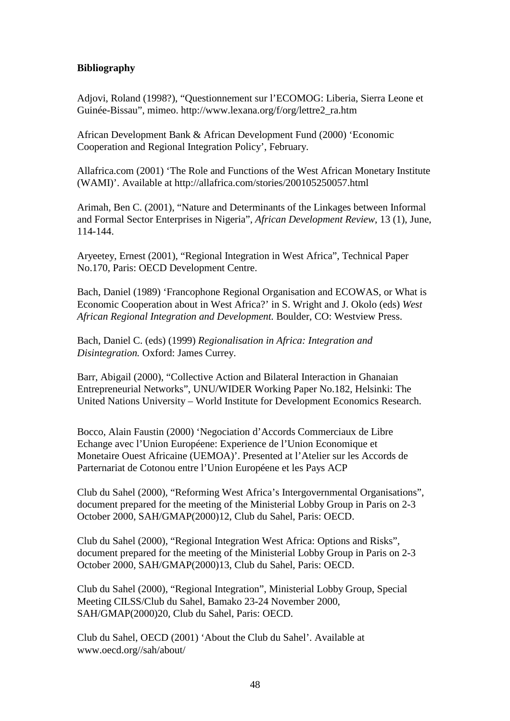#### <span id="page-49-0"></span>**Bibliography**

Adjovi, Roland (1998?), "Questionnement sur l'ECOMOG: Liberia, Sierra Leone et Guinée-Bissau", mimeo. http://www.lexana.org/f/org/lettre2\_ra.htm

African Development Bank & African Development Fund (2000) 'Economic Cooperation and Regional Integration Policy', February.

Allafrica.com (2001) 'The Role and Functions of the West African Monetary Institute (WAMI)'. Available at http://allafrica.com/stories/200105250057.html

Arimah, Ben C. (2001), "Nature and Determinants of the Linkages between Informal and Formal Sector Enterprises in Nigeria", *African Development Review*, 13 (1), June, 114-144.

Aryeetey, Ernest (2001), "Regional Integration in West Africa", Technical Paper No.170, Paris: OECD Development Centre.

Bach, Daniel (1989) 'Francophone Regional Organisation and ECOWAS, or What is Economic Cooperation about in West Africa?' in S. Wright and J. Okolo (eds) *West African Regional Integration and Development.* Boulder, CO: Westview Press.

Bach, Daniel C. (eds) (1999) *Regionalisation in Africa: Integration and Disintegration.* Oxford: James Currey.

Barr, Abigail (2000), "Collective Action and Bilateral Interaction in Ghanaian Entrepreneurial Networks", UNU/WIDER Working Paper No.182, Helsinki: The United Nations University – World Institute for Development Economics Research.

Bocco, Alain Faustin (2000) 'Negociation d'Accords Commerciaux de Libre Echange avec l'Union Européene: Experience de l'Union Economique et Monetaire Ouest Africaine (UEMOA)'. Presented at l'Atelier sur les Accords de Parternariat de Cotonou entre l'Union Européene et les Pays ACP

Club du Sahel (2000), "Reforming West Africa's Intergovernmental Organisations", document prepared for the meeting of the Ministerial Lobby Group in Paris on 2-3 October 2000, SAH/GMAP(2000)12, Club du Sahel, Paris: OECD.

Club du Sahel (2000), "Regional Integration West Africa: Options and Risks", document prepared for the meeting of the Ministerial Lobby Group in Paris on 2-3 October 2000, SAH/GMAP(2000)13, Club du Sahel, Paris: OECD.

Club du Sahel (2000), "Regional Integration", Ministerial Lobby Group, Special Meeting CILSS/Club du Sahel, Bamako 23-24 November 2000, SAH/GMAP(2000)20, Club du Sahel, Paris: OECD.

Club du Sahel, OECD (2001) 'About the Club du Sahel'. Available at www.oecd.org//sah/about/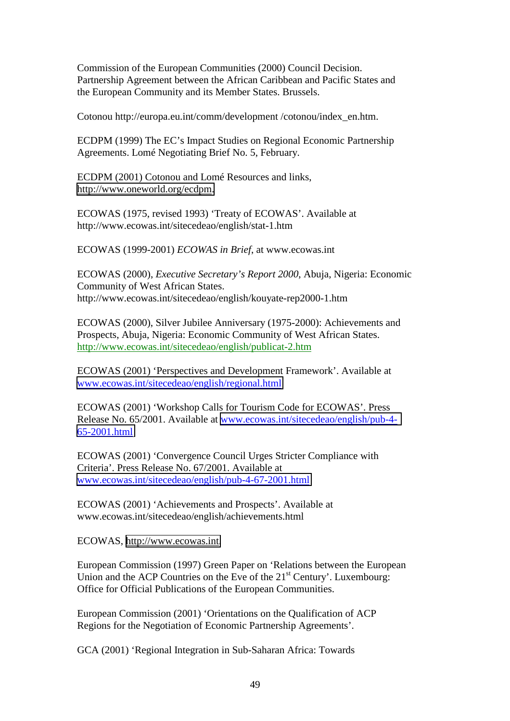Commission of the European Communities (2000) Council Decision. Partnership Agreement between the African Caribbean and Pacific States and the European Community and its Member States. Brussels.

Cotonou http://europa.eu.int/comm/development /cotonou/index\_en.htm.

ECDPM (1999) The EC's Impact Studies on Regional Economic Partnership Agreements. Lomé Negotiating Brief No. 5, February.

ECDPM (2001) Cotonou and Lomé Resources and links, [http://www.oneworld.org/ecdpm.](http://www.oneworld.org/ecdpm)

ECOWAS (1975, revised 1993) 'Treaty of ECOWAS'. Available at http://www.ecowas.int/sitecedeao/english/stat-1.htm

ECOWAS (1999-2001) *ECOWAS in Brief*, at www.ecowas.int

ECOWAS (2000), *Executive Secretary's Report 2000*, Abuja, Nigeria: Economic Community of West African States. http://www.ecowas.int/sitecedeao/english/kouyate-rep2000-1.htm

ECOWAS (2000), Silver Jubilee Anniversary (1975-2000): Achievements and Prospects, Abuja, Nigeria: Economic Community of West African States. http://www.ecowas.int/sitecedeao/english/publicat-2.htm

ECOWAS (2001) 'Perspectives and Development Framework'. Available at [www.ecowas.int/sitecedeao/english/regional.html](http://www.ecowas.int/sitecedeao/english/regional.html)

ECOWAS (2001) 'Workshop Calls for Tourism Code for ECOWAS'. Press Release No. 65/2001. Available at [www.ecowas.int/sitecedeao/english/pub-4-](http://www.ecowas.int/sitecedeao/english/pub-4-65-2001.html) [65-2001.html](http://www.ecowas.int/sitecedeao/english/pub-4-65-2001.html)

ECOWAS (2001) 'Convergence Council Urges Stricter Compliance with Criteria'. Press Release No. 67/2001. Available at [www.ecowas.int/sitecedeao/english/pub-4-67-2001.html](http://www.ecowas.int/sitecedeao/english/pub-4-65-2001.html)

ECOWAS (2001) 'Achievements and Prospects'. Available at www.ecowas.int/sitecedeao/english/achievements.html

ECOWAS, [http://www.ecowas.int.](http://www.ecowas.int/)

European Commission (1997) Green Paper on 'Relations between the European Union and the ACP Countries on the Eve of the  $21<sup>st</sup>$  Century'. Luxembourg: Office for Official Publications of the European Communities.

European Commission (2001) 'Orientations on the Qualification of ACP Regions for the Negotiation of Economic Partnership Agreements'.

GCA (2001) 'Regional Integration in Sub-Saharan Africa: Towards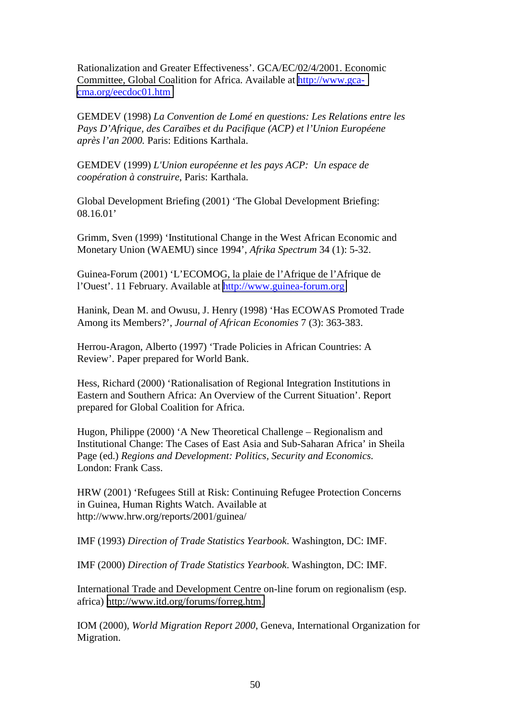Rationalization and Greater Effectiveness'. GCA/EC/02/4/2001. Economic Committee, Global Coalition for Africa. Available at [http://www.gca](http://www.gca-cma.org/eecdoc01.htm)[cma.org/eecdoc01.htm](http://www.gca-cma.org/eecdoc01.htm)

GEMDEV (1998) *La Convention de Lomé en questions: Les Relations entre les Pays D'Afrique, des Caraïbes et du Pacifique (ACP) et l'Union Européene après l'an 2000.* Paris: Editions Karthala.

GEMDEV (1999) *L'Union européenne et les pays ACP: Un espace de coopération à construire*, Paris: Karthala.

Global Development Briefing (2001) 'The Global Development Briefing: 08.16.01'

Grimm, Sven (1999) 'Institutional Change in the West African Economic and Monetary Union (WAEMU) since 1994', *Afrika Spectrum* 34 (1): 5-32.

Guinea-Forum (2001) 'L'ECOMOG, la plaie de l'Afrique de l'Afrique de l'Ouest'. 11 February. Available at [http://www.guinea-forum.org](http://www.guinea-forum.org/)

Hanink, Dean M. and Owusu, J. Henry (1998) 'Has ECOWAS Promoted Trade Among its Members?', *Journal of African Economies* 7 (3): 363-383.

Herrou-Aragon, Alberto (1997) 'Trade Policies in African Countries: A Review'. Paper prepared for World Bank.

Hess, Richard (2000) 'Rationalisation of Regional Integration Institutions in Eastern and Southern Africa: An Overview of the Current Situation'. Report prepared for Global Coalition for Africa.

Hugon, Philippe (2000) 'A New Theoretical Challenge – Regionalism and Institutional Change: The Cases of East Asia and Sub-Saharan Africa' in Sheila Page (ed.) *Regions and Development: Politics, Security and Economics*. London: Frank Cass.

HRW (2001) 'Refugees Still at Risk: Continuing Refugee Protection Concerns in Guinea, Human Rights Watch. Available at http://www.hrw.org/reports/2001/guinea/

IMF (1993) *Direction of Trade Statistics Yearbook*. Washington, DC: IMF.

IMF (2000) *Direction of Trade Statistics Yearbook*. Washington, DC: IMF.

International Trade and Development Centre on-line forum on regionalism (esp. africa) [http://www.itd.org/forums/forreg.htm.](http://www.itd.org/forums/forreg.htm)

IOM (2000), *World Migration Report 2000*, Geneva, International Organization for Migration.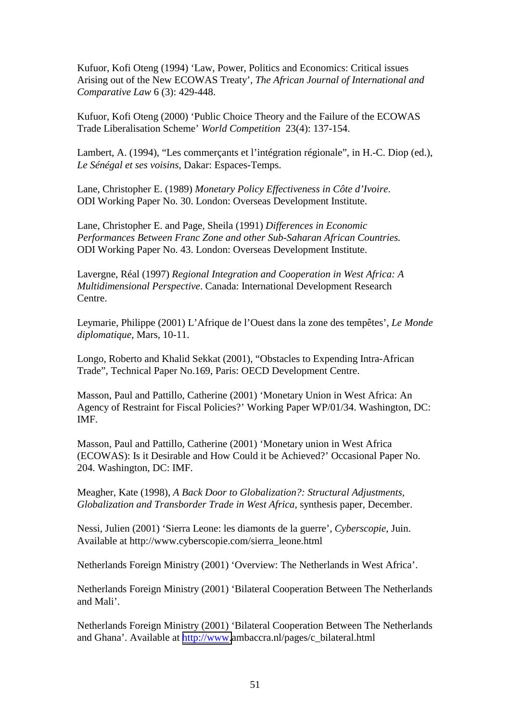Kufuor, Kofi Oteng (1994) 'Law, Power, Politics and Economics: Critical issues Arising out of the New ECOWAS Treaty', *The African Journal of International and Comparative Law* 6 (3): 429-448.

Kufuor, Kofi Oteng (2000) 'Public Choice Theory and the Failure of the ECOWAS Trade Liberalisation Scheme' *World Competition* 23(4): 137-154.

Lambert, A. (1994), "Les commerçants et l'intégration régionale", in H.-C. Diop (ed.), *Le Sénégal et ses voisins*, Dakar: Espaces-Temps.

Lane, Christopher E. (1989) *Monetary Policy Effectiveness in Côte d'Ivoire*. ODI Working Paper No. 30. London: Overseas Development Institute.

Lane, Christopher E. and Page, Sheila (1991) *Differences in Economic Performances Between Franc Zone and other Sub-Saharan African Countries.* ODI Working Paper No. 43. London: Overseas Development Institute.

Lavergne, Réal (1997) *Regional Integration and Cooperation in West Africa: A Multidimensional Perspective*. Canada: International Development Research Centre.

Leymarie, Philippe (2001) L'Afrique de l'Ouest dans la zone des tempêtes', *Le Monde diplomatique*, Mars, 10-11.

Longo, Roberto and Khalid Sekkat (2001), "Obstacles to Expending Intra-African Trade", Technical Paper No.169, Paris: OECD Development Centre.

Masson, Paul and Pattillo, Catherine (2001) 'Monetary Union in West Africa: An Agency of Restraint for Fiscal Policies?' Working Paper WP/01/34. Washington, DC: IMF.

Masson, Paul and Pattillo, Catherine (2001) 'Monetary union in West Africa (ECOWAS): Is it Desirable and How Could it be Achieved?' Occasional Paper No. 204. Washington, DC: IMF.

Meagher, Kate (1998), *A Back Door to Globalization?: Structural Adjustments, Globalization and Transborder Trade in West Africa*, synthesis paper, December.

Nessi, Julien (2001) 'Sierra Leone: les diamonts de la guerre', *Cyberscopie*, Juin. Available at http://www.cyberscopie.com/sierra\_leone.html

Netherlands Foreign Ministry (2001) 'Overview: The Netherlands in West Africa'.

Netherlands Foreign Ministry (2001) 'Bilateral Cooperation Between The Netherlands and Mali'.

Netherlands Foreign Ministry (2001) 'Bilateral Cooperation Between The Netherlands and Ghana'. Available at [http://www.](http://www/)ambaccra.nl/pages/c\_bilateral.html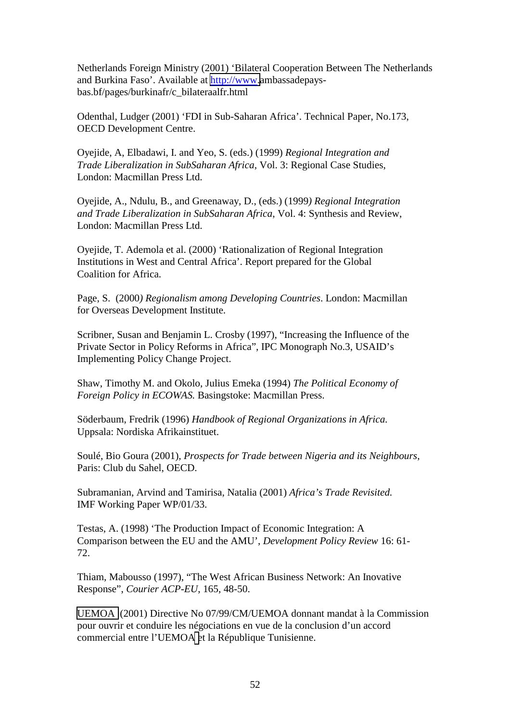Netherlands Foreign Ministry (2001) 'Bilateral Cooperation Between The Netherlands and Burkina Faso'. Available at [http://www.](http://www/)ambassadepaysbas.bf/pages/burkinafr/c\_bilateraalfr.html

Odenthal, Ludger (2001) 'FDI in Sub-Saharan Africa'. Technical Paper, No.173, OECD Development Centre.

Oyejide, A, Elbadawi, I. and Yeo, S. (eds.) (1999) *Regional Integration and Trade Liberalization in SubSaharan Africa*, Vol. 3: Regional Case Studies, London: Macmillan Press Ltd.

Oyejide, A., Ndulu, B., and Greenaway, D., (eds.) (1999*) Regional Integration and Trade Liberalization in SubSaharan Africa*, Vol. 4: Synthesis and Review, London: Macmillan Press Ltd.

Oyejide, T. Ademola et al. (2000) 'Rationalization of Regional Integration Institutions in West and Central Africa'. Report prepared for the Global Coalition for Africa.

Page, S. (2000*) Regionalism among Developing Countries*. London: Macmillan for Overseas Development Institute.

Scribner, Susan and Benjamin L. Crosby (1997), "Increasing the Influence of the Private Sector in Policy Reforms in Africa", IPC Monograph No.3, USAID's Implementing Policy Change Project.

Shaw, Timothy M. and Okolo, Julius Emeka (1994) *The Political Economy of Foreign Policy in ECOWAS.* Basingstoke: Macmillan Press.

Söderbaum, Fredrik (1996) *Handbook of Regional Organizations in Africa.* Uppsala: Nordiska Afrikainstituet.

Soulé, Bio Goura (2001), *Prospects for Trade between Nigeria and its Neighbours*, Paris: Club du Sahel, OECD.

Subramanian, Arvind and Tamirisa, Natalia (2001) *Africa's Trade Revisited.* IMF Working Paper WP/01/33.

Testas, A. (1998) 'The Production Impact of Economic Integration: A Comparison between the EU and the AMU', *Development Policy Review* 16: 61- 72.

Thiam, Mabousso (1997), "The West African Business Network: An Inovative Response", *Courier ACP-EU*, 165, 48-50.

[UEMOA](http://www.izf.net/) (2001) Directive No 07/99/CM/UEMOA donnant mandat à la Commission pour ouvrir et conduire les négociations en vue de la conclusion d'un accord commercial entre l'UEMO[A e](mailto:l@UEMOA)t la République Tunisienne.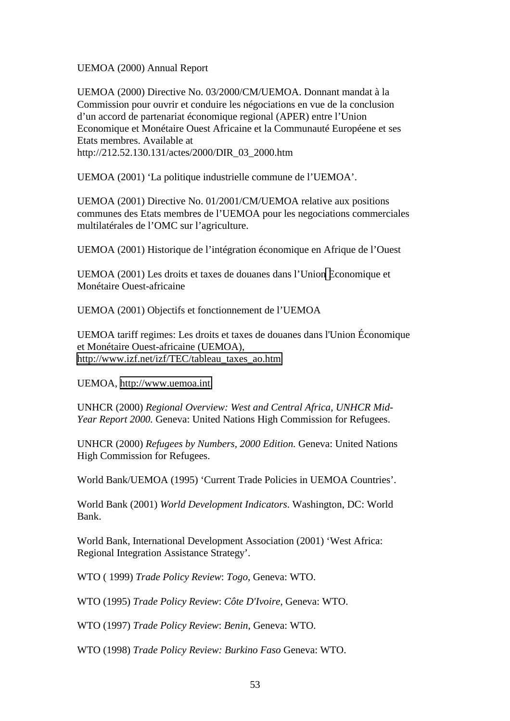UEMOA (2000) Annual Report

UEMOA (2000) Directive No. 03/2000/CM/UEMOA. Donnant mandat à la Commission pour ouvrir et conduire les négociations en vue de la conclusion d'un accord de partenariat économique regional (APER) entre l'Union Economique et Monétaire Ouest Africaine et la Communauté Européene et ses Etats membres. Available at http://212.52.130.131/actes/2000/DIR\_03\_2000.htm

UEMOA (2001) 'La politique industrielle commune de l'UEMOA'.

UEMOA (2001) Directive No. 01/2001/CM/UEMOA relative aux positions communes des Etats membres de l'UEMOA pour les negociations commerciales multilatérales de l'OMC sur l'agriculture.

UEMOA (2001) Historique de l'intégration économique en Afrique de l'Ouest

UEMOA (2001) Les droits et taxes de douanes dans l'Unio[n E](mailto:l@union)conomique et Monétaire Ouest-africaine

UEMOA (2001) Objectifs et fonctionnement de l'UEMOA

UEMOA tariff regimes: Les droits et taxes de douanes dans l'Union Économique et Monétaire Ouest-africaine (UEMOA), [http://www.izf.net/izf/TEC/tableau\\_taxes\\_ao.htm](http://www.izf.net/izf/TEC/tableau_taxes_ao.htm)

UEMOA, [http://www.uemoa.int.](http://www.uemoa.int/)

UNHCR (2000) *Regional Overview: West and Central Africa, UNHCR Mid-Year Report 2000.* Geneva: United Nations High Commission for Refugees.

UNHCR (2000) *Refugees by Numbers, 2000 Edition.* Geneva: United Nations High Commission for Refugees.

World Bank/UEMOA (1995) 'Current Trade Policies in UEMOA Countries'.

World Bank (2001) *World Development Indicators*. Washington, DC: World Bank.

World Bank, International Development Association (2001) 'West Africa: Regional Integration Assistance Strategy'.

WTO ( 1999) *Trade Policy Review*: *Togo*, Geneva: WTO.

WTO (1995) *Trade Policy Review*: *Côte D'Ivoire*, Geneva: WTO.

WTO (1997) *Trade Policy Review*: *Benin*, Geneva: WTO.

WTO (1998) *Trade Policy Review: Burkino Faso* Geneva: WTO.